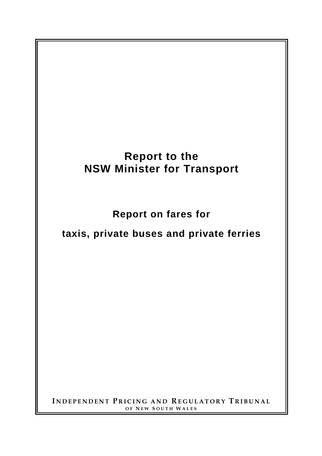# **Report to the NSW Minister for Transport**

**Report on fares for** 

## **taxis, private buses and private ferries**

**I NDEPENDENT P RICING AND REGULATORY T RIBUNAL OF N EW S OUTH W ALES**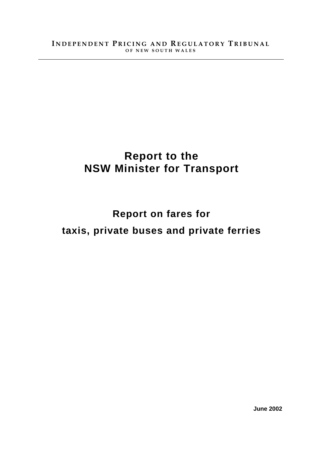## **Report to the NSW Minister for Transport**

# **Report on fares for taxis, private buses and private ferries**

**June 2002**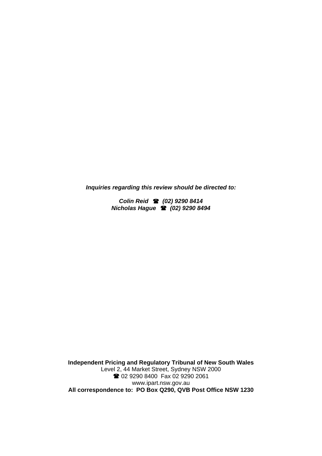*Inquiries regarding this review should be directed to:* 

*Colin Reid (02) 9290 8414 Nicholas Hague (02) 9290 8494* 

**Independent Pricing and Regulatory Tribunal of New South Wales**  Level 2, 44 Market Street, Sydney NSW 2000 2 02 9290 8400 Fax 02 9290 2061 www.ipart.nsw.gov.au **All correspondence to: PO Box Q290, QVB Post Office NSW 1230**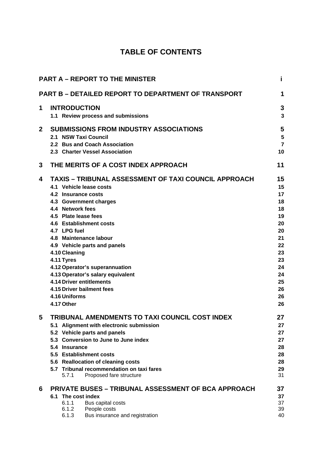## **TABLE OF CONTENTS**

|              | <b>PART A - REPORT TO THE MINISTER</b>                                        | i              |
|--------------|-------------------------------------------------------------------------------|----------------|
|              | <b>PART B - DETAILED REPORT TO DEPARTMENT OF TRANSPORT</b>                    | 1              |
| 1            | <b>INTRODUCTION</b>                                                           | 3              |
|              | 1.1 Review process and submissions                                            | $\mathbf{3}$   |
| $\mathbf{2}$ | <b>SUBMISSIONS FROM INDUSTRY ASSOCIATIONS</b>                                 | 5              |
|              | 2.1 NSW Taxi Council                                                          | $5\phantom{a}$ |
|              | 2.2 Bus and Coach Association                                                 | $\overline{7}$ |
|              | 2.3 Charter Vessel Association                                                | 10             |
| 3            | THE MERITS OF A COST INDEX APPROACH                                           | 11             |
| 4            | <b>TAXIS – TRIBUNAL ASSESSMENT OF TAXI COUNCIL APPROACH</b>                   | 15             |
|              | 4.1 Vehicle lease costs                                                       | 15             |
|              | 4.2 Insurance costs                                                           | 17             |
|              | 4.3 Government charges                                                        | 18             |
|              | 4.4 Network fees                                                              | 18             |
|              | 4.5 Plate lease fees                                                          | 19             |
|              | 4.6 Establishment costs                                                       | 20             |
|              | 4.7 LPG fuel                                                                  | 20             |
|              | 4.8 Maintenance labour                                                        | 21<br>22       |
|              | 4.9 Vehicle parts and panels<br>4.10 Cleaning                                 | 23             |
|              | 4.11 Tyres                                                                    | 23             |
|              | 4.12 Operator's superannuation                                                | 24             |
|              | 4.13 Operator's salary equivalent                                             | 24             |
|              | <b>4.14 Driver entitlements</b>                                               | 25             |
|              | 4.15 Driver bailment fees                                                     | 26             |
|              | 4.16 Uniforms                                                                 | 26             |
|              | 4.17 Other                                                                    | 26             |
| 5            | <b>TRIBUNAL AMENDMENTS TO TAXI COUNCIL COST INDEX</b>                         | 27             |
|              | 5.1 Alignment with electronic submission                                      | 27             |
|              | 5.2 Vehicle parts and panels                                                  | 27             |
|              | 5.3 Conversion to June to June index                                          | 27             |
|              | 5.4 Insurance                                                                 | 28             |
|              | 5.5 Establishment costs                                                       | 28             |
|              | 5.6 Reallocation of cleaning costs                                            | 28             |
|              | 5.7 Tribunal recommendation on taxi fares<br>5.7.1<br>Proposed fare structure | 29<br>31       |
| 6            | <b>PRIVATE BUSES – TRIBUNAL ASSESSMENT OF BCA APPROACH</b>                    | 37             |
|              | 6.1 The cost index                                                            | 37             |
|              | 6.1.1<br>Bus capital costs                                                    | 37             |
|              | 6.1.2<br>People costs                                                         | 39             |
|              | Bus insurance and registration<br>6.1.3                                       | 40             |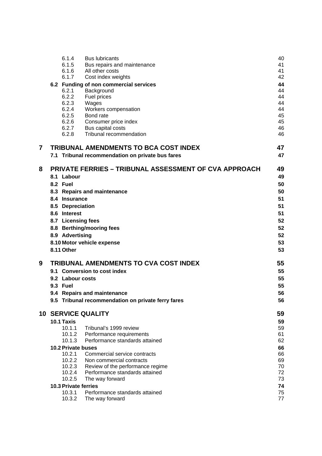|                | 6.1.4                | <b>Bus lubricants</b>                                        | 40       |
|----------------|----------------------|--------------------------------------------------------------|----------|
|                | 6.1.5                | Bus repairs and maintenance                                  | 41       |
|                | 6.1.6                | All other costs                                              | 41       |
|                | 6.1.7                | Cost index weights                                           | 42       |
|                |                      | 6.2 Funding of non commercial services                       | 44       |
|                | 6.2.1                | Background                                                   | 44       |
|                | 6.2.2                | Fuel prices                                                  | 44<br>44 |
|                | 6.2.3<br>6.2.4       | Wages<br>Workers compensation                                | 44       |
|                | 6.2.5                | Bond rate                                                    | 45       |
|                | 6.2.6                | Consumer price index                                         | 45       |
|                | 6.2.7                | Bus capital costs                                            | 46       |
|                | 6.2.8                | Tribunal recommendation                                      | 46       |
| $\overline{7}$ |                      | <b>TRIBUNAL AMENDMENTS TO BCA COST INDEX</b>                 | 47       |
|                |                      | 7.1 Tribunal recommendation on private bus fares             | 47       |
| 8              |                      | <b>PRIVATE FERRIES - TRIBUNAL ASSESSMENT OF CVA APPROACH</b> | 49       |
|                | 8.1 Labour           |                                                              | 49       |
|                | 8.2 Fuel             |                                                              | 50       |
|                |                      | 8.3 Repairs and maintenance                                  | 50       |
|                | 8.4 Insurance        |                                                              | 51       |
|                | 8.5 Depreciation     |                                                              | 51       |
|                | 8.6 Interest         |                                                              | 51       |
|                | 8.7 Licensing fees   |                                                              | 52       |
|                |                      | 8.8 Berthing/mooring fees                                    | 52       |
|                | 8.9 Advertising      |                                                              | 52       |
|                |                      | 8.10 Motor vehicle expense                                   | 53       |
|                | 8.11 Other           |                                                              | 53       |
| 9              |                      | <b>TRIBUNAL AMENDMENTS TO CVA COST INDEX</b>                 | 55       |
|                |                      | 9.1 Conversion to cost index                                 | 55       |
|                | 9.2 Labour costs     |                                                              | 55       |
|                | <b>9.3 Fuel</b>      |                                                              | 55       |
|                |                      | 9.4 Repairs and maintenance                                  | 56       |
|                |                      | 9.5 Tribunal recommendation on private ferry fares           | 56       |
|                |                      | <b>10 SERVICE QUALITY</b>                                    | 59       |
|                | 10.1 Taxis           |                                                              | 59       |
|                | 10.1.1               | Tribunal's 1999 review                                       | 59       |
|                | 10.1.2               | Performance requirements                                     | 61       |
|                | 10.1.3               | Performance standards attained                               | 62       |
|                | 10.2 Private buses   |                                                              | 66       |
|                | 10.2.1<br>10.2.2     | Commercial service contracts<br>Non commercial contracts     | 66<br>69 |
|                | 10.2.3               | Review of the performance regime                             | 70       |
|                | 10.2.4               | Performance standards attained                               | 72       |
|                | 10.2.5               | The way forward                                              | 73       |
|                | 10.3 Private ferries |                                                              | 74       |
|                | 10.3.1               | Performance standards attained                               | 75       |
|                | 10.3.2               | The way forward                                              | 77       |
|                |                      |                                                              |          |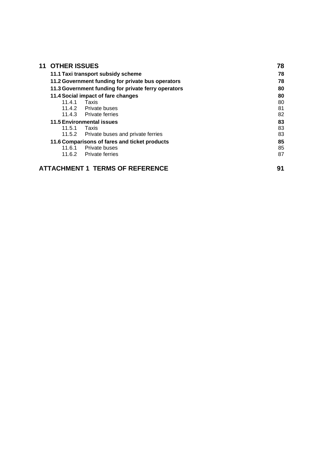| <b>OTHER ISSUES</b>                               |                                                     | 78 |
|---------------------------------------------------|-----------------------------------------------------|----|
|                                                   | 11.1 Taxi transport subsidy scheme                  | 78 |
| 11.2 Government funding for private bus operators | 78                                                  |    |
|                                                   | 11.3 Government funding for private ferry operators | 80 |
|                                                   | 11.4 Social impact of fare changes                  | 80 |
| 11.4.1                                            | Taxis                                               | 80 |
|                                                   | 11.4.2 Private buses                                | 81 |
|                                                   | 11.4.3 Private ferries                              | 82 |
| <b>11.5 Environmental issues</b>                  | 83                                                  |    |
| 11.5.1                                            | Taxis                                               | 83 |
| 11.5.2                                            | Private buses and private ferries                   | 83 |
|                                                   | 11.6 Comparisons of fares and ticket products       | 85 |
| 11.6.1                                            | Private buses                                       | 85 |
| 11.6.2                                            | <b>Private ferries</b>                              | 87 |
|                                                   | <b>ATTACHMENT 1 TERMS OF REFERENCE</b>              | 91 |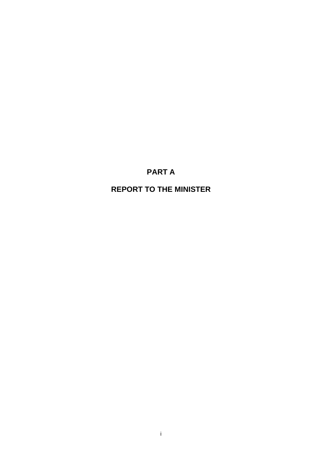## **PART A**

## **REPORT TO THE MINISTER**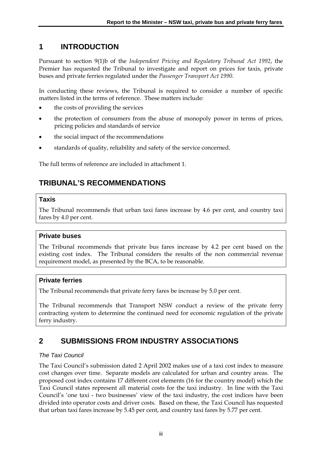## **1 INTRODUCTION**

Pursuant to section 9(1)b of the *Independent Pricing and Regulatory Tribunal Act 1992*, the Premier has requested the Tribunal to investigate and report on prices for taxis, private buses and private ferries regulated under the *Passenger Transport Act 1990*.

In conducting these reviews, the Tribunal is required to consider a number of specific matters listed in the terms of reference. These matters include:

- the costs of providing the services
- the protection of consumers from the abuse of monopoly power in terms of prices, pricing policies and standards of service
- the social impact of the recommendations
- standards of quality, reliability and safety of the service concerned.

The full terms of reference are included in attachment 1.

## **TRIBUNAL'S RECOMMENDATIONS**

#### **Taxis**

The Tribunal recommends that urban taxi fares increase by 4.6 per cent, and country taxi fares by 4.0 per cent.

#### **Private buses**

The Tribunal recommends that private bus fares increase by 4.2 per cent based on the existing cost index. The Tribunal considers the results of the non commercial revenue requirement model, as presented by the BCA, to be reasonable.

#### **Private ferries**

The Tribunal recommends that private ferry fares be increase by 5.0 per cent.

The Tribunal recommends that Transport NSW conduct a review of the private ferry contracting system to determine the continued need for economic regulation of the private ferry industry.

## **2 SUBMISSIONS FROM INDUSTRY ASSOCIATIONS**

#### *The Taxi Council*

The Taxi Council's submission dated 2 April 2002 makes use of a taxi cost index to measure cost changes over time. Separate models are calculated for urban and country areas. The proposed cost index contains 17 different cost elements (16 for the country model) which the Taxi Council states represent all material costs for the taxi industry. In line with the Taxi Council's 'one taxi - two businesses' view of the taxi industry, the cost indices have been divided into operator costs and driver costs. Based on these, the Taxi Council has requested that urban taxi fares increase by 5.45 per cent, and country taxi fares by 5.77 per cent.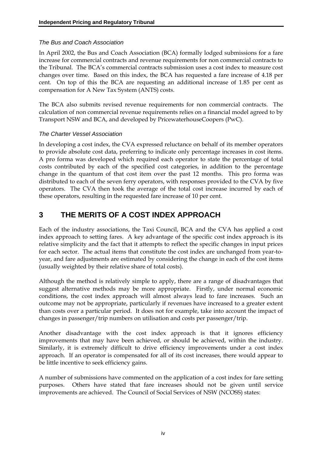#### *The Bus and Coach Association*

In April 2002, the Bus and Coach Association (BCA) formally lodged submissions for a fare increase for commercial contracts and revenue requirements for non commercial contracts to the Tribunal. The BCA's commercial contracts submission uses a cost index to measure cost changes over time. Based on this index, the BCA has requested a fare increase of 4.18 per cent. On top of this the BCA are requesting an additional increase of 1.85 per cent as compensation for A New Tax System (ANTS) costs.

The BCA also submits revised revenue requirements for non commercial contracts. The calculation of non commercial revenue requirements relies on a financial model agreed to by Transport NSW and BCA, and developed by PricewaterhouseCoopers (PwC).

#### *The Charter Vessel Association*

In developing a cost index, the CVA expressed reluctance on behalf of its member operators to provide absolute cost data, preferring to indicate only percentage increases in cost items. A pro forma was developed which required each operator to state the percentage of total costs contributed by each of the specified cost categories, in addition to the percentage change in the quantum of that cost item over the past 12 months. This pro forma was distributed to each of the seven ferry operators, with responses provided to the CVA by five operators. The CVA then took the average of the total cost increase incurred by each of these operators, resulting in the requested fare increase of 10 per cent.

## **3 THE MERITS OF A COST INDEX APPROACH**

Each of the industry associations, the Taxi Council, BCA and the CVA has applied a cost index approach to setting fares. A key advantage of the specific cost index approach is its relative simplicity and the fact that it attempts to reflect the specific changes in input prices for each sector. The actual items that constitute the cost index are unchanged from year-toyear, and fare adjustments are estimated by considering the change in each of the cost items (usually weighted by their relative share of total costs).

Although the method is relatively simple to apply, there are a range of disadvantages that suggest alternative methods may be more appropriate. Firstly, under normal economic conditions, the cost index approach will almost always lead to fare increases. Such an outcome may not be appropriate, particularly if revenues have increased to a greater extent than costs over a particular period. It does not for example, take into account the impact of changes in passenger/trip numbers on utilisation and costs per passenger/trip.

Another disadvantage with the cost index approach is that it ignores efficiency improvements that may have been achieved, or should be achieved, within the industry. Similarly, it is extremely difficult to drive efficiency improvements under a cost index approach. If an operator is compensated for all of its cost increases, there would appear to be little incentive to seek efficiency gains.

A number of submissions have commented on the application of a cost index for fare setting purposes. Others have stated that fare increases should not be given until service improvements are achieved. The Council of Social Services of NSW (NCOSS) states: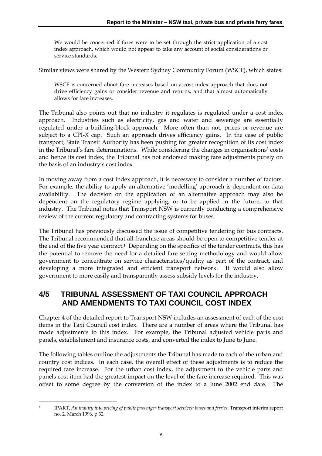We would be concerned if fares were to be set through the strict application of a cost index approach, which would not appear to take any account of social considerations or service standards.

Similar views were shared by the Western Sydney Community Forum (WSCF), which states:

WSCF is concerned about fare increases based on a cost index approach that does not drive efficiency gains or consider revenue and returns, and that almost automatically allows for fare increases.

The Tribunal also points out that no industry it regulates is regulated under a cost index approach. Industries such as electricity, gas and water and sewerage are essentially regulated under a building-block approach. More often than not, prices or revenue are subject to a CPI-X cap. Such an approach drives efficiency gains. In the case of public transport, State Transit Authority has been pushing for greater recognition of its cost index in the Tribunal's fare determinations. While considering the changes in organisations' costs and hence its cost index, the Tribunal has not endorsed making fare adjustments purely on the basis of an industry's cost index.

In moving away from a cost index approach, it is necessary to consider a number of factors. For example, the ability to apply an alternative 'modelling' approach is dependent on data availability. The decision on the application of an alternative approach may also be dependent on the regulatory regime applying, or to be applied in the future, to that industry. The Tribunal notes that Transport NSW is currently conducting a comprehensive review of the current regulatory and contracting systems for buses.

The Tribunal has previously discussed the issue of competitive tendering for bus contracts. The Tribunal recommended that all franchise areas should be open to competitive tender at the end of the five year contract.1 Depending on the specifics of the tender contracts, this has the potential to remove the need for a detailed fare setting methodology and would allow government to concentrate on service characteristics/quality as part of the contract, and developing a more integrated and efficient transport network. It would also allow government to more easily and transparently assess subsidy levels for the industry.

## **4/5 TRIBUNAL ASSESSMENT OF TAXI COUNCIL APPROACH AND AMENDMENTS TO TAXI COUNCIL COST INDEX**

Chapter 4 of the detailed report to Transport NSW includes an assessment of each of the cost items in the Taxi Council cost index. There are a number of areas where the Tribunal has made adjustments to this index. For example, the Tribunal adjusted vehicle parts and panels, establishment and insurance costs, and converted the index to June to June.

The following tables outline the adjustments the Tribunal has made to each of the urban and country cost indices. In each case, the overall effect of these adjustments is to reduce the required fare increase. For the urban cost index, the adjustment to the vehicle parts and panels cost item had the greatest impact on the level of the fare increase required. This was offset to some degree by the conversion of the index to a June 2002 end date. The

<sup>&</sup>lt;u>.</u>

<sup>1</sup> IPART, *An inquiry into pricing of public passenger transport services: buses and ferries*, Transport interim report no. 2, March 1996, p 32.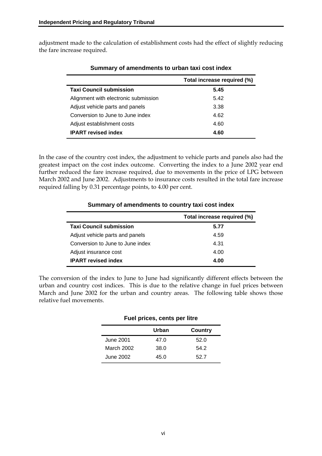adjustment made to the calculation of establishment costs had the effect of slightly reducing the fare increase required.

|                                      | Total increase required (%) |
|--------------------------------------|-----------------------------|
| <b>Taxi Council submission</b>       | 5.45                        |
| Alignment with electronic submission | 5.42                        |
| Adjust vehicle parts and panels      | 3.38                        |
| Conversion to June to June index     | 4.62                        |
| Adjust establishment costs           | 4.60                        |
| <b>IPART</b> revised index           | 4.60                        |

#### **Summary of amendments to urban taxi cost index**

In the case of the country cost index, the adjustment to vehicle parts and panels also had the greatest impact on the cost index outcome. Converting the index to a June 2002 year end further reduced the fare increase required, due to movements in the price of LPG between March 2002 and June 2002. Adjustments to insurance costs resulted in the total fare increase required falling by 0.31 percentage points, to 4.00 per cent.

|                                  | Total increase required (%) |
|----------------------------------|-----------------------------|
| <b>Taxi Council submission</b>   | 5.77                        |
| Adjust vehicle parts and panels  | 4.59                        |
| Conversion to June to June index | 4.31                        |
| Adjust insurance cost            | 4.00                        |
| <b>IPART</b> revised index       | 4.00                        |

#### **Summary of amendments to country taxi cost index**

The conversion of the index to June to June had significantly different effects between the urban and country cost indices. This is due to the relative change in fuel prices between March and June 2002 for the urban and country areas. The following table shows those relative fuel movements.

| Fuel prices, cents per litre |       |         |  |  |  |  |  |
|------------------------------|-------|---------|--|--|--|--|--|
|                              | Urban | Country |  |  |  |  |  |
| June 2001                    | 47.0  | 52.0    |  |  |  |  |  |
| March 2002                   | 38.0  | 54.2    |  |  |  |  |  |
| June 2002                    | 45.0  | 52.7    |  |  |  |  |  |

#### vi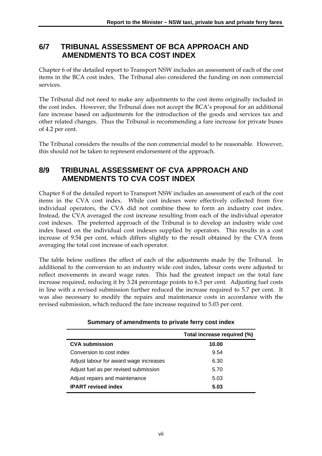## **6/7 TRIBUNAL ASSESSMENT OF BCA APPROACH AND AMENDMENTS TO BCA COST INDEX**

Chapter 6 of the detailed report to Transport NSW includes an assessment of each of the cost items in the BCA cost index. The Tribunal also considered the funding on non commercial services.

The Tribunal did not need to make any adjustments to the cost items originally included in the cost index. However, the Tribunal does not accept the BCA's proposal for an additional fare increase based on adjustments for the introduction of the goods and services tax and other related changes. Thus the Tribunal is recommending a fare increase for private buses of 4.2 per cent.

The Tribunal considers the results of the non commercial model to be reasonable. However, this should not be taken to represent endorsement of the approach.

## **8/9 TRIBUNAL ASSESSMENT OF CVA APPROACH AND AMENDMENTS TO CVA COST INDEX**

Chapter 8 of the detailed report to Transport NSW includes an assessment of each of the cost items in the CVA cost index. While cost indexes were effectively collected from five individual operators, the CVA did not combine these to form an industry cost index. Instead, the CVA averaged the cost increase resulting from each of the individual operator cost indexes. The preferred approach of the Tribunal is to develop an industry wide cost index based on the individual cost indexes supplied by operators. This results in a cost increase of 9.54 per cent, which differs slightly to the result obtained by the CVA from averaging the total cost increase of each operator.

The table below outlines the effect of each of the adjustments made by the Tribunal. In additional to the conversion to an industry wide cost index, labour costs were adjusted to reflect movements in award wage rates. This had the greatest impact on the total fare increase required, reducing it by 3.24 percentage points to 6.3 per cent. Adjusting fuel costs in line with a revised submission further reduced the increase required to 5.7 per cent. It was also necessary to modify the repairs and maintenance costs in accordance with the revised submission, which reduced the fare increase required to 5.03 per cent.

|                                        | Total increase required (%) |
|----------------------------------------|-----------------------------|
| <b>CVA submission</b>                  | 10.00                       |
| Conversion to cost index               | 9.54                        |
| Adjust labour for award wage increases | 6.30                        |
| Adjust fuel as per revised submission  | 5.70                        |
| Adjust repairs and maintenance         | 5.03                        |
| <b>IPART</b> revised index             | 5.03                        |

**Summary of amendments to private ferry cost index**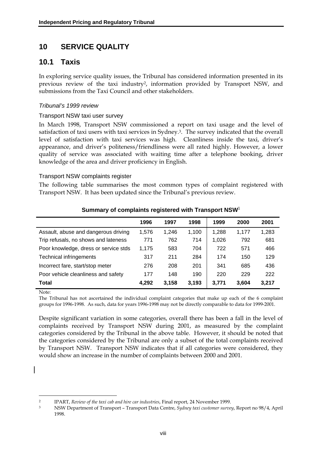## **10 SERVICE QUALITY**

## **10.1 Taxis**

In exploring service quality issues, the Tribunal has considered information presented in its previous review of the taxi industry2, information provided by Transport NSW, and submissions from the Taxi Council and other stakeholders.

#### *Tribunal's 1999 review*

#### Transport NSW taxi user survey

In March 1998, Transport NSW commissioned a report on taxi usage and the level of satisfaction of taxi users with taxi services in Sydney.3. The survey indicated that the overall level of satisfaction with taxi services was high. Cleanliness inside the taxi, driver's appearance, and driver's politeness/friendliness were all rated highly. However, a lower quality of service was associated with waiting time after a telephone booking, driver knowledge of the area and driver proficiency in English.

#### Transport NSW complaints register

The following table summarises the most common types of complaint registered with Transport NSW. It has been updated since the Tribunal's previous review.

|                                       | 1996  | 1997  | 1998  | 1999  | 2000  | 2001  |
|---------------------------------------|-------|-------|-------|-------|-------|-------|
| Assault, abuse and dangerous driving  | 1,576 | 1.246 | 1,100 | 1,288 | 1.177 | 1,283 |
| Trip refusals, no shows and lateness  | 771   | 762   | 714   | 1,026 | 792   | 681   |
| Poor knowledge, dress or service stds | 1,175 | 583   | 704   | 722   | 571   | 466   |
| Technical infringements               | 317   | 211   | 284   | 174   | 150   | 129   |
| Incorrect fare, start/stop meter      | 276   | 208   | 201   | 341   | 685   | 436   |
| Poor vehicle cleanliness and safety   | 177   | 148   | 190   | 220   | 229   | 222   |
| <b>Total</b>                          | 4,292 | 3,158 | 3,193 | 3,771 | 3,604 | 3,217 |

#### **Summary of complaints registered with Transport NSW**<sup>1</sup>

Note:

<u>.</u>

The Tribunal has not ascertained the individual complaint categories that make up each of the 6 complaint groups for 1996-1998. As such, data for years 1996-1998 may not be directly comparable to data for 1999-2001.

Despite significant variation in some categories, overall there has been a fall in the level of complaints received by Transport NSW during 2001, as measured by the complaint categories considered by the Tribunal in the above table. However, it should be noted that the categories considered by the Tribunal are only a subset of the total complaints received by Transport NSW. Transport NSW indicates that if all categories were considered, they would show an increase in the number of complaints between 2000 and 2001.

<sup>2</sup> IPART, *Review of the taxi cab and hire car industries*, Final report, 24 November 1999.

<sup>3</sup> NSW Department of Transport – Transport Data Centre, *Sydney taxi customer survey*, Report no 98/4, April 1998.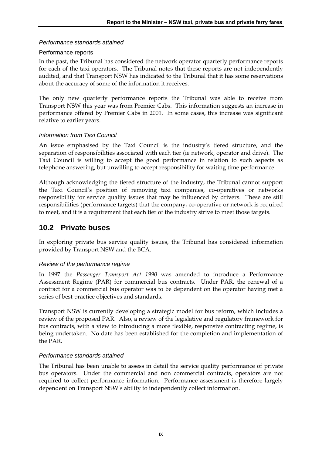#### *Performance standards attained*

#### Performance reports

In the past, the Tribunal has considered the network operator quarterly performance reports for each of the taxi operators. The Tribunal notes that these reports are not independently audited, and that Transport NSW has indicated to the Tribunal that it has some reservations about the accuracy of some of the information it receives.

The only new quarterly performance reports the Tribunal was able to receive from Transport NSW this year was from Premier Cabs. This information suggests an increase in performance offered by Premier Cabs in 2001. In some cases, this increase was significant relative to earlier years.

#### *Information from Taxi Council*

An issue emphasised by the Taxi Council is the industry's tiered structure, and the separation of responsibilities associated with each tier (ie network, operator and drive). The Taxi Council is willing to accept the good performance in relation to such aspects as telephone answering, but unwilling to accept responsibility for waiting time performance.

Although acknowledging the tiered structure of the industry, the Tribunal cannot support the Taxi Council's position of removing taxi companies, co-operatives or networks responsibility for service quality issues that may be influenced by drivers. These are still responsibilities (performance targets) that the company, co-operative or network is required to meet, and it is a requirement that each tier of the industry strive to meet those targets.

#### **10.2 Private buses**

In exploring private bus service quality issues, the Tribunal has considered information provided by Transport NSW and the BCA.

#### *Review of the performance regime*

In 1997 the *Passenger Transport Act 1990* was amended to introduce a Performance Assessment Regime (PAR) for commercial bus contracts. Under PAR, the renewal of a contract for a commercial bus operator was to be dependent on the operator having met a series of best practice objectives and standards.

Transport NSW is currently developing a strategic model for bus reform, which includes a review of the proposed PAR. Also, a review of the legislative and regulatory framework for bus contracts, with a view to introducing a more flexible, responsive contracting regime, is being undertaken. No date has been established for the completion and implementation of the PAR.

#### *Performance standards attained*

The Tribunal has been unable to assess in detail the service quality performance of private bus operators. Under the commercial and non commercial contracts, operators are not required to collect performance information. Performance assessment is therefore largely dependent on Transport NSW's ability to independently collect information.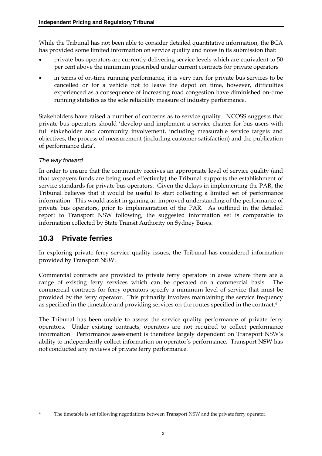While the Tribunal has not been able to consider detailed quantitative information, the BCA has provided some limited information on service quality and notes in its submission that:

- private bus operators are currently delivering service levels which are equivalent to 50 per cent above the minimum prescribed under current contracts for private operators
- in terms of on-time running performance, it is very rare for private bus services to be cancelled or for a vehicle not to leave the depot on time, however, difficulties experienced as a consequence of increasing road congestion have diminished on-time running statistics as the sole reliability measure of industry performance.

Stakeholders have raised a number of concerns as to service quality. NCOSS suggests that private bus operators should 'develop and implement a service charter for bus users with full stakeholder and community involvement, including measurable service targets and objectives, the process of measurement (including customer satisfaction) and the publication of performance data'.

#### *The way forward*

In order to ensure that the community receives an appropriate level of service quality (and that taxpayers funds are being used effectively) the Tribunal supports the establishment of service standards for private bus operators. Given the delays in implementing the PAR, the Tribunal believes that it would be useful to start collecting a limited set of performance information. This would assist in gaining an improved understanding of the performance of private bus operators, prior to implementation of the PAR. As outlined in the detailed report to Transport NSW following, the suggested information set is comparable to information collected by State Transit Authority on Sydney Buses.

## **10.3 Private ferries**

In exploring private ferry service quality issues, the Tribunal has considered information provided by Transport NSW.

Commercial contracts are provided to private ferry operators in areas where there are a range of existing ferry services which can be operated on a commercial basis. The commercial contracts for ferry operators specify a minimum level of service that must be provided by the ferry operator. This primarily involves maintaining the service frequency as specified in the timetable and providing services on the routes specified in the contract.4

The Tribunal has been unable to assess the service quality performance of private ferry operators. Under existing contracts, operators are not required to collect performance information. Performance assessment is therefore largely dependent on Transport NSW's ability to independently collect information on operator's performance. Transport NSW has not conducted any reviews of private ferry performance.

<sup>&</sup>lt;u>.</u> The timetable is set following negotiations between Transport NSW and the private ferry operator.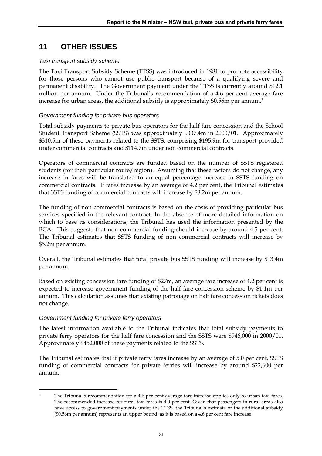## **11 OTHER ISSUES**

#### *Taxi transport subsidy scheme*

The Taxi Transport Subsidy Scheme (TTSS) was introduced in 1981 to promote accessibility for those persons who cannot use public transport because of a qualifying severe and permanent disability. The Government payment under the TTSS is currently around \$12.1 million per annum. Under the Tribunal's recommendation of a 4.6 per cent average fare increase for urban areas, the additional subsidy is approximately \$0.56m per annum.5

#### *Government funding for private bus operators*

Total subsidy payments to private bus operators for the half fare concession and the School Student Transport Scheme (SSTS) was approximately \$337.4m in 2000/01. Approximately \$310.5m of these payments related to the SSTS, comprising \$195.9m for transport provided under commercial contracts and \$114.7m under non commercial contracts.

Operators of commercial contracts are funded based on the number of SSTS registered students (for their particular route/region). Assuming that these factors do not change, any increase in fares will be translated to an equal percentage increase in SSTS funding on commercial contracts. If fares increase by an average of 4.2 per cent, the Tribunal estimates that SSTS funding of commercial contracts will increase by \$8.2m per annum.

The funding of non commercial contracts is based on the costs of providing particular bus services specified in the relevant contract. In the absence of more detailed information on which to base its considerations, the Tribunal has used the information presented by the BCA. This suggests that non commercial funding should increase by around 4.5 per cent. The Tribunal estimates that SSTS funding of non commercial contracts will increase by \$5.2m per annum*.*

Overall, the Tribunal estimates that total private bus SSTS funding will increase by \$13.4m per annum.

Based on existing concession fare funding of \$27m, an average fare increase of 4.2 per cent is expected to increase government funding of the half fare concession scheme by \$1.1m per annum. This calculation assumes that existing patronage on half fare concession tickets does not change.

#### *Government funding for private ferry operators*

The latest information available to the Tribunal indicates that total subsidy payments to private ferry operators for the half fare concession and the SSTS were \$946,000 in 2000/01. Approximately \$452,000 of these payments related to the SSTS.

The Tribunal estimates that if private ferry fares increase by an average of 5.0 per cent, SSTS funding of commercial contracts for private ferries will increase by around \$22,600 per annum.

<sup>-</sup><sup>5</sup> The Tribunal's recommendation for a 4.6 per cent average fare increase applies only to urban taxi fares. The recommended increase for rural taxi fares is 4.0 per cent. Given that passengers in rural areas also have access to government payments under the TTSS, the Tribunal's estimate of the additional subsidy (\$0.56m per annum) represents an upper bound, as it is based on a 4.6 per cent fare increase.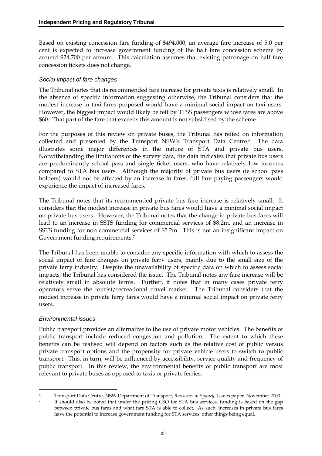Based on existing concession fare funding of \$494,000, an average fare increase of 5.0 per cent is expected to increase government funding of the half fare concession scheme by around \$24,700 per annum. This calculation assumes that existing patronage on half fare concession tickets does not change.

#### *Social impact of fare changes*

The Tribunal notes that its recommended fare increase for private taxis is relatively small. In the absence of specific information suggesting otherwise, the Tribunal considers that the modest increase in taxi fares proposed would have a minimal social impact on taxi users. However, the biggest impact would likely be felt by TTSS passengers whose fares are above \$60. That part of the fare that exceeds this amount is not subsidised by the scheme.

For the purposes of this review on private buses, the Tribunal has relied on information collected and presented by the Transport NSW's Transport Data Centre.<sup>6</sup> The data illustrates some major differences in the nature of STA and private bus users. Notwithstanding the limitations of the survey data, the data indicates that private bus users are predominantly school pass and single ticket users, who have relatively low incomes compared to STA bus users. Although the majority of private bus users (ie school pass holders) would not be affected by an increase in fares, full fare paying passengers would experience the impact of increased fares.

The Tribunal notes that its recommended private bus fare increase is relatively small. It considers that the modest increase in private bus fares would have a minimal social impact on private bus users. However, the Tribunal notes that the change in private bus fares will lead to an increase in SSTS funding for commercial services of \$8.2m, and an increase in SSTS funding for non commercial services of \$5.2m. This is not an insignificant impact on Government funding requirements.7

The Tribunal has been unable to consider any specific information with which to assess the social impact of fare changes on private ferry users, mainly due to the small size of the private ferry industry. Despite the unavailability of specific data on which to assess social impacts, the Tribunal has considered the issue. The Tribunal notes any fare increase will be relatively small in absolute terms. Further, it notes that in many cases private ferry operators serve the tourist/recreational travel market. The Tribunal considers that the modest increase in private ferry fares would have a minimal social impact on private ferry users.

#### *Environmental issues*

Public transport provides an alternative to the use of private motor vehicles. The benefits of public transport include reduced congestion and pollution. The extent to which these benefits can be realised will depend on factors such as the relative cost of public versus private transport options and the propensity for private vehicle users to switch to public transport. This, in turn, will be influenced by accessibility, service quality and frequency of public transport. In this review, the environmental benefits of public transport are most relevant to private buses as opposed to taxis or private ferries.

<sup>-</sup>6 Transport Data Centre, NSW Department of Transport, *Bus users in Sydney*, Issues paper, November 2000.

<sup>7</sup> It should also be noted that under the pricing CSO for STA bus services, funding is based on the gap between private bus fares and what fare STA is able to collect. As such, increases in private bus fares have the potential to increase government funding for STA services, other things being equal.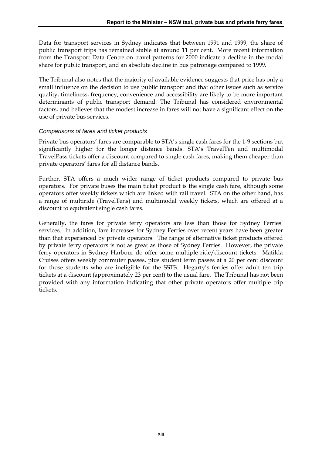Data for transport services in Sydney indicates that between 1991 and 1999, the share of public transport trips has remained stable at around 11 per cent. More recent information from the Transport Data Centre on travel patterns for 2000 indicate a decline in the modal share for public transport, and an absolute decline in bus patronage compared to 1999.

The Tribunal also notes that the majority of available evidence suggests that price has only a small influence on the decision to use public transport and that other issues such as service quality, timeliness, frequency, convenience and accessibility are likely to be more important determinants of public transport demand. The Tribunal has considered environmental factors, and believes that the modest increase in fares will not have a significant effect on the use of private bus services.

#### *Comparisons of fares and ticket products*

Private bus operators' fares are comparable to STA's single cash fares for the 1-9 sections but significantly higher for the longer distance bands. STA's TravelTen and multimodal TravelPass tickets offer a discount compared to single cash fares, making them cheaper than private operators' fares for all distance bands.

Further, STA offers a much wider range of ticket products compared to private bus operators. For private buses the main ticket product is the single cash fare, although some operators offer weekly tickets which are linked with rail travel. STA on the other hand, has a range of multiride (TravelTens) and multimodal weekly tickets, which are offered at a discount to equivalent single cash fares.

Generally, the fares for private ferry operators are less than those for Sydney Ferries' services. In addition, fare increases for Sydney Ferries over recent years have been greater than that experienced by private operators. The range of alternative ticket products offered by private ferry operators is not as great as those of Sydney Ferries. However, the private ferry operators in Sydney Harbour do offer some multiple ride/discount tickets. Matilda Cruises offers weekly commuter passes, plus student term passes at a 20 per cent discount for those students who are ineligible for the SSTS. Hegarty's ferries offer adult ten trip tickets at a discount (approximately 23 per cent) to the usual fare. The Tribunal has not been provided with any information indicating that other private operators offer multiple trip tickets.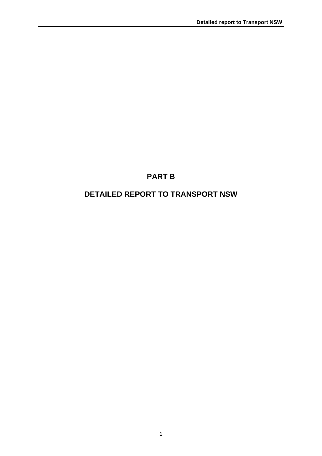## **PART B**

## **DETAILED REPORT TO TRANSPORT NSW**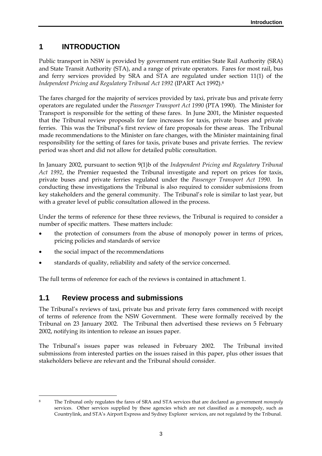## **1 INTRODUCTION**

Public transport in NSW is provided by government run entities State Rail Authority (SRA) and State Transit Authority (STA), and a range of private operators. Fares for most rail, bus and ferry services provided by SRA and STA are regulated under section 11(1) of the *Independent Pricing and Regulatory Tribunal Act 1992* (IPART Act 1992).8

The fares charged for the majority of services provided by taxi, private bus and private ferry operators are regulated under the *Passenger Transport Act 1990* (PTA 1990).The Minister for Transport is responsible for the setting of these fares. In June 2001, the Minister requested that the Tribunal review proposals for fare increases for taxis, private buses and private ferries. This was the Tribunal's first review of fare proposals for these areas. The Tribunal made recommendations to the Minister on fare changes, with the Minister maintaining final responsibility for the setting of fares for taxis, private buses and private ferries. The review period was short and did not allow for detailed public consultation.

In January 2002, pursuant to section 9(1)b of the *Independent Pricing and Regulatory Tribunal Act 1992*, the Premier requested the Tribunal investigate and report on prices for taxis, private buses and private ferries regulated under the *Passenger Transport Act 1990*. In conducting these investigations the Tribunal is also required to consider submissions from key stakeholders and the general community. The Tribunal's role is similar to last year, but with a greater level of public consultation allowed in the process.

Under the terms of reference for these three reviews, the Tribunal is required to consider a number of specific matters. These matters include:

- the protection of consumers from the abuse of monopoly power in terms of prices, pricing policies and standards of service
- the social impact of the recommendations
- standards of quality, reliability and safety of the service concerned.

The full terms of reference for each of the reviews is contained in attachment 1.

### **1.1 Review process and submissions**

The Tribunal's reviews of taxi, private bus and private ferry fares commenced with receipt of terms of reference from the NSW Government. These were formally received by the Tribunal on 23 January 2002. The Tribunal then advertised these reviews on 5 February 2002, notifying its intention to release an issues paper.

The Tribunal's issues paper was released in February 2002. The Tribunal invited submissions from interested parties on the issues raised in this paper, plus other issues that stakeholders believe are relevant and the Tribunal should consider.

<sup>&</sup>lt;u>.</u> 8 The Tribunal only regulates the fares of SRA and STA services that are declared as government *monopoly* services. Other services supplied by these agencies which are not classified as a monopoly, such as Countrylink, and STA's Airport Express and Sydney Explorer services, are not regulated by the Tribunal.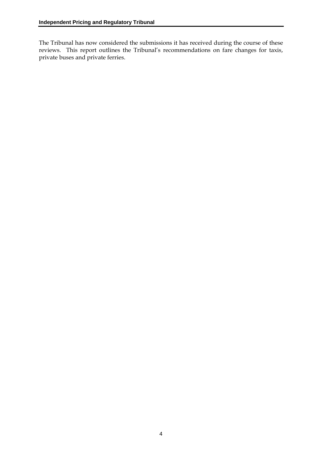The Tribunal has now considered the submissions it has received during the course of these reviews. This report outlines the Tribunal's recommendations on fare changes for taxis, private buses and private ferries.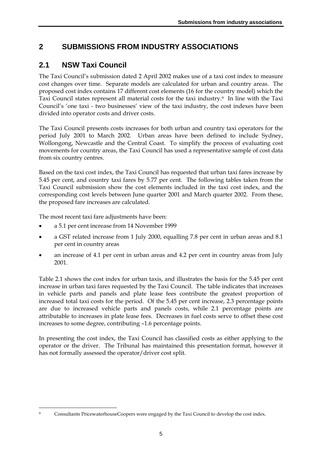## **2 SUBMISSIONS FROM INDUSTRY ASSOCIATIONS**

## **2.1 NSW Taxi Council**

The Taxi Council's submission dated 2 April 2002 makes use of a taxi cost index to measure cost changes over time. Separate models are calculated for urban and country areas. The proposed cost index contains 17 different cost elements (16 for the country model) which the Taxi Council states represent all material costs for the taxi industry.9 In line with the Taxi Council's 'one taxi - two businesses' view of the taxi industry, the cost indexes have been divided into operator costs and driver costs.

The Taxi Council presents costs increases for both urban and country taxi operators for the period July 2001 to March 2002. Urban areas have been defined to include Sydney, Wollongong, Newcastle and the Central Coast. To simplify the process of evaluating cost movements for country areas, the Taxi Council has used a representative sample of cost data from six country centres.

Based on the taxi cost index, the Taxi Council has requested that urban taxi fares increase by 5.45 per cent, and country taxi fares by 5.77 per cent. The following tables taken from the Taxi Council submission show the cost elements included in the taxi cost index, and the corresponding cost levels between June quarter 2001 and March quarter 2002. From these, the proposed fare increases are calculated.

The most recent taxi fare adjustments have been:

- a 5.1 per cent increase from 14 November 1999
- a GST related increase from 1 July 2000, equalling 7.8 per cent in urban areas and 8.1 per cent in country areas
- an increase of 4.1 per cent in urban areas and 4.2 per cent in country areas from July 2001.

Table 2.1 shows the cost index for urban taxis, and illustrates the basis for the 5.45 per cent increase in urban taxi fares requested by the Taxi Council. The table indicates that increases in vehicle parts and panels and plate lease fees contribute the greatest proportion of increased total taxi costs for the period. Of the 5.45 per cent increase, 2.3 percentage points are due to increased vehicle parts and panels costs, while 2.1 percentage points are attributable to increases in plate lease fees. Decreases in fuel costs serve to offset these cost increases to some degree, contributing –1.6 percentage points.

In presenting the cost index, the Taxi Council has classified costs as either applying to the operator or the driver. The Tribunal has maintained this presentation format, however it has not formally assessed the operator/driver cost split.

<sup>&</sup>lt;u>.</u> Consultants PricewaterhouseCoopers were engaged by the Taxi Council to develop the cost index.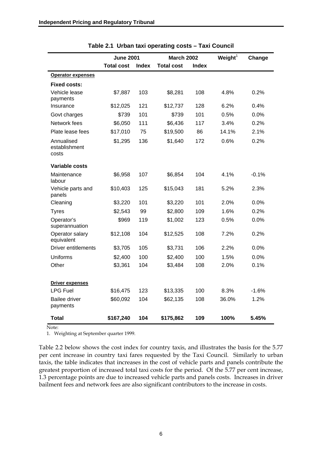|                                      | <b>June 2001</b>  |              | <b>March 2002</b> |              | Weight $1$ | Change  |
|--------------------------------------|-------------------|--------------|-------------------|--------------|------------|---------|
|                                      | <b>Total cost</b> | <b>Index</b> | <b>Total cost</b> | <b>Index</b> |            |         |
| <b>Operator expenses</b>             |                   |              |                   |              |            |         |
| <b>Fixed costs:</b>                  |                   |              |                   |              |            |         |
| Vehicle lease<br>payments            | \$7,887           | 103          | \$8,281           | 108          | 4.8%       | 0.2%    |
| Insurance                            | \$12,025          | 121          | \$12,737          | 128          | 6.2%       | 0.4%    |
| Govt charges                         | \$739             | 101          | \$739             | 101          | 0.5%       | 0.0%    |
| Network fees                         | \$6,050           | 111          | \$6,436           | 117          | 3.4%       | 0.2%    |
| Plate lease fees                     | \$17,010          | 75           | \$19,500          | 86           | 14.1%      | 2.1%    |
| Annualised<br>establishment<br>costs | \$1,295           | 136          | \$1,640           | 172          | 0.6%       | 0.2%    |
| Variable costs                       |                   |              |                   |              |            |         |
| Maintenance<br>labour                | \$6,958           | 107          | \$6,854           | 104          | 4.1%       | $-0.1%$ |
| Vehicle parts and<br>panels          | \$10,403          | 125          | \$15,043          | 181          | 5.2%       | 2.3%    |
| Cleaning                             | \$3,220           | 101          | \$3,220           | 101          | 2.0%       | 0.0%    |
| <b>Tyres</b>                         | \$2,543           | 99           | \$2,800           | 109          | 1.6%       | 0.2%    |
| Operator's<br>superannuation         | \$969             | 119          | \$1,002           | 123          | 0.5%       | 0.0%    |
| Operator salary<br>equivalent        | \$12,108          | 104          | \$12,525          | 108          | 7.2%       | 0.2%    |
| <b>Driver entitlements</b>           | \$3,705           | 105          | \$3,731           | 106          | 2.2%       | 0.0%    |
| Uniforms                             | \$2,400           | 100          | \$2,400           | 100          | 1.5%       | 0.0%    |
| Other                                | \$3,361           | 104          | \$3,484           | 108          | 2.0%       | 0.1%    |
| <b>Driver expenses</b>               |                   |              |                   |              |            |         |
| <b>LPG Fuel</b>                      | \$16,475          | 123          | \$13,335          | 100          | 8.3%       | $-1.6%$ |
| <b>Bailee driver</b><br>payments     | \$60,092          | 104          | \$62,135          | 108          | 36.0%      | 1.2%    |
| <b>Total</b>                         | \$167,240         | 104          | \$175,862         | 109          | 100%       | 5.45%   |

**Table 2.1 Urban taxi operating costs – Taxi Council** 

Note:

1. Weighting at September quarter 1999.

Table 2.2 below shows the cost index for country taxis, and illustrates the basis for the 5.77 per cent increase in country taxi fares requested by the Taxi Council. Similarly to urban taxis, the table indicates that increases in the cost of vehicle parts and panels contribute the greatest proportion of increased total taxi costs for the period. Of the 5.77 per cent increase, 1.3 percentage points are due to increased vehicle parts and panels costs. Increases in driver bailment fees and network fees are also significant contributors to the increase in costs.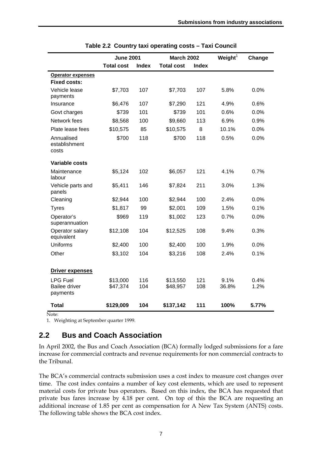|                                                     | <b>June 2001</b>     |              |                      | <b>March 2002</b> |               | Change       |
|-----------------------------------------------------|----------------------|--------------|----------------------|-------------------|---------------|--------------|
|                                                     | <b>Total cost</b>    | <b>Index</b> | <b>Total cost</b>    | <b>Index</b>      |               |              |
| <b>Operator expenses</b>                            |                      |              |                      |                   |               |              |
| <b>Fixed costs:</b>                                 |                      |              |                      |                   |               |              |
| Vehicle lease<br>payments                           | \$7,703              | 107          | \$7,703              | 107               | 5.8%          | $0.0\%$      |
| Insurance                                           | \$6,476              | 107          | \$7,290              | 121               | 4.9%          | 0.6%         |
| Govt charges                                        | \$739                | 101          | \$739                | 101               | 0.6%          | 0.0%         |
| Network fees                                        | \$8,568              | 100          | \$9,660              | 113               | 6.9%          | 0.9%         |
| Plate lease fees                                    | \$10,575             | 85           | \$10,575             | 8                 | 10.1%         | 0.0%         |
| Annualised<br>establishment<br>costs                | \$700                | 118          | \$700                | 118               | 0.5%          | 0.0%         |
| <b>Variable costs</b>                               |                      |              |                      |                   |               |              |
| Maintenance<br>labour                               | \$5,124              | 102          | \$6,057              | 121               | 4.1%          | 0.7%         |
| Vehicle parts and<br>panels                         | \$5,411              | 146          | \$7,824              | 211               | 3.0%          | 1.3%         |
| Cleaning                                            | \$2,944              | 100          | \$2,944              | 100               | 2.4%          | 0.0%         |
| <b>Tyres</b>                                        | \$1,817              | 99           | \$2,001              | 109               | 1.5%          | 0.1%         |
| Operator's<br>superannuation                        | \$969                | 119          | \$1,002              | 123               | 0.7%          | 0.0%         |
| Operator salary<br>equivalent                       | \$12,108             | 104          | \$12,525             | 108               | 9.4%          | 0.3%         |
| <b>Uniforms</b>                                     | \$2,400              | 100          | \$2,400              | 100               | 1.9%          | 0.0%         |
| Other                                               | \$3,102              | 104          | \$3,216              | 108               | 2.4%          | 0.1%         |
| <b>Driver expenses</b>                              |                      |              |                      |                   |               |              |
| <b>LPG Fuel</b><br><b>Bailee driver</b><br>payments | \$13,000<br>\$47,374 | 116<br>104   | \$13,550<br>\$48,957 | 121<br>108        | 9.1%<br>36.8% | 0.4%<br>1.2% |
| Total                                               | \$129,009            | 104          | \$137,142            | 111               | 100%          | 5.77%        |

**Table 2.2 Country taxi operating costs – Taxi Council** 

Note:

1. Weighting at September quarter 1999.

## **2.2 Bus and Coach Association**

In April 2002, the Bus and Coach Association (BCA) formally lodged submissions for a fare increase for commercial contracts and revenue requirements for non commercial contracts to the Tribunal.

The BCA's commercial contracts submission uses a cost index to measure cost changes over time. The cost index contains a number of key cost elements, which are used to represent material costs for private bus operators. Based on this index, the BCA has requested that private bus fares increase by 4.18 per cent. On top of this the BCA are requesting an additional increase of 1.85 per cent as compensation for A New Tax System (ANTS) costs. The following table shows the BCA cost index.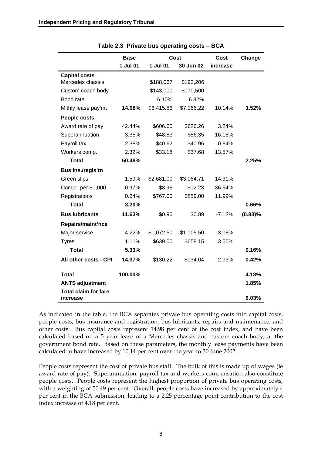|                                         | <b>Base</b> | Cost       |            | Cost     | Change     |
|-----------------------------------------|-------------|------------|------------|----------|------------|
|                                         | 1 Jul 01    | 1 Jul 01   | 30 Jun 02  | increase |            |
| <b>Capital costs</b>                    |             |            |            |          |            |
| Mercedes chassis                        |             | \$188,067  | \$192,206  |          |            |
| Custom coach body                       |             | \$143,000  | \$170,500  |          |            |
| Bond rate                               |             | 6.10%      | 6.32%      |          |            |
| M'thly lease pay'mt                     | 14.98%      | \$6,415.86 | \$7,066.22 | 10.14%   | 1.52%      |
| People costs                            |             |            |            |          |            |
| Award rate of pay                       | 42.44%      | \$606.60   | \$626.26   | 3.24%    |            |
| Superannuation                          | 3.35%       | \$48.53    | \$56.35    | 16.15%   |            |
| Payroll tax                             | 2.38%       | \$40.62    | \$40.96    | 0.84%    |            |
| Workers comp.                           | 2.32%       | \$33.18    | \$37.68    | 13.57%   |            |
| <b>Total</b>                            | 50.49%      |            |            |          | 2.25%      |
| Bus ins./regis'tn                       |             |            |            |          |            |
| Green slips                             | 1.59%       | \$2,681.00 | \$3,064.71 | 14.31%   |            |
| Compr. per \$1,000                      | 0.97%       | \$8.96     | \$12.23    | 36.54%   |            |
| Registrations                           | 0.64%       | \$767.00   | \$859.00   | 11.99%   |            |
| <b>Total</b>                            | 3.20%       |            |            |          | 0.66%      |
| <b>Bus lubricants</b>                   | 11.63%      | \$0.96     | \$0.89     | $-7.12%$ | $(0.83)\%$ |
| Repairs/maint'nce                       |             |            |            |          |            |
| Major service                           | 4.22%       | \$1,072.50 | \$1,105.50 | 3.08%    |            |
| <b>Tyres</b>                            | 1.11%       | \$639.00   | \$658.15   | 3.00%    |            |
| <b>Total</b>                            | 5.33%       |            |            |          | 0.16%      |
| All other costs - CPI                   | 14.37%      | \$130.22   | \$134.04   | 2.93%    | 0.42%      |
| <b>Total</b>                            | 100.00%     |            |            |          | 4.18%      |
| <b>ANTS adjustment</b>                  |             |            |            |          | 1.85%      |
| <b>Total claim for fare</b><br>increase |             |            |            |          | 6.03%      |

**Table 2.3 Private bus operating costs – BCA** 

As indicated in the table, the BCA separates private bus operating costs into capital costs, people costs, bus insurance and registration, bus lubricants, repairs and maintenance, and other costs. Bus capital costs represent 14.98 per cent of the cost index, and have been calculated based on a 5 year lease of a Mercedes chassis and custom coach body, at the government bond rate. Based on these parameters, the monthly lease payments have been calculated to have increased by 10.14 per cent over the year to 30 June 2002.

People costs represent the cost of private bus staff. The bulk of this is made up of wages (ie award rate of pay). Superannuation, payroll tax and workers compensation also constitute people costs. People costs represent the highest proportion of private bus operating costs, with a weighting of 50.49 per cent. Overall, people costs have increased by approximately 4 per cent in the BCA submission, leading to a 2.25 percentage point contribution to the cost index increase of 4.18 per cent.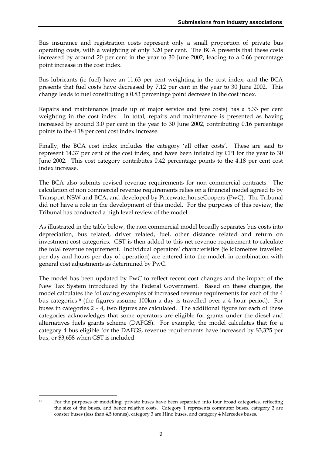Bus insurance and registration costs represent only a small proportion of private bus operating costs, with a weighting of only 3.20 per cent. The BCA presents that these costs increased by around 20 per cent in the year to 30 June 2002, leading to a 0.66 percentage point increase in the cost index.

Bus lubricants (ie fuel) have an 11.63 per cent weighting in the cost index, and the BCA presents that fuel costs have decreased by 7.12 per cent in the year to 30 June 2002. This change leads to fuel constituting a 0.83 percentage point decrease in the cost index.

Repairs and maintenance (made up of major service and tyre costs) has a 5.33 per cent weighting in the cost index. In total, repairs and maintenance is presented as having increased by around 3.0 per cent in the year to 30 June 2002, contributing 0.16 percentage points to the 4.18 per cent cost index increase.

Finally, the BCA cost index includes the category 'all other costs'. These are said to represent 14.37 per cent of the cost index, and have been inflated by CPI for the year to 30 June 2002. This cost category contributes 0.42 percentage points to the 4.18 per cent cost index increase.

The BCA also submits revised revenue requirements for non commercial contracts. The calculation of non commercial revenue requirements relies on a financial model agreed to by Transport NSW and BCA, and developed by PricewaterhouseCoopers (PwC). The Tribunal did not have a role in the development of this model. For the purposes of this review, the Tribunal has conducted a high level review of the model.

As illustrated in the table below, the non commercial model broadly separates bus costs into depreciation, bus related, driver related, fuel, other distance related and return on investment cost categories. GST is then added to this net revenue requirement to calculate the total revenue requirement. Individual operators' characteristics (ie kilometres travelled per day and hours per day of operation) are entered into the model, in combination with general cost adjustments as determined by PwC.

The model has been updated by PwC to reflect recent cost changes and the impact of the New Tax System introduced by the Federal Government. Based on these changes, the model calculates the following examples of increased revenue requirements for each of the 4 bus categories10 (the figures assume 100km a day is travelled over a 4 hour period). For buses in categories 2 – 4, two figures are calculated. The additional figure for each of these categories acknowledges that some operators are eligible for grants under the diesel and alternatives fuels grants scheme (DAFGS). For example, the model calculates that for a category 4 bus eligible for the DAFGS, revenue requirements have increased by \$3,325 per bus, or \$3,658 when GST is included.

<sup>&</sup>lt;u>.</u> 10 For the purposes of modelling, private buses have been separated into four broad categories, reflecting the size of the buses, and hence relative costs. Category 1 represents commuter buses, category 2 are coaster buses (less than 4.5 tonnes), category 3 are Hino buses, and category 4 Mercedes buses.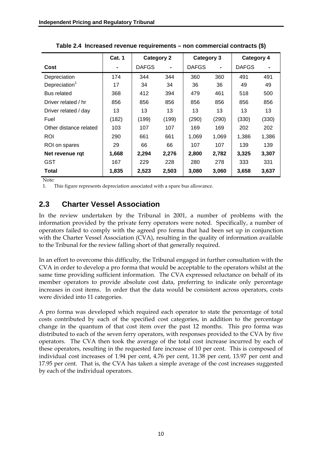|                           | <b>Cat. 1</b> | <b>Category 2</b> |                | Category 3   |       | <b>Category 4</b> |       |
|---------------------------|---------------|-------------------|----------------|--------------|-------|-------------------|-------|
| Cost                      |               | <b>DAFGS</b>      | $\blacksquare$ | <b>DAFGS</b> |       | <b>DAFGS</b>      |       |
| Depreciation              | 174           | 344               | 344            | 360          | 360   | 491               | 491   |
| Depreciation <sup>1</sup> | 17            | 34                | 34             | 36           | 36    | 49                | 49    |
| Bus related               | 368           | 412               | 394            | 479          | 461   | 518               | 500   |
| Driver related / hr       | 856           | 856               | 856            | 856          | 856   | 856               | 856   |
| Driver related / day      | 13            | 13                | 13             | 13           | 13    | 13                | 13    |
| Fuel                      | (182)         | (199)             | (199)          | (290)        | (290) | (330)             | (330) |
| Other distance related    | 103           | 107               | 107            | 169          | 169   | 202               | 202   |
| ROI                       | 290           | 661               | 661            | 1,069        | 1,069 | 1,386             | 1,386 |
| ROI on spares             | 29            | 66                | 66             | 107          | 107   | 139               | 139   |
| Net revenue rgt           | 1,668         | 2,294             | 2,276          | 2,800        | 2,782 | 3,325             | 3,307 |
| <b>GST</b>                | 167           | 229               | 228            | 280          | 278   | 333               | 331   |
| Total                     | 1,835         | 2,523             | 2,503          | 3,080        | 3,060 | 3,658             | 3,637 |

**Table 2.4 Increased revenue requirements – non commercial contracts (\$)** 

Note:

1. This figure represents depreciation associated with a spare bus allowance.

## **2.3 Charter Vessel Association**

In the review undertaken by the Tribunal in 2001, a number of problems with the information provided by the private ferry operators were noted. Specifically, a number of operators failed to comply with the agreed pro forma that had been set up in conjunction with the Charter Vessel Association (CVA), resulting in the quality of information available to the Tribunal for the review falling short of that generally required.

In an effort to overcome this difficulty, the Tribunal engaged in further consultation with the CVA in order to develop a pro forma that would be acceptable to the operators whilst at the same time providing sufficient information. The CVA expressed reluctance on behalf of its member operators to provide absolute cost data, preferring to indicate only percentage increases in cost items. In order that the data would be consistent across operators, costs were divided into 11 categories.

A pro forma was developed which required each operator to state the percentage of total costs contributed by each of the specified cost categories, in addition to the percentage change in the quantum of that cost item over the past 12 months. This pro forma was distributed to each of the seven ferry operators, with responses provided to the CVA by five operators. The CVA then took the average of the total cost increase incurred by each of these operators, resulting in the requested fare increase of 10 per cent. This is composed of individual cost increases of 1.94 per cent, 4.76 per cent, 11.38 per cent, 13.97 per cent and 17.95 per cent. That is, the CVA has taken a simple average of the cost increases suggested by each of the individual operators.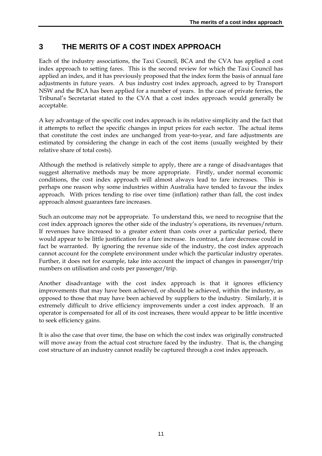## **3 THE MERITS OF A COST INDEX APPROACH**

Each of the industry associations, the Taxi Council, BCA and the CVA has applied a cost index approach to setting fares. This is the second review for which the Taxi Council has applied an index, and it has previously proposed that the index form the basis of annual fare adjustments in future years. A bus industry cost index approach, agreed to by Transport NSW and the BCA has been applied for a number of years. In the case of private ferries, the Tribunal's Secretariat stated to the CVA that a cost index approach would generally be acceptable.

A key advantage of the specific cost index approach is its relative simplicity and the fact that it attempts to reflect the specific changes in input prices for each sector. The actual items that constitute the cost index are unchanged from year-to-year, and fare adjustments are estimated by considering the change in each of the cost items (usually weighted by their relative share of total costs).

Although the method is relatively simple to apply, there are a range of disadvantages that suggest alternative methods may be more appropriate. Firstly, under normal economic conditions, the cost index approach will almost always lead to fare increases. This is perhaps one reason why some industries within Australia have tended to favour the index approach. With prices tending to rise over time (inflation) rather than fall, the cost index approach almost guarantees fare increases.

Such an outcome may not be appropriate. To understand this, we need to recognise that the cost index approach ignores the other side of the industry's operations, its revenues/return. If revenues have increased to a greater extent than costs over a particular period, there would appear to be little justification for a fare increase. In contrast, a fare decrease could in fact be warranted. By ignoring the revenue side of the industry, the cost index approach cannot account for the complete environment under which the particular industry operates. Further, it does not for example, take into account the impact of changes in passenger/trip numbers on utilisation and costs per passenger/trip.

Another disadvantage with the cost index approach is that it ignores efficiency improvements that may have been achieved, or should be achieved, within the industry, as opposed to those that may have been achieved by suppliers to the industry. Similarly, it is extremely difficult to drive efficiency improvements under a cost index approach. If an operator is compensated for all of its cost increases, there would appear to be little incentive to seek efficiency gains.

It is also the case that over time, the base on which the cost index was originally constructed will move away from the actual cost structure faced by the industry. That is, the changing cost structure of an industry cannot readily be captured through a cost index approach.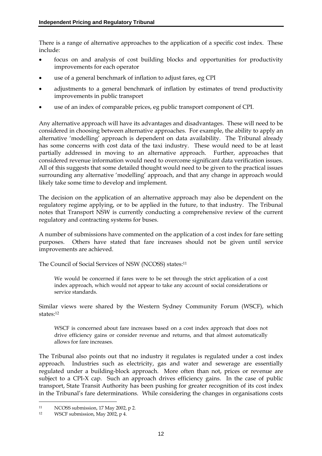There is a range of alternative approaches to the application of a specific cost index. These include:

- focus on and analysis of cost building blocks and opportunities for productivity improvements for each operator
- use of a general benchmark of inflation to adjust fares, eg CPI
- adjustments to a general benchmark of inflation by estimates of trend productivity improvements in public transport
- use of an index of comparable prices, eg public transport component of CPI.

Any alternative approach will have its advantages and disadvantages. These will need to be considered in choosing between alternative approaches. For example, the ability to apply an alternative 'modelling' approach is dependent on data availability. The Tribunal already has some concerns with cost data of the taxi industry. These would need to be at least partially addressed in moving to an alternative approach. Further, approaches that considered revenue information would need to overcome significant data verification issues. All of this suggests that some detailed thought would need to be given to the practical issues surrounding any alternative 'modelling' approach, and that any change in approach would likely take some time to develop and implement.

The decision on the application of an alternative approach may also be dependent on the regulatory regime applying, or to be applied in the future, to that industry. The Tribunal notes that Transport NSW is currently conducting a comprehensive review of the current regulatory and contracting systems for buses.

A number of submissions have commented on the application of a cost index for fare setting purposes. Others have stated that fare increases should not be given until service improvements are achieved.

The Council of Social Services of NSW (NCOSS) states:11

We would be concerned if fares were to be set through the strict application of a cost index approach, which would not appear to take any account of social considerations or service standards.

Similar views were shared by the Western Sydney Community Forum (WSCF), which states:12

WSCF is concerned about fare increases based on a cost index approach that does not drive efficiency gains or consider revenue and returns, and that almost automatically allows for fare increases.

The Tribunal also points out that no industry it regulates is regulated under a cost index approach. Industries such as electricity, gas and water and sewerage are essentially regulated under a building-block approach. More often than not, prices or revenue are subject to a CPI-X cap. Such an approach drives efficiency gains. In the case of public transport, State Transit Authority has been pushing for greater recognition of its cost index in the Tribunal's fare determinations. While considering the changes in organisations costs

<u>.</u>

<sup>11</sup> NCOSS submission, 17 May 2002, p 2.

<sup>12</sup> WSCF submission, May 2002, p 4.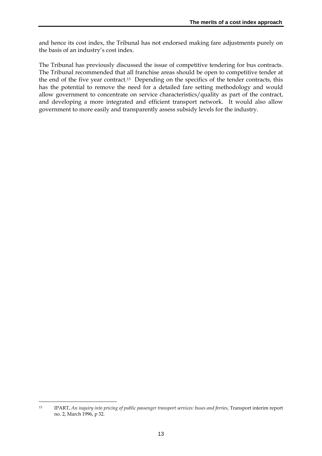and hence its cost index, the Tribunal has not endorsed making fare adjustments purely on the basis of an industry's cost index.

The Tribunal has previously discussed the issue of competitive tendering for bus contracts. The Tribunal recommended that all franchise areas should be open to competitive tender at the end of the five year contract.13 Depending on the specifics of the tender contracts, this has the potential to remove the need for a detailed fare setting methodology and would allow government to concentrate on service characteristics/quality as part of the contract, and developing a more integrated and efficient transport network. It would also allow government to more easily and transparently assess subsidy levels for the industry.

<sup>&</sup>lt;u>.</u> 13 IPART, *An inquiry into pricing of public passenger transport services: buses and ferries*, Transport interim report no. 2, March 1996, p 32.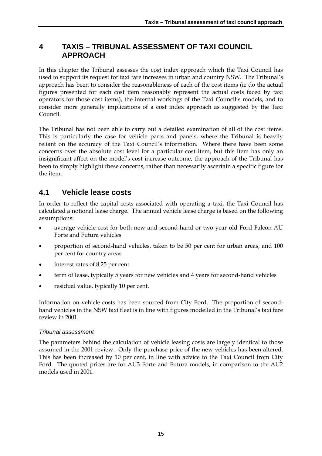# **4 TAXIS – TRIBUNAL ASSESSMENT OF TAXI COUNCIL APPROACH**

In this chapter the Tribunal assesses the cost index approach which the Taxi Council has used to support its request for taxi fare increases in urban and country NSW. The Tribunal's approach has been to consider the reasonableness of each of the cost items (ie do the actual figures presented for each cost item reasonably represent the actual costs faced by taxi operators for those cost items), the internal workings of the Taxi Council's models, and to consider more generally implications of a cost index approach as suggested by the Taxi Council.

The Tribunal has not been able to carry out a detailed examination of all of the cost items. This is particularly the case for vehicle parts and panels, where the Tribunal is heavily reliant on the accuracy of the Taxi Council's information. Where there have been some concerns over the absolute cost level for a particular cost item, but this item has only an insignificant affect on the model's cost increase outcome, the approach of the Tribunal has been to simply highlight these concerns, rather than necessarily ascertain a specific figure for the item.

# **4.1 Vehicle lease costs**

In order to reflect the capital costs associated with operating a taxi, the Taxi Council has calculated a notional lease charge. The annual vehicle lease charge is based on the following assumptions:

- average vehicle cost for both new and second-hand or two year old Ford Falcon AU Forte and Futura vehicles
- proportion of second-hand vehicles, taken to be 50 per cent for urban areas, and 100 per cent for country areas
- interest rates of 8.25 per cent
- term of lease, typically 5 years for new vehicles and 4 years for second-hand vehicles
- residual value, typically 10 per cent.

Information on vehicle costs has been sourced from City Ford. The proportion of secondhand vehicles in the NSW taxi fleet is in line with figures modelled in the Tribunal's taxi fare review in 2001.

### *Tribunal assessment*

The parameters behind the calculation of vehicle leasing costs are largely identical to those assumed in the 2001 review. Only the purchase price of the new vehicles has been altered. This has been increased by 10 per cent, in line with advice to the Taxi Council from City Ford. The quoted prices are for AU3 Forte and Futura models, in comparison to the AU2 models used in 2001.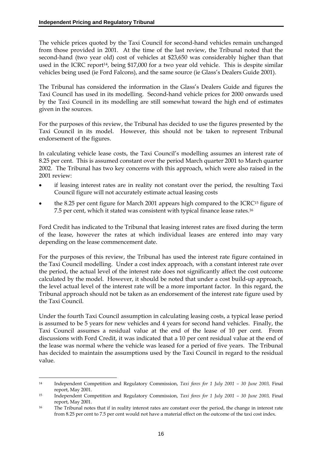The vehicle prices quoted by the Taxi Council for second-hand vehicles remain unchanged from those provided in 2001. At the time of the last review, the Tribunal noted that the second-hand (two year old) cost of vehicles at \$23,650 was considerably higher than that used in the ICRC report<sup>14</sup>, being \$17,000 for a two year old vehicle. This is despite similar vehicles being used (ie Ford Falcons), and the same source (ie Glass's Dealers Guide 2001).

The Tribunal has considered the information in the Glass's Dealers Guide and figures the Taxi Council has used in its modelling. Second-hand vehicle prices for 2000 onwards used by the Taxi Council in its modelling are still somewhat toward the high end of estimates given in the sources.

For the purposes of this review, the Tribunal has decided to use the figures presented by the Taxi Council in its model. However, this should not be taken to represent Tribunal endorsement of the figures.

In calculating vehicle lease costs, the Taxi Council's modelling assumes an interest rate of 8.25 per cent. This is assumed constant over the period March quarter 2001 to March quarter 2002. The Tribunal has two key concerns with this approach, which were also raised in the 2001 review:

- if leasing interest rates are in reality not constant over the period, the resulting Taxi Council figure will not accurately estimate actual leasing costs
- the 8.25 per cent figure for March 2001 appears high compared to the  $ICRC<sup>15</sup>$  figure of 7.5 per cent, which it stated was consistent with typical finance lease rates.16

Ford Credit has indicated to the Tribunal that leasing interest rates are fixed during the term of the lease, however the rates at which individual leases are entered into may vary depending on the lease commencement date.

For the purposes of this review, the Tribunal has used the interest rate figure contained in the Taxi Council modelling. Under a cost index approach, with a constant interest rate over the period, the actual level of the interest rate does not significantly affect the cost outcome calculated by the model. However, it should be noted that under a cost build-up approach, the level actual level of the interest rate will be a more important factor. In this regard, the Tribunal approach should not be taken as an endorsement of the interest rate figure used by the Taxi Council.

Under the fourth Taxi Council assumption in calculating leasing costs, a typical lease period is assumed to be 5 years for new vehicles and 4 years for second hand vehicles. Finally, the Taxi Council assumes a residual value at the end of the lease of 10 per cent. From discussions with Ford Credit, it was indicated that a 10 per cent residual value at the end of the lease was normal where the vehicle was leased for a period of five years. The Tribunal has decided to maintain the assumptions used by the Taxi Council in regard to the residual value.

<sup>&</sup>lt;u>.</u> 14 Independent Competition and Regulatory Commission, *Taxi fares for 1 July 2001 – 30 June 2003,* Final report, May 2001.

<sup>15</sup> Independent Competition and Regulatory Commission, *Taxi fares for 1 July 2001 – 30 June 2003,* Final report, May 2001.

<sup>16</sup> The Tribunal notes that if in reality interest rates are constant over the period, the change in interest rate from 8.25 per cent to 7.5 per cent would not have a material effect on the outcome of the taxi cost index.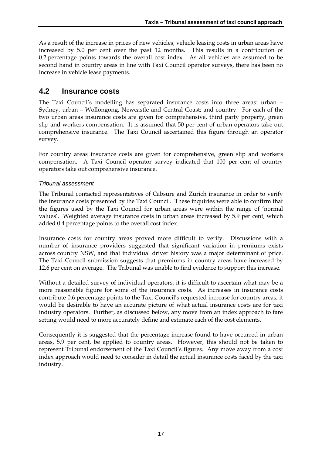As a result of the increase in prices of new vehicles, vehicle leasing costs in urban areas have increased by 5.0 per cent over the past 12 months. This results in a contribution of 0.2 percentage points towards the overall cost index. As all vehicles are assumed to be second hand in country areas in line with Taxi Council operator surveys, there has been no increase in vehicle lease payments.

### **4.2 Insurance costs**

The Taxi Council's modelling has separated insurance costs into three areas: urban – Sydney, urban – Wollongong, Newcastle and Central Coast; and country. For each of the two urban areas insurance costs are given for comprehensive, third party property, green slip and workers compensation. It is assumed that 50 per cent of urban operators take out comprehensive insurance. The Taxi Council ascertained this figure through an operator survey.

For country areas insurance costs are given for comprehensive, green slip and workers compensation. A Taxi Council operator survey indicated that 100 per cent of country operators take out comprehensive insurance.

#### *Tribunal assessment*

The Tribunal contacted representatives of Cabsure and Zurich insurance in order to verify the insurance costs presented by the Taxi Council. These inquiries were able to confirm that the figures used by the Taxi Council for urban areas were within the range of 'normal values'. Weighted average insurance costs in urban areas increased by 5.9 per cent, which added 0.4 percentage points to the overall cost index.

Insurance costs for country areas proved more difficult to verify. Discussions with a number of insurance providers suggested that significant variation in premiums exists across country NSW, and that individual driver history was a major determinant of price. The Taxi Council submission suggests that premiums in country areas have increased by 12.6 per cent on average. The Tribunal was unable to find evidence to support this increase.

Without a detailed survey of individual operators, it is difficult to ascertain what may be a more reasonable figure for some of the insurance costs. As increases in insurance costs contribute 0.6 percentage points to the Taxi Council's requested increase for country areas, it would be desirable to have an accurate picture of what actual insurance costs are for taxi industry operators. Further, as discussed below, any move from an index approach to fare setting would need to more accurately define and estimate each of the cost elements.

Consequently it is suggested that the percentage increase found to have occurred in urban areas, 5.9 per cent, be applied to country areas. However, this should not be taken to represent Tribunal endorsement of the Taxi Council's figures. Any move away from a cost index approach would need to consider in detail the actual insurance costs faced by the taxi industry.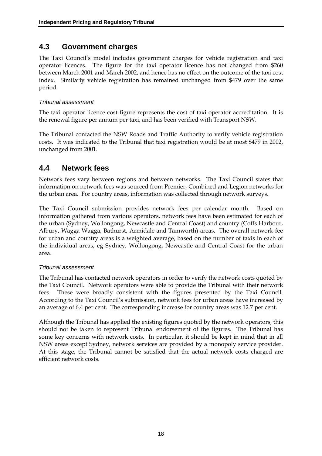### **4.3 Government charges**

The Taxi Council's model includes government charges for vehicle registration and taxi operator licences. The figure for the taxi operator licence has not changed from \$260 between March 2001 and March 2002, and hence has no effect on the outcome of the taxi cost index. Similarly vehicle registration has remained unchanged from \$479 over the same period.

#### *Tribunal assessment*

The taxi operator licence cost figure represents the cost of taxi operator accreditation. It is the renewal figure per annum per taxi, and has been verified with Transport NSW.

The Tribunal contacted the NSW Roads and Traffic Authority to verify vehicle registration costs. It was indicated to the Tribunal that taxi registration would be at most \$479 in 2002, unchanged from 2001.

### **4.4 Network fees**

Network fees vary between regions and between networks. The Taxi Council states that information on network fees was sourced from Premier, Combined and Legion networks for the urban area. For country areas, information was collected through network surveys.

The Taxi Council submission provides network fees per calendar month. Based on information gathered from various operators, network fees have been estimated for each of the urban (Sydney, Wollongong, Newcastle and Central Coast) and country (Coffs Harbour, Albury, Wagga Wagga, Bathurst, Armidale and Tamworth) areas. The overall network fee for urban and country areas is a weighted average, based on the number of taxis in each of the individual areas, eg Sydney, Wollongong, Newcastle and Central Coast for the urban area.

#### *Tribunal assessment*

The Tribunal has contacted network operators in order to verify the network costs quoted by the Taxi Council. Network operators were able to provide the Tribunal with their network fees. These were broadly consistent with the figures presented by the Taxi Council. According to the Taxi Council's submission, network fees for urban areas have increased by an average of 6.4 per cent. The corresponding increase for country areas was 12.7 per cent.

Although the Tribunal has applied the existing figures quoted by the network operators, this should not be taken to represent Tribunal endorsement of the figures. The Tribunal has some key concerns with network costs. In particular, it should be kept in mind that in all NSW areas except Sydney, network services are provided by a monopoly service provider. At this stage, the Tribunal cannot be satisfied that the actual network costs charged are efficient network costs.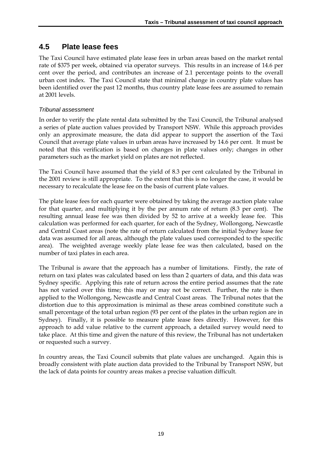## **4.5 Plate lease fees**

The Taxi Council have estimated plate lease fees in urban areas based on the market rental rate of \$375 per week, obtained via operator surveys. This results in an increase of 14.6 per cent over the period, and contributes an increase of 2.1 percentage points to the overall urban cost index. The Taxi Council state that minimal change in country plate values has been identified over the past 12 months, thus country plate lease fees are assumed to remain at 2001 levels.

#### *Tribunal assessment*

In order to verify the plate rental data submitted by the Taxi Council, the Tribunal analysed a series of plate auction values provided by Transport NSW. While this approach provides only an approximate measure, the data did appear to support the assertion of the Taxi Council that average plate values in urban areas have increased by 14.6 per cent. It must be noted that this verification is based on changes in plate values only; changes in other parameters such as the market yield on plates are not reflected.

The Taxi Council have assumed that the yield of 8.3 per cent calculated by the Tribunal in the 2001 review is still appropriate. To the extent that this is no longer the case, it would be necessary to recalculate the lease fee on the basis of current plate values.

The plate lease fees for each quarter were obtained by taking the average auction plate value for that quarter, and multiplying it by the per annum rate of return (8.3 per cent). The resulting annual lease fee was then divided by 52 to arrive at a weekly lease fee. This calculation was performed for each quarter, for each of the Sydney, Wollongong, Newcastle and Central Coast areas (note the rate of return calculated from the initial Sydney lease fee data was assumed for all areas, although the plate values used corresponded to the specific area). The weighted average weekly plate lease fee was then calculated, based on the number of taxi plates in each area.

The Tribunal is aware that the approach has a number of limitations. Firstly, the rate of return on taxi plates was calculated based on less than 2 quarters of data, and this data was Sydney specific. Applying this rate of return across the entire period assumes that the rate has not varied over this time; this may or may not be correct. Further, the rate is then applied to the Wollongong, Newcastle and Central Coast areas. The Tribunal notes that the distortion due to this approximation is minimal as these areas combined constitute such a small percentage of the total urban region (93 per cent of the plates in the urban region are in Sydney). Finally, it is possible to measure plate lease fees directly. However, for this approach to add value relative to the current approach, a detailed survey would need to take place. At this time and given the nature of this review, the Tribunal has not undertaken or requested such a survey.

In country areas, the Taxi Council submits that plate values are unchanged. Again this is broadly consistent with plate auction data provided to the Tribunal by Transport NSW, but the lack of data points for country areas makes a precise valuation difficult.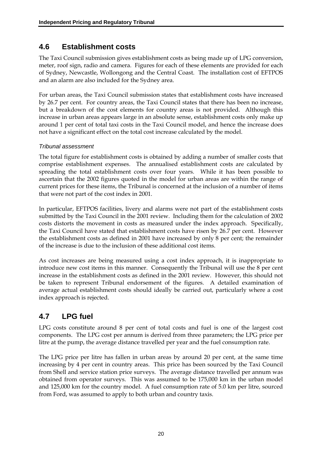## **4.6 Establishment costs**

The Taxi Council submission gives establishment costs as being made up of LPG conversion, meter, roof sign, radio and camera. Figures for each of these elements are provided for each of Sydney, Newcastle, Wollongong and the Central Coast. The installation cost of EFTPOS and an alarm are also included for the Sydney area.

For urban areas, the Taxi Council submission states that establishment costs have increased by 26.7 per cent. For country areas, the Taxi Council states that there has been no increase, but a breakdown of the cost elements for country areas is not provided. Although this increase in urban areas appears large in an absolute sense, establishment costs only make up around 1 per cent of total taxi costs in the Taxi Council model, and hence the increase does not have a significant effect on the total cost increase calculated by the model.

#### *Tribunal assessment*

The total figure for establishment costs is obtained by adding a number of smaller costs that comprise establishment expenses. The annualised establishment costs are calculated by spreading the total establishment costs over four years*.* While it has been possible to ascertain that the 2002 figures quoted in the model for urban areas are within the range of current prices for these items, the Tribunal is concerned at the inclusion of a number of items that were not part of the cost index in 2001.

In particular, EFTPOS facilities, livery and alarms were not part of the establishment costs submitted by the Taxi Council in the 2001 review. Including them for the calculation of 2002 costs distorts the movement in costs as measured under the index approach. Specifically, the Taxi Council have stated that establishment costs have risen by 26.7 per cent. However the establishment costs as defined in 2001 have increased by only 8 per cent; the remainder of the increase is due to the inclusion of these additional cost items.

As cost increases are being measured using a cost index approach, it is inappropriate to introduce new cost items in this manner. Consequently the Tribunal will use the 8 per cent increase in the establishment costs as defined in the 2001 review. However, this should not be taken to represent Tribunal endorsement of the figures. A detailed examination of average actual establishment costs should ideally be carried out, particularly where a cost index approach is rejected.

# **4.7 LPG fuel**

LPG costs constitute around 8 per cent of total costs and fuel is one of the largest cost components. The LPG cost per annum is derived from three parameters; the LPG price per litre at the pump, the average distance travelled per year and the fuel consumption rate.

The LPG price per litre has fallen in urban areas by around 20 per cent, at the same time increasing by 4 per cent in country areas. This price has been sourced by the Taxi Council from Shell and service station price surveys. The average distance travelled per annum was obtained from operator surveys. This was assumed to be 175,000 km in the urban model and 125,000 km for the country model. A fuel consumption rate of 5.0 km per litre, sourced from Ford, was assumed to apply to both urban and country taxis.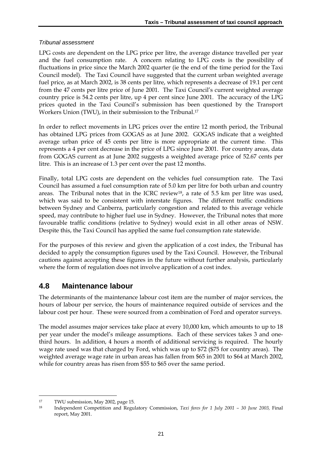#### *Tribunal assessment*

LPG costs are dependent on the LPG price per litre, the average distance travelled per year and the fuel consumption rate. A concern relating to LPG costs is the possibility of fluctuations in price since the March 2002 quarter (ie the end of the time period for the Taxi Council model). The Taxi Council have suggested that the current urban weighted average fuel price, as at March 2002, is 38 cents per litre, which represents a decrease of 19.1 per cent from the 47 cents per litre price of June 2001. The Taxi Council's current weighted average country price is 54.2 cents per litre, up 4 per cent since June 2001. The accuracy of the LPG prices quoted in the Taxi Council's submission has been questioned by the Transport Workers Union (TWU), in their submission to the Tribunal.17

In order to reflect movements in LPG prices over the entire 12 month period, the Tribunal has obtained LPG prices from GOGAS as at June 2002. GOGAS indicate that a weighted average urban price of 45 cents per litre is more appropriate at the current time. This represents a 4 per cent decrease in the price of LPG since June 2001. For country areas, data from GOGAS current as at June 2002 suggests a weighted average price of 52.67 cents per litre. This is an increase of 1.3 per cent over the past 12 months.

Finally, total LPG costs are dependent on the vehicles fuel consumption rate. The Taxi Council has assumed a fuel consumption rate of 5.0 km per litre for both urban and country areas. The Tribunal notes that in the ICRC review18, a rate of 5.5 km per litre was used, which was said to be consistent with interstate figures. The different traffic conditions between Sydney and Canberra, particularly congestion and related to this average vehicle speed, may contribute to higher fuel use in Sydney. However, the Tribunal notes that more favourable traffic conditions (relative to Sydney) would exist in all other areas of NSW. Despite this, the Taxi Council has applied the same fuel consumption rate statewide.

For the purposes of this review and given the application of a cost index, the Tribunal has decided to apply the consumption figures used by the Taxi Council. However, the Tribunal cautions against accepting these figures in the future without further analysis, particularly where the form of regulation does not involve application of a cost index.

### **4.8 Maintenance labour**

The determinants of the maintenance labour cost item are the number of major services, the hours of labour per service, the hours of maintenance required outside of services and the labour cost per hour. These were sourced from a combination of Ford and operator surveys.

The model assumes major services take place at every 10,000 km, which amounts to up to 18 per year under the model's mileage assumptions. Each of these services takes 3 and onethird hours. In addition, 4 hours a month of additional servicing is required. The hourly wage rate used was that charged by Ford, which was up to \$72 (\$75 for country areas). The weighted average wage rate in urban areas has fallen from \$65 in 2001 to \$64 at March 2002, while for country areas has risen from \$55 to \$65 over the same period.

<u>.</u>

<sup>17</sup> TWU submission, May 2002, page 15.

<sup>18</sup> Independent Competition and Regulatory Commission, *Taxi fares for 1 July 2001 – 30 June 2003,* Final report, May 2001.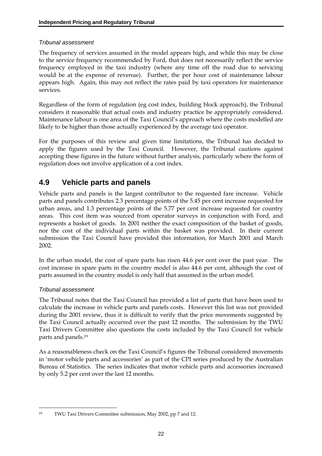### *Tribunal assessment*

The frequency of services assumed in the model appears high, and while this may be close to the service frequency recommended by Ford, that does not necessarily reflect the service frequency employed in the taxi industry (where any time off the road due to servicing would be at the expense of revenue). Further, the per hour cost of maintenance labour appears high. Again, this may not reflect the rates paid by taxi operators for maintenance services.

Regardless of the form of regulation (eg cost index, building block approach), the Tribunal considers it reasonable that actual costs and industry practice be appropriately considered. Maintenance labour is one area of the Taxi Council's approach where the costs modelled are likely to be higher than those actually experienced by the average taxi operator.

For the purposes of this review and given time limitations, the Tribunal has decided to apply the figures used by the Taxi Council. However, the Tribunal cautions against accepting these figures in the future without further analysis, particularly where the form of regulation does not involve application of a cost index.

# **4.9 Vehicle parts and panels**

Vehicle parts and panels is the largest contributor to the requested fare increase. Vehicle parts and panels contributes 2.3 percentage points of the 5.45 per cent increase requested for urban areas, and 1.3 percentage points of the 5.77 per cent increase requested for country areas. This cost item was sourced from operator surveys in conjunction with Ford, and represents a basket of goods. In 2001 neither the exact composition of the basket of goods, nor the cost of the individual parts within the basket was provided. In their current submission the Taxi Council have provided this information, for March 2001 and March 2002.

In the urban model, the cost of spare parts has risen 44.6 per cent over the past year. The cost increase in spare parts in the country model is also 44.6 per cent, although the cost of parts assumed in the country model is only half that assumed in the urban model.

### *Tribunal assessment*

<u>.</u>

The Tribunal notes that the Taxi Council has provided a list of parts that have been used to calculate the increase in vehicle parts and panels costs. However this list was not provided during the 2001 review, thus it is difficult to verify that the price movements suggested by the Taxi Council actually occurred over the past 12 months. The submission by the TWU Taxi Drivers Committee also questions the costs included by the Taxi Council for vehicle parts and panels.19

As a reasonableness check on the Taxi Council's figures the Tribunal considered movements in 'motor vehicle parts and accessories' as part of the CPI series produced by the Australian Bureau of Statistics. The series indicates that motor vehicle parts and accessories increased by only 5.2 per cent over the last 12 months.

<sup>19</sup> TWU Taxi Drivers Committee submission, May 2002, pp 7 and 12.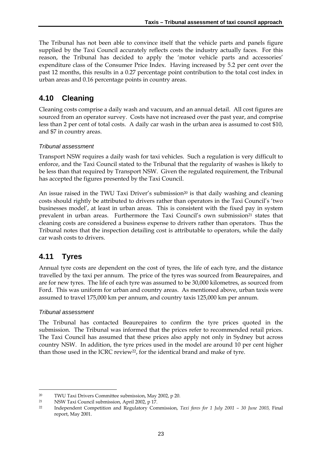The Tribunal has not been able to convince itself that the vehicle parts and panels figure supplied by the Taxi Council accurately reflects costs the industry actually faces. For this reason, the Tribunal has decided to apply the 'motor vehicle parts and accessories' expenditure class of the Consumer Price Index. Having increased by 5.2 per cent over the past 12 months, this results in a 0.27 percentage point contribution to the total cost index in urban areas and 0.16 percentage points in country areas.

# **4.10 Cleaning**

Cleaning costs comprise a daily wash and vacuum, and an annual detail. All cost figures are sourced from an operator survey. Costs have not increased over the past year, and comprise less than 2 per cent of total costs. A daily car wash in the urban area is assumed to cost \$10, and \$7 in country areas.

### *Tribunal assessment*

Transport NSW requires a daily wash for taxi vehicles. Such a regulation is very difficult to enforce, and the Taxi Council stated to the Tribunal that the regularity of washes is likely to be less than that required by Transport NSW. Given the regulated requirement, the Tribunal has accepted the figures presented by the Taxi Council.

An issue raised in the TWU Taxi Driver's submission<sup>20</sup> is that daily washing and cleaning costs should rightly be attributed to drivers rather than operators in the Taxi Council's 'two businesses model', at least in urban areas. This is consistent with the fixed pay in system prevalent in urban areas. Furthermore the Taxi Council's own submission<sup>21</sup> states that cleaning costs are considered a business expense to drivers rather than operators. Thus the Tribunal notes that the inspection detailing cost is attributable to operators, while the daily car wash costs to drivers.

## **4.11 Tyres**

Annual tyre costs are dependent on the cost of tyres, the life of each tyre, and the distance travelled by the taxi per annum. The price of the tyres was sourced from Beaurepaires, and are for new tyres. The life of each tyre was assumed to be 30,000 kilometres, as sourced from Ford. This was uniform for urban and country areas. As mentioned above, urban taxis were assumed to travel 175,000 km per annum, and country taxis 125,000 km per annum.

### *Tribunal assessment*

-

The Tribunal has contacted Beaurepaires to confirm the tyre prices quoted in the submission. The Tribunal was informed that the prices refer to recommended retail prices. The Taxi Council has assumed that these prices also apply not only in Sydney but across country NSW. In addition, the tyre prices used in the model are around 10 per cent higher than those used in the ICRC review<sup>22</sup>, for the identical brand and make of tyre.

<sup>20</sup> TWU Taxi Drivers Committee submission, May 2002, p 20.

<sup>21</sup> NSW Taxi Council submission, April 2002, p 17.

<sup>22</sup> Independent Competition and Regulatory Commission, *Taxi fares for 1 July 2001 – 30 June 2003,* Final report, May 2001.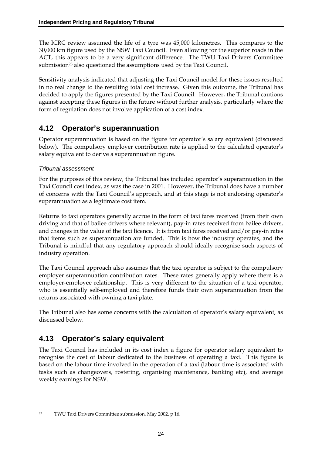The ICRC review assumed the life of a tyre was 45,000 kilometres. This compares to the 30,000 km figure used by the NSW Taxi Council. Even allowing for the superior roads in the ACT, this appears to be a very significant difference. The TWU Taxi Drivers Committee submission<sup>23</sup> also questioned the assumptions used by the Taxi Council.

Sensitivity analysis indicated that adjusting the Taxi Council model for these issues resulted in no real change to the resulting total cost increase. Given this outcome, the Tribunal has decided to apply the figures presented by the Taxi Council. However, the Tribunal cautions against accepting these figures in the future without further analysis, particularly where the form of regulation does not involve application of a cost index.

# **4.12 Operator's superannuation**

Operator superannuation is based on the figure for operator's salary equivalent (discussed below). The compulsory employer contribution rate is applied to the calculated operator's salary equivalent to derive a superannuation figure.

### *Tribunal assessment*

For the purposes of this review, the Tribunal has included operator's superannuation in the Taxi Council cost index, as was the case in 2001. However, the Tribunal does have a number of concerns with the Taxi Council's approach, and at this stage is not endorsing operator's superannuation as a legitimate cost item.

Returns to taxi operators generally accrue in the form of taxi fares received (from their own driving and that of bailee drivers where relevant), pay-in rates received from bailee drivers, and changes in the value of the taxi licence. It is from taxi fares received and/or pay-in rates that items such as superannuation are funded. This is how the industry operates, and the Tribunal is mindful that any regulatory approach should ideally recognise such aspects of industry operation.

The Taxi Council approach also assumes that the taxi operator is subject to the compulsory employer superannuation contribution rates. These rates generally apply where there is a employer-employee relationship. This is very different to the situation of a taxi operator, who is essentially self-employed and therefore funds their own superannuation from the returns associated with owning a taxi plate.

The Tribunal also has some concerns with the calculation of operator's salary equivalent, as discussed below.

# **4.13 Operator's salary equivalent**

The Taxi Council has included in its cost index a figure for operator salary equivalent to recognise the cost of labour dedicated to the business of operating a taxi. This figure is based on the labour time involved in the operation of a taxi (labour time is associated with tasks such as changeovers, rostering, organising maintenance, banking etc), and average weekly earnings for NSW.

<sup>&</sup>lt;u>.</u> 23 TWU Taxi Drivers Committee submission, May 2002, p 16.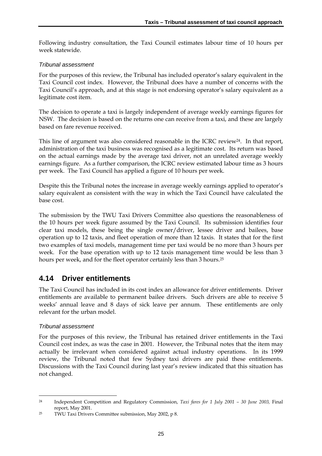Following industry consultation, the Taxi Council estimates labour time of 10 hours per week statewide.

#### *Tribunal assessment*

For the purposes of this review, the Tribunal has included operator's salary equivalent in the Taxi Council cost index. However, the Tribunal does have a number of concerns with the Taxi Council's approach, and at this stage is not endorsing operator's salary equivalent as a legitimate cost item.

The decision to operate a taxi is largely independent of average weekly earnings figures for NSW. The decision is based on the returns one can receive from a taxi, and these are largely based on fare revenue received.

This line of argument was also considered reasonable in the ICRC review<sup>24</sup>. In that report, administration of the taxi business was recognised as a legitimate cost. Its return was based on the actual earnings made by the average taxi driver, not an unrelated average weekly earnings figure. As a further comparison, the ICRC review estimated labour time as 3 hours per week. The Taxi Council has applied a figure of 10 hours per week.

Despite this the Tribunal notes the increase in average weekly earnings applied to operator's salary equivalent as consistent with the way in which the Taxi Council have calculated the base cost.

The submission by the TWU Taxi Drivers Committee also questions the reasonableness of the 10 hours per week figure assumed by the Taxi Council. Its submission identifies four clear taxi models, these being the single owner/driver, lessee driver and bailees, base operation up to 12 taxis, and fleet operation of more than 12 taxis. It states that for the first two examples of taxi models, management time per taxi would be no more than 3 hours per week. For the base operation with up to 12 taxis management time would be less than 3 hours per week, and for the fleet operator certainly less than 3 hours.25

### **4.14 Driver entitlements**

The Taxi Council has included in its cost index an allowance for driver entitlements. Driver entitlements are available to permanent bailee drivers. Such drivers are able to receive 5 weeks' annual leave and 8 days of sick leave per annum. These entitlements are only relevant for the urban model.

### *Tribunal assessment*

<u>.</u>

For the purposes of this review, the Tribunal has retained driver entitlements in the Taxi Council cost index, as was the case in 2001. However, the Tribunal notes that the item may actually be irrelevant when considered against actual industry operations. In its 1999 review, the Tribunal noted that few Sydney taxi drivers are paid these entitlements. Discussions with the Taxi Council during last year's review indicated that this situation has not changed.

<sup>24</sup> Independent Competition and Regulatory Commission, *Taxi fares for 1 July 2001 – 30 June 2003,* Final report, May 2001.

<sup>25</sup> TWU Taxi Drivers Committee submission, May 2002, p 8.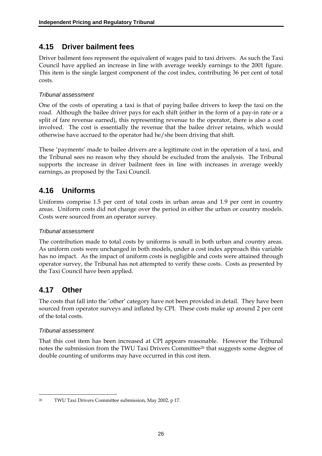## **4.15 Driver bailment fees**

Driver bailment fees represent the equivalent of wages paid to taxi drivers. As such the Taxi Council have applied an increase in line with average weekly earnings to the 2001 figure. This item is the single largest component of the cost index, contributing 36 per cent of total costs.

### *Tribunal assessment*

One of the costs of operating a taxi is that of paying bailee drivers to keep the taxi on the road. Although the bailee driver pays for each shift (either in the form of a pay-in rate or a split of fare revenue earned), this representing revenue to the operator, there is also a cost involved. The cost is essentially the revenue that the bailee driver retains, which would otherwise have accrued to the operator had he/she been driving that shift.

These 'payments' made to bailee drivers are a legitimate cost in the operation of a taxi, and the Tribunal sees no reason why they should be excluded from the analysis. The Tribunal supports the increase in driver bailment fees in line with increases in average weekly earnings, as proposed by the Taxi Council.

# **4.16 Uniforms**

Uniforms comprise 1.5 per cent of total costs in urban areas and 1.9 per cent in country areas. Uniform costs did not change over the period in either the urban or country models. Costs were sourced from an operator survey.

### *Tribunal assessment*

The contribution made to total costs by uniforms is small in both urban and country areas. As uniform costs were unchanged in both models, under a cost index approach this variable has no impact. As the impact of uniform costs is negligible and costs were attained through operator survey, the Tribunal has not attempted to verify these costs. Costs as presented by the Taxi Council have been applied.

## **4.17 Other**

The costs that fall into the 'other' category have not been provided in detail. They have been sourced from operator surveys and inflated by CPI. These costs make up around 2 per cent of the total costs.

### *Tribunal assessment*

That this cost item has been increased at CPI appears reasonable. However the Tribunal notes the submission from the TWU Taxi Drivers Committee<sup>26</sup> that suggests some degree of double counting of uniforms may have occurred in this cost item.

<sup>&</sup>lt;u>.</u> 26 TWU Taxi Drivers Committee submission, May 2002, p 17.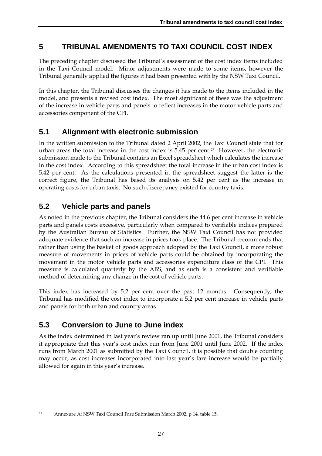## **5 TRIBUNAL AMENDMENTS TO TAXI COUNCIL COST INDEX**

The preceding chapter discussed the Tribunal's assessment of the cost index items included in the Taxi Council model. Minor adjustments were made to some items, however the Tribunal generally applied the figures it had been presented with by the NSW Taxi Council.

In this chapter, the Tribunal discusses the changes it has made to the items included in the model, and presents a revised cost index. The most significant of these was the adjustment of the increase in vehicle parts and panels to reflect increases in the motor vehicle parts and accessories component of the CPI.

## **5.1 Alignment with electronic submission**

In the written submission to the Tribunal dated 2 April 2002, the Taxi Council state that for urban areas the total increase in the cost index is 5.45 per cent.27 However, the electronic submission made to the Tribunal contains an Excel spreadsheet which calculates the increase in the cost index. According to this spreadsheet the total increase in the urban cost index is 5.42 per cent. As the calculations presented in the spreadsheet suggest the latter is the correct figure, the Tribunal has based its analysis on 5.42 per cent as the increase in operating costs for urban taxis. No such discrepancy existed for country taxis.

# **5.2 Vehicle parts and panels**

As noted in the previous chapter, the Tribunal considers the 44.6 per cent increase in vehicle parts and panels costs excessive, particularly when compared to verifiable indices prepared by the Australian Bureau of Statistics. Further, the NSW Taxi Council has not provided adequate evidence that such an increase in prices took place. The Tribunal recommends that rather than using the basket of goods approach adopted by the Taxi Council, a more robust measure of movements in prices of vehicle parts could be obtained by incorporating the movement in the motor vehicle parts and accessories expenditure class of the CPI. This measure is calculated quarterly by the ABS, and as such is a consistent and verifiable method of determining any change in the cost of vehicle parts.

This index has increased by 5.2 per cent over the past 12 months. Consequently, the Tribunal has modified the cost index to incorporate a 5.2 per cent increase in vehicle parts and panels for both urban and country areas.

## **5.3 Conversion to June to June index**

As the index determined in last year's review ran up until June 2001, the Tribunal considers it appropriate that this year's cost index run from June 2001 until June 2002. If the index runs from March 2001 as submitted by the Taxi Council, it is possible that double counting may occur, as cost increases incorporated into last year's fare increase would be partially allowed for again in this year's increase.

<sup>&</sup>lt;u>.</u> 27 Annexure A: NSW Taxi Council Fare Submission March 2002, p 14, table 15.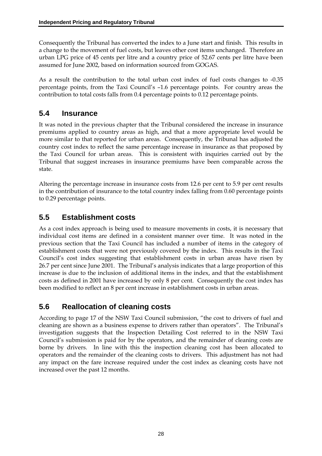Consequently the Tribunal has converted the index to a June start and finish. This results in a change to the movement of fuel costs, but leaves other cost items unchanged. Therefore an urban LPG price of 45 cents per litre and a country price of 52.67 cents per litre have been assumed for June 2002, based on information sourced from GOGAS.

As a result the contribution to the total urban cost index of fuel costs changes to -0.35 percentage points, from the Taxi Council's –1.6 percentage points. For country areas the contribution to total costs falls from 0.4 percentage points to 0.12 percentage points.

# **5.4 Insurance**

It was noted in the previous chapter that the Tribunal considered the increase in insurance premiums applied to country areas as high, and that a more appropriate level would be more similar to that reported for urban areas. Consequently, the Tribunal has adjusted the country cost index to reflect the same percentage increase in insurance as that proposed by the Taxi Council for urban areas. This is consistent with inquiries carried out by the Tribunal that suggest increases in insurance premiums have been comparable across the state.

Altering the percentage increase in insurance costs from 12.6 per cent to 5.9 per cent results in the contribution of insurance to the total country index falling from 0.60 percentage points to 0.29 percentage points.

# **5.5 Establishment costs**

As a cost index approach is being used to measure movements in costs, it is necessary that individual cost items are defined in a consistent manner over time. It was noted in the previous section that the Taxi Council has included a number of items in the category of establishment costs that were not previously covered by the index. This results in the Taxi Council's cost index suggesting that establishment costs in urban areas have risen by 26.7 per cent since June 2001. The Tribunal's analysis indicates that a large proportion of this increase is due to the inclusion of additional items in the index, and that the establishment costs as defined in 2001 have increased by only 8 per cent. Consequently the cost index has been modified to reflect an 8 per cent increase in establishment costs in urban areas.

# **5.6 Reallocation of cleaning costs**

According to page 17 of the NSW Taxi Council submission, "the cost to drivers of fuel and cleaning are shown as a business expense to drivers rather than operators". The Tribunal's investigation suggests that the Inspection Detailing Cost referred to in the NSW Taxi Council's submission is paid for by the operators, and the remainder of cleaning costs are borne by drivers. In line with this the inspection cleaning cost has been allocated to operators and the remainder of the cleaning costs to drivers. This adjustment has not had any impact on the fare increase required under the cost index as cleaning costs have not increased over the past 12 months.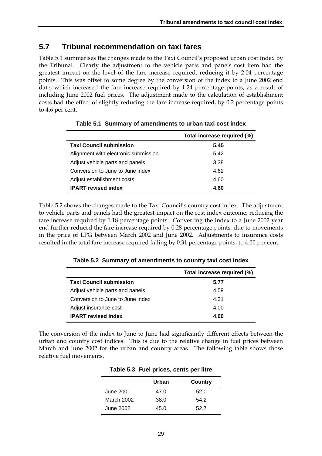## **5.7 Tribunal recommendation on taxi fares**

Table 5.1 summarises the changes made to the Taxi Council's proposed urban cost index by the Tribunal. Clearly the adjustment to the vehicle parts and panels cost item had the greatest impact on the level of the fare increase required, reducing it by 2.04 percentage points. This was offset to some degree by the conversion of the index to a June 2002 end date, which increased the fare increase required by 1.24 percentage points, as a result of including June 2002 fuel prices. The adjustment made to the calculation of establishment costs had the effect of slightly reducing the fare increase required, by 0.2 percentage points to 4.6 per cent.

|                                      | Total increase required (%) |
|--------------------------------------|-----------------------------|
| <b>Taxi Council submission</b>       | 5.45                        |
| Alignment with electronic submission | 5.42                        |
| Adjust vehicle parts and panels      | 3.38                        |
| Conversion to June to June index     | 4.62                        |
| Adjust establishment costs           | 4.60                        |
| <b>IPART</b> revised index           | 4.60                        |

**Table 5.1 Summary of amendments to urban taxi cost index** 

Table 5.2 shows the changes made to the Taxi Council's country cost index. The adjustment to vehicle parts and panels had the greatest impact on the cost index outcome, reducing the fare increase required by 1.18 percentage points. Converting the index to a June 2002 year end further reduced the fare increase required by 0.28 percentage points, due to movements in the price of LPG between March 2002 and June 2002. Adjustments to insurance costs resulted in the total fare increase required falling by 0.31 percentage points, to 4.00 per cent.

|                                  | Total increase required (%) |
|----------------------------------|-----------------------------|
| <b>Taxi Council submission</b>   | 5.77                        |
| Adjust vehicle parts and panels  | 4.59                        |
| Conversion to June to June index | 4.31                        |
| Adjust insurance cost            | 4.00                        |
| <b>IPART</b> revised index       | 4.00                        |

**Table 5.2 Summary of amendments to country taxi cost index** 

The conversion of the index to June to June had significantly different effects between the urban and country cost indices. This is due to the relative change in fuel prices between March and June 2002 for the urban and country areas. The following table shows those relative fuel movements.

|            | Urban | Country |
|------------|-------|---------|
| June 2001  | 47.0  | 52.0    |
| March 2002 | 38.0  | 54.2    |
| June 2002  | 45.0  | 52.7    |

| Table 5.3 Fuel prices, cents per litre |  |  |
|----------------------------------------|--|--|
|                                        |  |  |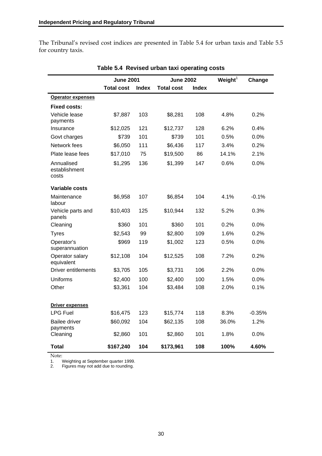The Tribunal's revised cost indices are presented in Table 5.4 for urban taxis and Table 5.5 for country taxis.

|                                      | <b>June 2001</b>  |              |                   | <b>June 2002</b> |       | Change   |
|--------------------------------------|-------------------|--------------|-------------------|------------------|-------|----------|
|                                      | <b>Total cost</b> | <b>Index</b> | <b>Total cost</b> | <b>Index</b>     |       |          |
| <b>Operator expenses</b>             |                   |              |                   |                  |       |          |
| <b>Fixed costs:</b>                  |                   |              |                   |                  |       |          |
| Vehicle lease<br>payments            | \$7,887           | 103          | \$8,281           | 108              | 4.8%  | 0.2%     |
| Insurance                            | \$12,025          | 121          | \$12,737          | 128              | 6.2%  | 0.4%     |
| Govt charges                         | \$739             | 101          | \$739             | 101              | 0.5%  | $0.0\%$  |
| Network fees                         | \$6,050           | 111          | \$6,436           | 117              | 3.4%  | 0.2%     |
| Plate lease fees                     | \$17,010          | 75           | \$19,500          | 86               | 14.1% | 2.1%     |
| Annualised<br>establishment<br>costs | \$1,295           | 136          | \$1,399           | 147              | 0.6%  | 0.0%     |
| Variable costs                       |                   |              |                   |                  |       |          |
| Maintenance<br>labour                | \$6,958           | 107          | \$6,854           | 104              | 4.1%  | $-0.1%$  |
| Vehicle parts and<br>panels          | \$10,403          | 125          | \$10,944          | 132              | 5.2%  | 0.3%     |
| Cleaning                             | \$360             | 101          | \$360             | 101              | 0.2%  | 0.0%     |
| <b>Tyres</b>                         | \$2,543           | 99           | \$2,800           | 109              | 1.6%  | 0.2%     |
| Operator's<br>superannuation         | \$969             | 119          | \$1,002           | 123              | 0.5%  | 0.0%     |
| Operator salary<br>equivalent        | \$12,108          | 104          | \$12,525          | 108              | 7.2%  | 0.2%     |
| Driver entitlements                  | \$3,705           | 105          | \$3,731           | 106              | 2.2%  | $0.0\%$  |
| Uniforms                             | \$2,400           | 100          | \$2,400           | 100              | 1.5%  | $0.0\%$  |
| Other                                | \$3,361           | 104          | \$3,484           | 108              | 2.0%  | 0.1%     |
| <b>Driver expenses</b>               |                   |              |                   |                  |       |          |
| <b>LPG Fuel</b>                      | \$16,475          | 123          | \$15,774          | 118              | 8.3%  | $-0.35%$ |
| <b>Bailee driver</b><br>payments     | \$60,092          | 104          | \$62,135          | 108              | 36.0% | 1.2%     |
| Cleaning                             | \$2,860           | 101          | \$2,860           | 101              | 1.8%  | 0.0%     |
| Total                                | \$167,240         | 104          | \$173,961         | 108              | 100%  | 4.60%    |

**Table 5.4 Revised urban taxi operating costs** 

Note:<br>1. \\
<br>2. \

1. Weighting at September quarter 1999.

2. Figures may not add due to rounding.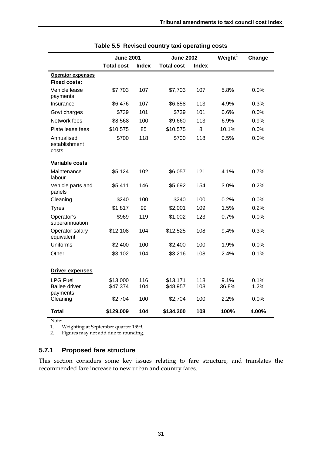|                                                     | <b>June 2001</b>     |              | <b>June 2002</b>     |              | Weight <sup>1</sup> | Change       |
|-----------------------------------------------------|----------------------|--------------|----------------------|--------------|---------------------|--------------|
|                                                     | <b>Total cost</b>    | <b>Index</b> | <b>Total cost</b>    | <b>Index</b> |                     |              |
| <b>Operator expenses</b><br><b>Fixed costs:</b>     |                      |              |                      |              |                     |              |
| Vehicle lease<br>payments                           | \$7,703              | 107          | \$7,703              | 107          | 5.8%                | 0.0%         |
| Insurance                                           | \$6,476              | 107          | \$6,858              | 113          | 4.9%                | 0.3%         |
| Govt charges                                        | \$739                | 101          | \$739                | 101          | 0.6%                | 0.0%         |
| Network fees                                        | \$8,568              | 100          | \$9,660              | 113          | 6.9%                | 0.9%         |
| Plate lease fees                                    | \$10,575             | 85           | \$10,575             | 8            | 10.1%               | 0.0%         |
| Annualised<br>establishment<br>costs                | \$700                | 118          | \$700                | 118          | 0.5%                | 0.0%         |
| <b>Variable costs</b>                               |                      |              |                      |              |                     |              |
| Maintenance<br>labour                               | \$5,124              | 102          | \$6,057              | 121          | 4.1%                | 0.7%         |
| Vehicle parts and<br>panels                         | \$5,411              | 146          | \$5,692              | 154          | 3.0%                | 0.2%         |
| Cleaning                                            | \$240                | 100          | \$240                | 100          | 0.2%                | 0.0%         |
| <b>Tyres</b>                                        | \$1,817              | 99           | \$2,001              | 109          | 1.5%                | 0.2%         |
| Operator's<br>superannuation                        | \$969                | 119          | \$1,002              | 123          | 0.7%                | 0.0%         |
| Operator salary<br>equivalent                       | \$12,108             | 104          | \$12,525             | 108          | 9.4%                | 0.3%         |
| Uniforms                                            | \$2,400              | 100          | \$2,400              | 100          | 1.9%                | 0.0%         |
| Other                                               | \$3,102              | 104          | \$3,216              | 108          | 2.4%                | 0.1%         |
| <b>Driver expenses</b>                              |                      |              |                      |              |                     |              |
| <b>LPG Fuel</b><br><b>Bailee driver</b><br>payments | \$13,000<br>\$47,374 | 116<br>104   | \$13,171<br>\$48,957 | 118<br>108   | 9.1%<br>36.8%       | 0.1%<br>1.2% |
| Cleaning                                            | \$2,704              | 100          | \$2,704              | 100          | 2.2%                | 0.0%         |
| <b>Total</b>                                        | \$129,009            | 104          | \$134,200            | 108          | 100%                | 4.00%        |

| Table 5.5 Revised country taxi operating costs |  |
|------------------------------------------------|--|
|------------------------------------------------|--|

Note:

1. Weighting at September quarter 1999.

2. Figures may not add due to rounding.

### **5.7.1 Proposed fare structure**

This section considers some key issues relating to fare structure, and translates the recommended fare increase to new urban and country fares.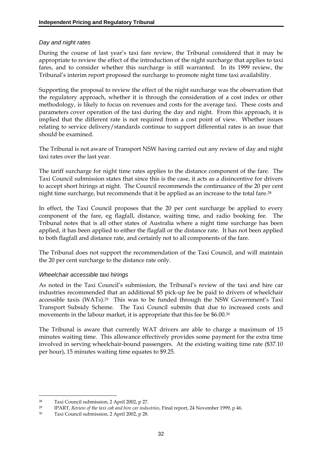#### *Day and night rates*

During the course of last year's taxi fare review, the Tribunal considered that it may be appropriate to review the effect of the introduction of the night surcharge that applies to taxi fares, and to consider whether this surcharge is still warranted. In its 1999 review, the Tribunal's interim report proposed the surcharge to promote night time taxi availability.

Supporting the proposal to review the effect of the night surcharge was the observation that the regulatory approach, whether it is through the consideration of a cost index or other methodology, is likely to focus on revenues and costs for the average taxi. These costs and parameters cover operation of the taxi during the day and night. From this approach, it is implied that the different rate is not required from a cost point of view. Whether issues relating to service delivery/standards continue to support differential rates is an issue that should be examined.

The Tribunal is not aware of Transport NSW having carried out any review of day and night taxi rates over the last year.

The tariff surcharge for night time rates applies to the distance component of the fare. The Taxi Council submission states that since this is the case, it acts as a disincentive for drivers to accept short hirings at night. The Council recommends the continuance of the 20 per cent night time surcharge, but recommends that it be applied as an increase to the total fare.<sup>28</sup>

In effect, the Taxi Council proposes that the 20 per cent surcharge be applied to every component of the fare, eg flagfall, distance, waiting time, and radio booking fee. The Tribunal notes that is all other states of Australia where a night time surcharge has been applied, it has been applied to either the flagfall or the distance rate. It has not been applied to both flagfall and distance rate, and certainly not to all components of the fare.

The Tribunal does not support the recommendation of the Taxi Council, and will maintain the 20 per cent surcharge to the distance rate only.

#### *Wheelchair accessible taxi hirings*

As noted in the Taxi Council's submission, the Tribunal's review of the taxi and hire car industries recommended that an additional \$5 pick-up fee be paid to drivers of wheelchair accessible taxis (WATs).29 This was to be funded through the NSW Government's Taxi Transport Subsidy Scheme. The Taxi Council submits that due to increased costs and movements in the labour market, it is appropriate that this fee be \$6.00.30

The Tribunal is aware that currently WAT drivers are able to charge a maximum of 15 minutes waiting time. This allowance effectively provides some payment for the extra time involved in serving wheelchair-bound passengers. At the existing waiting time rate (\$37.10 per hour), 15 minutes waiting time equates to \$9.25.

<u>.</u>

<sup>28</sup> Taxi Council submission, 2 April 2002, p 27.

<sup>29</sup> IPART, *Review of the taxi cab and hire car industries*, Final report, 24 November 1999, p 46.

<sup>30</sup> Taxi Council submission, 2 April 2002, p 28.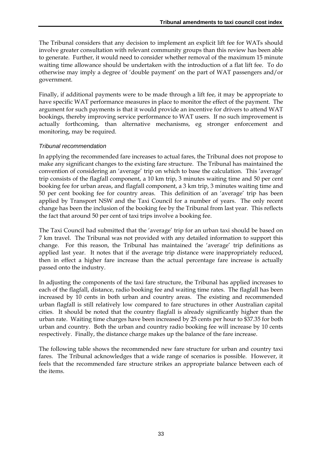The Tribunal considers that any decision to implement an explicit lift fee for WATs should involve greater consultation with relevant community groups than this review has been able to generate. Further, it would need to consider whether removal of the maximum 15 minute waiting time allowance should be undertaken with the introduction of a flat lift fee. To do otherwise may imply a degree of 'double payment' on the part of WAT passengers and/or government.

Finally, if additional payments were to be made through a lift fee, it may be appropriate to have specific WAT performance measures in place to monitor the effect of the payment. The argument for such payments is that it would provide an incentive for drivers to attend WAT bookings, thereby improving service performance to WAT users. If no such improvement is actually forthcoming, than alternative mechanisms, eg stronger enforcement and monitoring, may be required.

### *Tribunal recommendation*

In applying the recommended fare increases to actual fares, the Tribunal does not propose to make any significant changes to the existing fare structure. The Tribunal has maintained the convention of considering an 'average' trip on which to base the calculation. This 'average' trip consists of the flagfall component, a 10 km trip, 3 minutes waiting time and 50 per cent booking fee for urban areas, and flagfall component, a 3 km trip, 3 minutes waiting time and 50 per cent booking fee for country areas. This definition of an 'average' trip has been applied by Transport NSW and the Taxi Council for a number of years. The only recent change has been the inclusion of the booking fee by the Tribunal from last year. This reflects the fact that around 50 per cent of taxi trips involve a booking fee.

The Taxi Council had submitted that the 'average' trip for an urban taxi should be based on 7 km travel. The Tribunal was not provided with any detailed information to support this change. For this reason, the Tribunal has maintained the 'average' trip definitions as applied last year. It notes that if the average trip distance were inappropriately reduced, then in effect a higher fare increase than the actual percentage fare increase is actually passed onto the industry.

In adjusting the components of the taxi fare structure, the Tribunal has applied increases to each of the flagfall, distance, radio booking fee and waiting time rates. The flagfall has been increased by 10 cents in both urban and country areas. The existing and recommended urban flagfall is still relatively low compared to fare structures in other Australian capital cities. It should be noted that the country flagfall is already significantly higher than the urban rate. Waiting time charges have been increased by 25 cents per hour to \$37.35 for both urban and country. Both the urban and country radio booking fee will increase by 10 cents respectively. Finally, the distance charge makes up the balance of the fare increase.

The following table shows the recommended new fare structure for urban and country taxi fares. The Tribunal acknowledges that a wide range of scenarios is possible. However, it feels that the recommended fare structure strikes an appropriate balance between each of the items.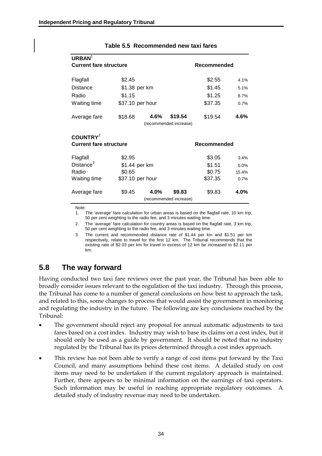| <b>URBAN</b><br><b>Current fare structure</b> |                  |      |                        | <b>Recommended</b> |       |
|-----------------------------------------------|------------------|------|------------------------|--------------------|-------|
|                                               |                  |      |                        |                    |       |
| Flagfall                                      | \$2.45           |      |                        | \$2.55             | 4.1%  |
| Distance                                      | \$1.38 per km    |      |                        | \$1.45             | 5.1%  |
| Radio                                         | \$1.15           |      |                        | \$1.25             | 8.7%  |
| Waiting time                                  | \$37.10 per hour |      |                        | \$37.35            | 0.7%  |
| Average fare                                  | \$18.68          | 4.6% | \$19.54                | \$19.54            | 4.6%  |
|                                               |                  |      | (recommended increase) |                    |       |
| COUNTRY <sup>2</sup>                          |                  |      |                        |                    |       |
| <b>Current fare structure</b>                 |                  |      |                        | <b>Recommended</b> |       |
| Flagfall                                      | \$2.95           |      |                        | \$3.05             | 3.4%  |
| Distance <sup>3</sup>                         | \$1.44 per km    |      |                        | \$1.51             | 5.0%  |
| Radio                                         | \$0.65           |      |                        | \$0.75             | 15.4% |
| Waiting time                                  | \$37.10 per hour |      |                        | \$37.35            | 0.7%  |
| Average fare                                  | \$9.45           | 4.0% | \$9.83                 | \$9.83             | 4.0%  |
|                                               |                  |      | (recommended increase) |                    |       |
|                                               |                  |      |                        |                    |       |

#### **Table 5.5 Recommended new taxi fares**

Note:

1. The 'average' fare calculation for urban areas is based on the flagfall rate, 10 km trip, 50 per cent weighting to the radio fee, and 3 minutes waiting time.

2. The 'average' fare calculation for country areas is based on the flagfall rate, 3 km trip, 50 per cent weighting to the radio fee, and 3 minutes waiting time.

3. The current and recommended distance rate of \$1.44 per km and \$1.51 per km respectively, relate to travel for the first 12 km. The Tribunal recommends that the existing rate of \$2.03 per km for travel in excess of 12 km be increased to \$2.11 per km.

# **5.8 The way forward**

Having conducted two taxi fare reviews over the past year, the Tribunal has been able to broadly consider issues relevant to the regulation of the taxi industry. Through this process, the Tribunal has come to a number of general conclusions on how best to approach the task, and related to this, some changes to process that would assist the government in monitoring and regulating the industry in the future. The following are key conclusions reached by the Tribunal:

- The government should reject any proposal for annual automatic adjustments to taxi fares based on a cost index. Industry may wish to base its claims on a cost index, but it should only be used as a guide by government. It should be noted that no industry regulated by the Tribunal has its prices determined through a cost index approach.
- This review has not been able to verify a range of cost items put forward by the Taxi Council, and many assumptions behind these cost items. A detailed study on cost items may need to be undertaken if the current regulatory approach is maintained. Further, there appears to be minimal information on the earnings of taxi operators. Such information may be useful in reaching appropriate regulatory outcomes. A detailed study of industry revenue may need to be undertaken.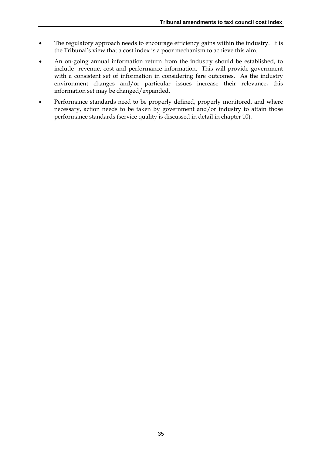- The regulatory approach needs to encourage efficiency gains within the industry. It is the Tribunal's view that a cost index is a poor mechanism to achieve this aim.
- An on-going annual information return from the industry should be established, to include revenue, cost and performance information. This will provide government with a consistent set of information in considering fare outcomes. As the industry environment changes and/or particular issues increase their relevance, this information set may be changed/expanded.
- Performance standards need to be properly defined, properly monitored, and where necessary, action needs to be taken by government and/or industry to attain those performance standards (service quality is discussed in detail in chapter 10).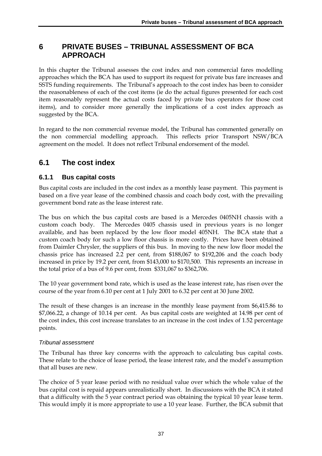## **6 PRIVATE BUSES – TRIBUNAL ASSESSMENT OF BCA APPROACH**

In this chapter the Tribunal assesses the cost index and non commercial fares modelling approaches which the BCA has used to support its request for private bus fare increases and SSTS funding requirements. The Tribunal's approach to the cost index has been to consider the reasonableness of each of the cost items (ie do the actual figures presented for each cost item reasonably represent the actual costs faced by private bus operators for those cost items), and to consider more generally the implications of a cost index approach as suggested by the BCA.

In regard to the non commercial revenue model, the Tribunal has commented generally on the non commercial modelling approach. This reflects prior Transport NSW/BCA agreement on the model. It does not reflect Tribunal endorsement of the model.

## **6.1 The cost index**

### **6.1.1 Bus capital costs**

Bus capital costs are included in the cost index as a monthly lease payment. This payment is based on a five year lease of the combined chassis and coach body cost, with the prevailing government bond rate as the lease interest rate.

The bus on which the bus capital costs are based is a Mercedes 0405NH chassis with a custom coach body. The Mercedes 0405 chassis used in previous years is no longer available, and has been replaced by the low floor model 405NH. The BCA state that a custom coach body for such a low floor chassis is more costly. Prices have been obtained from Daimler Chrysler, the suppliers of this bus. In moving to the new low floor model the chassis price has increased 2.2 per cent, from \$188,067 to \$192,206 and the coach body increased in price by 19.2 per cent, from \$143,000 to \$170,500. This represents an increase in the total price of a bus of 9.6 per cent, from \$331,067 to \$362,706.

The 10 year government bond rate, which is used as the lease interest rate, has risen over the course of the year from 6.10 per cent at 1 July 2001 to 6.32 per cent at 30 June 2002.

The result of these changes is an increase in the monthly lease payment from \$6,415.86 to \$7,066.22, a change of 10.14 per cent. As bus capital costs are weighted at 14.98 per cent of the cost index, this cost increase translates to an increase in the cost index of 1.52 percentage points.

### *Tribunal assessment*

The Tribunal has three key concerns with the approach to calculating bus capital costs. These relate to the choice of lease period, the lease interest rate, and the model's assumption that all buses are new.

The choice of 5 year lease period with no residual value over which the whole value of the bus capital cost is repaid appears unrealistically short. In discussions with the BCA it stated that a difficulty with the 5 year contract period was obtaining the typical 10 year lease term. This would imply it is more appropriate to use a 10 year lease. Further, the BCA submit that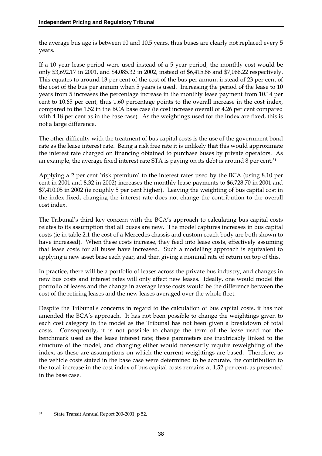the average bus age is between 10 and 10.5 years, thus buses are clearly not replaced every 5 years.

If a 10 year lease period were used instead of a 5 year period, the monthly cost would be only \$3,692.17 in 2001, and \$4,085.32 in 2002, instead of \$6,415.86 and \$7,066.22 respectively. This equates to around 13 per cent of the cost of the bus per annum instead of 23 per cent of the cost of the bus per annum when 5 years is used. Increasing the period of the lease to 10 years from 5 increases the percentage increase in the monthly lease payment from 10.14 per cent to 10.65 per cent, thus 1.60 percentage points to the overall increase in the cost index, compared to the 1.52 in the BCA base case (ie cost increase overall of 4.26 per cent compared with 4.18 per cent as in the base case). As the weightings used for the index are fixed, this is not a large difference.

The other difficulty with the treatment of bus capital costs is the use of the government bond rate as the lease interest rate. Being a risk free rate it is unlikely that this would approximate the interest rate charged on financing obtained to purchase buses by private operators. As an example, the average fixed interest rate STA is paying on its debt is around 8 per cent.<sup>31</sup>

Applying a 2 per cent 'risk premium' to the interest rates used by the BCA (using 8.10 per cent in 2001 and 8.32 in 2002) increases the monthly lease payments to \$6,728.70 in 2001 and \$7,410.05 in 2002 (ie roughly 5 per cent higher). Leaving the weighting of bus capital cost in the index fixed, changing the interest rate does not change the contribution to the overall cost index.

The Tribunal's third key concern with the BCA's approach to calculating bus capital costs relates to its assumption that all buses are new. The model captures increases in bus capital costs (ie in table 2.1 the cost of a Mercedes chassis and custom coach body are both shown to have increased). When these costs increase, they feed into lease costs, effectively assuming that lease costs for all buses have increased. Such a modelling approach is equivalent to applying a new asset base each year, and then giving a nominal rate of return on top of this.

In practice, there will be a portfolio of leases across the private bus industry, and changes in new bus costs and interest rates will only affect new leases. Ideally, one would model the portfolio of leases and the change in average lease costs would be the difference between the cost of the retiring leases and the new leases averaged over the whole fleet.

Despite the Tribunal's concerns in regard to the calculation of bus capital costs, it has not amended the BCA's approach. It has not been possible to change the weightings given to each cost category in the model as the Tribunal has not been given a breakdown of total costs. Consequently, it is not possible to change the term of the lease used nor the benchmark used as the lease interest rate; these parameters are inextricably linked to the structure of the model, and changing either would necessarily require reweighting of the index, as these are assumptions on which the current weightings are based. Therefore, as the vehicle costs stated in the base case were determined to be accurate, the contribution to the total increase in the cost index of bus capital costs remains at 1.52 per cent, as presented in the base case.

<u>.</u>

<sup>31</sup> State Transit Annual Report 200-2001, p 52.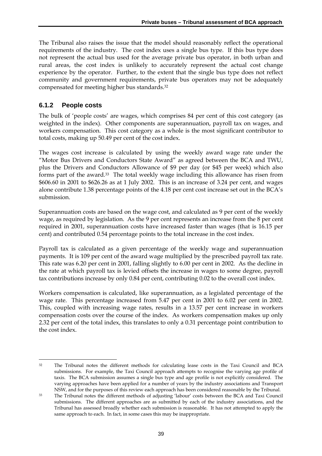The Tribunal also raises the issue that the model should reasonably reflect the operational requirements of the industry. The cost index uses a single bus type. If this bus type does not represent the actual bus used for the average private bus operator, in both urban and rural areas, the cost index is unlikely to accurately represent the actual cost change experience by the operator. Further, to the extent that the single bus type does not reflect community and government requirements, private bus operators may not be adequately compensated for meeting higher bus standards.32

### **6.1.2 People costs**

The bulk of 'people costs' are wages, which comprises 84 per cent of this cost category (as weighted in the index). Other components are superannuation, payroll tax on wages, and workers compensation. This cost category as a whole is the most significant contributor to total costs, making up 50.49 per cent of the cost index.

The wages cost increase is calculated by using the weekly award wage rate under the "Motor Bus Drivers and Conductors State Award" as agreed between the BCA and TWU, plus the Drivers and Conductors Allowance of \$9 per day (or \$45 per week) which also forms part of the award.33 The total weekly wage including this allowance has risen from \$606.60 in 2001 to \$626.26 as at 1 July 2002. This is an increase of 3.24 per cent, and wages alone contribute 1.38 percentage points of the 4.18 per cent cost increase set out in the BCA's submission.

Superannuation costs are based on the wage cost, and calculated as 9 per cent of the weekly wage, as required by legislation. As the 9 per cent represents an increase from the 8 per cent required in 2001, superannuation costs have increased faster than wages (that is 16.15 per cent) and contributed 0.54 percentage points to the total increase in the cost index.

Payroll tax is calculated as a given percentage of the weekly wage and superannuation payments. It is 109 per cent of the award wage multiplied by the prescribed payroll tax rate. This rate was 6.20 per cent in 2001, falling slightly to 6.00 per cent in 2002. As the decline in the rate at which payroll tax is levied offsets the increase in wages to some degree, payroll tax contributions increase by only 0.84 per cent, contributing 0.02 to the overall cost index.

Workers compensation is calculated, like superannuation, as a legislated percentage of the wage rate. This percentage increased from 5.47 per cent in 2001 to 6.02 per cent in 2002. This, coupled with increasing wage rates, results in a 13.57 per cent increase in workers compensation costs over the course of the index. As workers compensation makes up only 2.32 per cent of the total index, this translates to only a 0.31 percentage point contribution to the cost index.

<sup>-</sup>32 The Tribunal notes the different methods for calculating lease costs in the Taxi Council and BCA submissions. For example, the Taxi Council approach attempts to recognise the varying age profile of taxis. The BCA submission assumes a single bus type and age profile is not explicitly considered. The varying approaches have been applied for a number of years by the industry associations and Transport NSW, and for the purposes of this review each approach has been considered reasonable by the Tribunal.

<sup>33</sup> The Tribunal notes the different methods of adjusting 'labour' costs between the BCA and Taxi Council submissions. The different approaches are as submitted by each of the industry associations, and the Tribunal has assessed broadly whether each submission is reasonable. It has not attempted to apply the same approach to each. In fact, in some cases this may be inappropriate.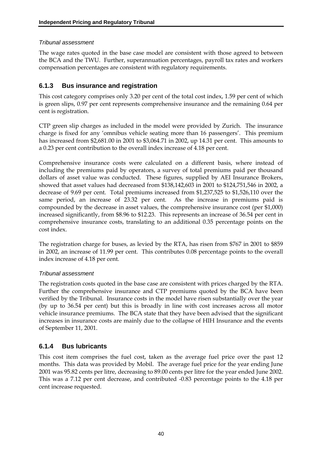### *Tribunal assessment*

The wage rates quoted in the base case model are consistent with those agreed to between the BCA and the TWU. Further, superannuation percentages, payroll tax rates and workers compensation percentages are consistent with regulatory requirements.

### **6.1.3 Bus insurance and registration**

This cost category comprises only 3.20 per cent of the total cost index, 1.59 per cent of which is green slips, 0.97 per cent represents comprehensive insurance and the remaining 0.64 per cent is registration.

CTP green slip charges as included in the model were provided by Zurich. The insurance charge is fixed for any 'omnibus vehicle seating more than 16 passengers'. This premium has increased from \$2,681.00 in 2001 to \$3,064.71 in 2002, up 14.31 per cent. This amounts to a 0.23 per cent contribution to the overall index increase of 4.18 per cent.

Comprehensive insurance costs were calculated on a different basis, where instead of including the premiums paid by operators, a survey of total premiums paid per thousand dollars of asset value was conducted. These figures, supplied by AEI Insurance Brokers, showed that asset values had decreased from \$138,142,603 in 2001 to \$124,751,546 in 2002, a decrease of 9.69 per cent. Total premiums increased from \$1,237,525 to \$1,526,110 over the same period, an increase of 23.32 per cent. As the increase in premiums paid is compounded by the decrease in asset values, the comprehensive insurance cost (per \$1,000) increased significantly, from \$8.96 to \$12.23. This represents an increase of 36.54 per cent in comprehensive insurance costs, translating to an additional 0.35 percentage points on the cost index.

The registration charge for buses, as levied by the RTA, has risen from \$767 in 2001 to \$859 in 2002, an increase of 11.99 per cent. This contributes 0.08 percentage points to the overall index increase of 4.18 per cent.

### *Tribunal assessment*

The registration costs quoted in the base case are consistent with prices charged by the RTA. Further the comprehensive insurance and CTP premiums quoted by the BCA have been verified by the Tribunal. Insurance costs in the model have risen substantially over the year (by up to 36.54 per cent) but this is broadly in line with cost increases across all motor vehicle insurance premiums. The BCA state that they have been advised that the significant increases in insurance costs are mainly due to the collapse of HIH Insurance and the events of September 11, 2001.

### **6.1.4 Bus lubricants**

This cost item comprises the fuel cost, taken as the average fuel price over the past 12 months. This data was provided by Mobil. The average fuel price for the year ending June 2001 was 95.82 cents per litre, decreasing to 89.00 cents per litre for the year ended June 2002. This was a 7.12 per cent decrease, and contributed -0.83 percentage points to the 4.18 per cent increase requested.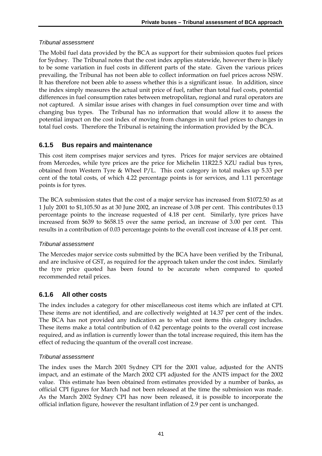### *Tribunal assessment*

The Mobil fuel data provided by the BCA as support for their submission quotes fuel prices for Sydney. The Tribunal notes that the cost index applies statewide, however there is likely to be some variation in fuel costs in different parts of the state. Given the various prices prevailing, the Tribunal has not been able to collect information on fuel prices across NSW. It has therefore not been able to assess whether this is a significant issue. In addition, since the index simply measures the actual unit price of fuel, rather than total fuel costs, potential differences in fuel consumption rates between metropolitan, regional and rural operators are not captured. A similar issue arises with changes in fuel consumption over time and with changing bus types. The Tribunal has no information that would allow it to assess the potential impact on the cost index of moving from changes in unit fuel prices to changes in total fuel costs. Therefore the Tribunal is retaining the information provided by the BCA.

### **6.1.5 Bus repairs and maintenance**

This cost item comprises major services and tyres. Prices for major services are obtained from Mercedes, while tyre prices are the price for Michelin 11R22.5 XZU radial bus tyres, obtained from Western Tyre & Wheel P/L. This cost category in total makes up 5.33 per cent of the total costs, of which 4.22 percentage points is for services, and 1.11 percentage points is for tyres.

The BCA submission states that the cost of a major service has increased from \$1072.50 as at 1 July 2001 to \$1,105.50 as at 30 June 2002, an increase of 3.08 per cent. This contributes 0.13 percentage points to the increase requested of 4.18 per cent. Similarly, tyre prices have increased from \$639 to \$658.15 over the same period, an increase of 3.00 per cent. This results in a contribution of 0.03 percentage points to the overall cost increase of 4.18 per cent.

### *Tribunal assessment*

The Mercedes major service costs submitted by the BCA have been verified by the Tribunal, and are inclusive of GST, as required for the approach taken under the cost index. Similarly the tyre price quoted has been found to be accurate when compared to quoted recommended retail prices.

### **6.1.6 All other costs**

The index includes a category for other miscellaneous cost items which are inflated at CPI. These items are not identified, and are collectively weighted at 14.37 per cent of the index. The BCA has not provided any indication as to what cost items this category includes. These items make a total contribution of 0.42 percentage points to the overall cost increase required, and as inflation is currently lower than the total increase required, this item has the effect of reducing the quantum of the overall cost increase.

### *Tribunal assessment*

The index uses the March 2001 Sydney CPI for the 2001 value, adjusted for the ANTS impact, and an estimate of the March 2002 CPI adjusted for the ANTS impact for the 2002 value. This estimate has been obtained from estimates provided by a number of banks, as official CPI figures for March had not been released at the time the submission was made. As the March 2002 Sydney CPI has now been released, it is possible to incorporate the official inflation figure, however the resultant inflation of 2.9 per cent is unchanged.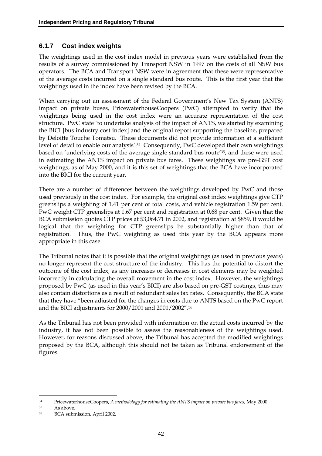### **6.1.7 Cost index weights**

The weightings used in the cost index model in previous years were established from the results of a survey commissioned by Transport NSW in 1997 on the costs of all NSW bus operators. The BCA and Transport NSW were in agreement that these were representative of the average costs incurred on a single standard bus route. This is the first year that the weightings used in the index have been revised by the BCA.

When carrying out an assessment of the Federal Government's New Tax System (ANTS) impact on private buses, PricewaterhouseCoopers (PwC) attempted to verify that the weightings being used in the cost index were an accurate representation of the cost structure. PwC state 'to undertake analysis of the impact of ANTS, we started by examining the BICI [bus industry cost index] and the original report supporting the baseline, prepared by Deloitte Touche Tomatsu. These documents did not provide information at a sufficient level of detail to enable our analysis'.<sup>34</sup> Consequently, PwC developed their own weightings based on 'underlying costs of the average single standard bus route'35, and these were used in estimating the ANTS impact on private bus fares. These weightings are pre-GST cost weightings, as of May 2000, and it is this set of weightings that the BCA have incorporated into the BICI for the current year.

There are a number of differences between the weightings developed by PwC and those used previously in the cost index. For example, the original cost index weightings give CTP greenslips a weighting of 1.41 per cent of total costs, and vehicle registration 1.59 per cent. PwC weight CTP greenslips at 1.67 per cent and registration at 0.68 per cent. Given that the BCA submission quotes CTP prices at \$3,064.71 in 2002, and registration at \$859, it would be logical that the weighting for CTP greenslips be substantially higher than that of registration. Thus, the PwC weighting as used this year by the BCA appears more appropriate in this case.

The Tribunal notes that it is possible that the original weightings (as used in previous years) no longer represent the cost structure of the industry. This has the potential to distort the outcome of the cost index, as any increases or decreases in cost elements may be weighted incorrectly in calculating the overall movement in the cost index. However, the weightings proposed by PwC (as used in this year's BICI) are also based on pre-GST costings, thus may also contain distortions as a result of redundant sales tax rates. Consequently, the BCA state that they have "been adjusted for the changes in costs due to ANTS based on the PwC report and the BICI adjustments for 2000/2001 and 2001/2002".36

As the Tribunal has not been provided with information on the actual costs incurred by the industry, it has not been possible to assess the reasonableness of the weightings used. However, for reasons discussed above, the Tribunal has accepted the modified weightings proposed by the BCA, although this should not be taken as Tribunal endorsement of the figures.

<u>.</u>

<sup>34</sup> PricewaterhouseCoopers, *A methodology for estimating the ANTS impact on private bus fares*, May 2000.

<sup>35</sup> As above.

<sup>36</sup> BCA submission, April 2002.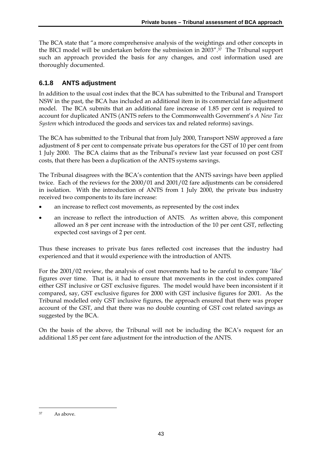The BCA state that "a more comprehensive analysis of the weightings and other concepts in the BICI model will be undertaken before the submission in 2003".37 The Tribunal support such an approach provided the basis for any changes, and cost information used are thoroughly documented.

### **6.1.8 ANTS adjustment**

In addition to the usual cost index that the BCA has submitted to the Tribunal and Transport NSW in the past, the BCA has included an additional item in its commercial fare adjustment model. The BCA submits that an additional fare increase of 1.85 per cent is required to account for duplicated ANTS (ANTS refers to the Commonwealth Government's *A New Tax System* which introduced the goods and services tax and related reforms) savings.

The BCA has submitted to the Tribunal that from July 2000, Transport NSW approved a fare adjustment of 8 per cent to compensate private bus operators for the GST of 10 per cent from 1 July 2000. The BCA claims that as the Tribunal's review last year focussed on post GST costs, that there has been a duplication of the ANTS systems savings.

The Tribunal disagrees with the BCA's contention that the ANTS savings have been applied twice. Each of the reviews for the 2000/01 and 2001/02 fare adjustments can be considered in isolation. With the introduction of ANTS from 1 July 2000, the private bus industry received two components to its fare increase:

- an increase to reflect cost movements, as represented by the cost index
- an increase to reflect the introduction of ANTS. As written above, this component allowed an 8 per cent increase with the introduction of the 10 per cent GST, reflecting expected cost savings of 2 per cent.

Thus these increases to private bus fares reflected cost increases that the industry had experienced and that it would experience with the introduction of ANTS.

For the 2001/02 review, the analysis of cost movements had to be careful to compare 'like' figures over time. That is, it had to ensure that movements in the cost index compared either GST inclusive or GST exclusive figures. The model would have been inconsistent if it compared, say, GST exclusive figures for 2000 with GST inclusive figures for 2001. As the Tribunal modelled only GST inclusive figures, the approach ensured that there was proper account of the GST, and that there was no double counting of GST cost related savings as suggested by the BCA.

On the basis of the above, the Tribunal will not be including the BCA's request for an additional 1.85 per cent fare adjustment for the introduction of the ANTS.

<sup>&</sup>lt;u>.</u> 37 As above.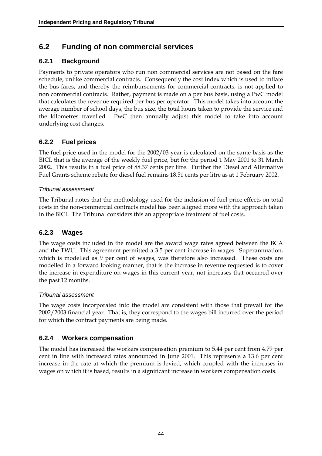# **6.2 Funding of non commercial services**

### **6.2.1 Background**

Payments to private operators who run non commercial services are not based on the fare schedule, unlike commercial contracts. Consequently the cost index which is used to inflate the bus fares, and thereby the reimbursements for commercial contracts, is not applied to non commercial contracts. Rather, payment is made on a per bus basis, using a PwC model that calculates the revenue required per bus per operator. This model takes into account the average number of school days, the bus size, the total hours taken to provide the service and the kilometres travelled. PwC then annually adjust this model to take into account underlying cost changes.

### **6.2.2 Fuel prices**

The fuel price used in the model for the 2002/03 year is calculated on the same basis as the BICI, that is the average of the weekly fuel price, but for the period 1 May 2001 to 31 March 2002. This results in a fuel price of 88.37 cents per litre. Further the Diesel and Alternative Fuel Grants scheme rebate for diesel fuel remains 18.51 cents per litre as at 1 February 2002.

#### *Tribunal assessment*

The Tribunal notes that the methodology used for the inclusion of fuel price effects on total costs in the non-commercial contracts model has been aligned more with the approach taken in the BICI. The Tribunal considers this an appropriate treatment of fuel costs.

### **6.2.3 Wages**

The wage costs included in the model are the award wage rates agreed between the BCA and the TWU. This agreement permitted a 3.5 per cent increase in wages. Superannuation, which is modelled as 9 per cent of wages, was therefore also increased. These costs are modelled in a forward looking manner, that is the increase in revenue requested is to cover the increase in expenditure on wages in this current year, not increases that occurred over the past 12 months.

#### *Tribunal assessment*

The wage costs incorporated into the model are consistent with those that prevail for the 2002/2003 financial year. That is, they correspond to the wages bill incurred over the period for which the contract payments are being made.

### **6.2.4 Workers compensation**

The model has increased the workers compensation premium to 5.44 per cent from 4.79 per cent in line with increased rates announced in June 2001. This represents a 13.6 per cent increase in the rate at which the premium is levied, which coupled with the increases in wages on which it is based, results in a significant increase in workers compensation costs.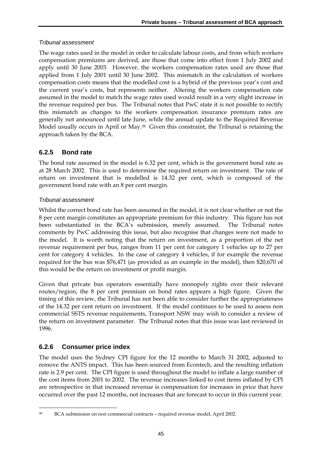#### *Tribunal assessment*

The wage rates used in the model in order to calculate labour costs, and from which workers compensation premiums are derived, are those that come into effect from 1 July 2002 and apply until 30 June 2003. However, the workers compensation rates used are those that applied from 1 July 2001 until 30 June 2002. This mismatch in the calculation of workers compensation costs means that the modelled cost is a hybrid of the previous year's cost and the current year's costs, but represents neither. Altering the workers compensation rate assumed in the model to match the wage rates used would result in a very slight increase in the revenue required per bus. The Tribunal notes that PwC state it is not possible to rectify this mismatch as changes to the workers compensation insurance premium rates are generally not announced until late June, while the annual update to the Required Revenue Model usually occurs in April or May.<sup>38</sup> Given this constraint, the Tribunal is retaining the approach taken by the BCA.

### **6.2.5 Bond rate**

The bond rate assumed in the model is 6.32 per cent, which is the government bond rate as at 28 March 2002. This is used to determine the required return on investment. The rate of return on investment that is modelled is 14.32 per cent, which is composed of the government bond rate with an 8 per cent margin.

### *Tribunal assessment*

Whilst the correct bond rate has been assumed in the model, it is not clear whether or not the 8 per cent margin constitutes an appropriate premium for this industry. This figure has not been substantiated in the BCA's submission, merely assumed. The Tribunal notes comments by PwC addressing this issue, but also recognise that changes were not made to the model. It is worth noting that the return on investment, as a proportion of the net revenue requirement per bus, ranges from 11 per cent for category 1 vehicles up to 27 per cent for category 4 vehicles. In the case of category 4 vehicles, if for example the revenue required for the bus was \$76,471 (as provided as an example in the model), then \$20,670 of this would be the return on investment or profit margin.

Given that private bus operators essentially have monopoly rights over their relevant routes/region, the 8 per cent premium on bond rates appears a high figure. Given the timing of this review, the Tribunal has not been able to consider further the appropriateness of the 14.32 per cent return on investment. If the model continues to be used to assess non commercial SSTS revenue requirements, Transport NSW may wish to consider a review of the return on investment parameter. The Tribunal notes that this issue was last reviewed in 1996.

### **6.2.6 Consumer price index**

The model uses the Sydney CPI figure for the 12 months to March 31 2002, adjusted to remove the ANTS impact. This has been sourced from Econtech, and the resulting inflation rate is 2.9 per cent. The CPI figure is used throughout the model to inflate a large number of the cost items from 2001 to 2002. The revenue increases linked to cost items inflated by CPI are retrospective in that increased revenue is compensation for increases in price that have occurred over the past 12 months, not increases that are forecast to occur in this current year.

<sup>&</sup>lt;u>.</u> 38 BCA submission on non commercial contracts – required revenue model, April 2002.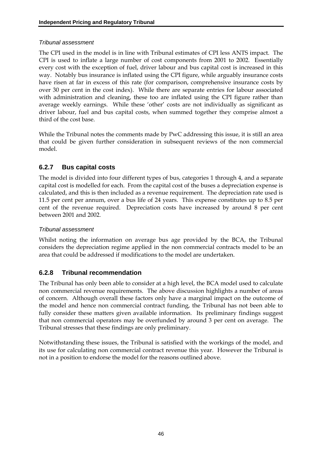#### *Tribunal assessment*

The CPI used in the model is in line with Tribunal estimates of CPI less ANTS impact. The CPI is used to inflate a large number of cost components from 2001 to 2002. Essentially every cost with the exception of fuel, driver labour and bus capital cost is increased in this way. Notably bus insurance is inflated using the CPI figure, while arguably insurance costs have risen at far in excess of this rate (for comparison, comprehensive insurance costs by over 30 per cent in the cost index). While there are separate entries for labour associated with administration and cleaning, these too are inflated using the CPI figure rather than average weekly earnings. While these 'other' costs are not individually as significant as driver labour, fuel and bus capital costs, when summed together they comprise almost a third of the cost base.

While the Tribunal notes the comments made by PwC addressing this issue, it is still an area that could be given further consideration in subsequent reviews of the non commercial model.

### **6.2.7 Bus capital costs**

The model is divided into four different types of bus, categories 1 through 4, and a separate capital cost is modelled for each. From the capital cost of the buses a depreciation expense is calculated, and this is then included as a revenue requirement. The depreciation rate used is 11.5 per cent per annum, over a bus life of 24 years. This expense constitutes up to 8.5 per cent of the revenue required. Depreciation costs have increased by around 8 per cent between 2001 and 2002.

#### *Tribunal assessment*

Whilst noting the information on average bus age provided by the BCA, the Tribunal considers the depreciation regime applied in the non commercial contracts model to be an area that could be addressed if modifications to the model are undertaken.

### **6.2.8 Tribunal recommendation**

The Tribunal has only been able to consider at a high level, the BCA model used to calculate non commercial revenue requirements. The above discussion highlights a number of areas of concern. Although overall these factors only have a marginal impact on the outcome of the model and hence non commercial contract funding, the Tribunal has not been able to fully consider these matters given available information. Its preliminary findings suggest that non commercial operators may be overfunded by around 3 per cent on average. The Tribunal stresses that these findings are only preliminary.

Notwithstanding these issues, the Tribunal is satisfied with the workings of the model, and its use for calculating non commercial contract revenue this year. However the Tribunal is not in a position to endorse the model for the reasons outlined above.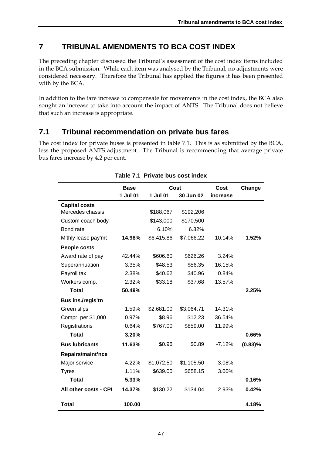# **7 TRIBUNAL AMENDMENTS TO BCA COST INDEX**

The preceding chapter discussed the Tribunal's assessment of the cost index items included in the BCA submission. While each item was analysed by the Tribunal, no adjustments were considered necessary. Therefore the Tribunal has applied the figures it has been presented with by the BCA.

In addition to the fare increase to compensate for movements in the cost index, the BCA also sought an increase to take into account the impact of ANTS. The Tribunal does not believe that such an increase is appropriate.

# **7.1 Tribunal recommendation on private bus fares**

The cost index for private buses is presented in table 7.1. This is as submitted by the BCA, less the proposed ANTS adjustment. The Tribunal is recommending that average private bus fares increase by 4.2 per cent.

|                       | <b>Base</b> | Cost       |            | Cost     | Change     |
|-----------------------|-------------|------------|------------|----------|------------|
|                       | 1 Jul 01    | 1 Jul 01   | 30 Jun 02  | increase |            |
| <b>Capital costs</b>  |             |            |            |          |            |
| Mercedes chassis      |             | \$188,067  | \$192,206  |          |            |
| Custom coach body     |             | \$143,000  | \$170,500  |          |            |
| Bond rate             |             | 6.10%      | 6.32%      |          |            |
| M'thly lease pay'mt   | 14.98%      | \$6,415.86 | \$7,066.22 | 10.14%   | 1.52%      |
| People costs          |             |            |            |          |            |
| Award rate of pay     | 42.44%      | \$606.60   | \$626.26   | 3.24%    |            |
| Superannuation        | 3.35%       | \$48.53    | \$56.35    | 16.15%   |            |
| Payroll tax           | 2.38%       | \$40.62    | \$40.96    | 0.84%    |            |
| Workers comp.         | 2.32%       | \$33.18    | \$37.68    | 13.57%   |            |
| <b>Total</b>          | 50.49%      |            |            |          | 2.25%      |
| Bus ins./regis'tn     |             |            |            |          |            |
| Green slips           | 1.59%       | \$2,681.00 | \$3,064.71 | 14.31%   |            |
| Compr. per \$1,000    | 0.97%       | \$8.96     | \$12.23    | 36.54%   |            |
| Registrations         | 0.64%       | \$767.00   | \$859.00   | 11.99%   |            |
| <b>Total</b>          | 3.20%       |            |            |          | 0.66%      |
| <b>Bus lubricants</b> | 11.63%      | \$0.96     | \$0.89     | $-7.12%$ | $(0.83)\%$ |
| Repairs/maint'nce     |             |            |            |          |            |
| Major service         | 4.22%       | \$1,072.50 | \$1,105.50 | 3.08%    |            |
| <b>Tyres</b>          | 1.11%       | \$639.00   | \$658.15   | 3.00%    |            |
| <b>Total</b>          | 5.33%       |            |            |          | 0.16%      |
| All other costs - CPI | 14.37%      | \$130.22   | \$134.04   | 2.93%    | 0.42%      |
| <b>Total</b>          | 100.00      |            |            |          | 4.18%      |

#### **Table 7.1 Private bus cost index**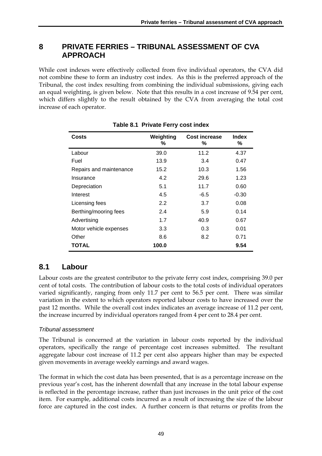## **8 PRIVATE FERRIES – TRIBUNAL ASSESSMENT OF CVA APPROACH**

While cost indexes were effectively collected from five individual operators, the CVA did not combine these to form an industry cost index. As this is the preferred approach of the Tribunal, the cost index resulting from combining the individual submissions, giving each an equal weighting, is given below. Note that this results in a cost increase of 9.54 per cent, which differs slightly to the result obtained by the CVA from averaging the total cost increase of each operator.

| Costs                   | Weighting<br>% | Cost increase<br>℅ | <b>Index</b><br>℅ |
|-------------------------|----------------|--------------------|-------------------|
| Labour                  | 39.0           | 11.2               | 4.37              |
| Fuel                    | 13.9           | 3.4                | 0.47              |
| Repairs and maintenance | 15.2           | 10.3               | 1.56              |
| Insurance               | 4.2            | 29.6               | 1.23              |
| Depreciation            | 5.1            | 11.7               | 0.60              |
| Interest                | 4.5            | $-6.5$             | $-0.30$           |
| Licensing fees          | 2.2            | 3.7                | 0.08              |
| Berthing/mooring fees   | 2.4            | 5.9                | 0.14              |
| Advertising             | 1.7            | 40.9               | 0.67              |
| Motor vehicle expenses  | 3.3            | 0.3                | 0.01              |
| Other                   | 8.6            | 8.2                | 0.71              |
| TOTAL                   | 100.0          |                    | 9.54              |

**Table 8.1 Private Ferry cost index** 

# **8.1 Labour**

Labour costs are the greatest contributor to the private ferry cost index, comprising 39.0 per cent of total costs. The contribution of labour costs to the total costs of individual operators varied significantly, ranging from only 11.7 per cent to 56.5 per cent. There was similar variation in the extent to which operators reported labour costs to have increased over the past 12 months. While the overall cost index indicates an average increase of 11.2 per cent, the increase incurred by individual operators ranged from 4 per cent to 28.4 per cent.

### *Tribunal assessment*

The Tribunal is concerned at the variation in labour costs reported by the individual operators, specifically the range of percentage cost increases submitted. The resultant aggregate labour cost increase of 11.2 per cent also appears higher than may be expected given movements in average weekly earnings and award wages.

The format in which the cost data has been presented, that is as a percentage increase on the previous year's cost, has the inherent downfall that any increase in the total labour expense is reflected in the percentage increase, rather than just increases in the unit price of the cost item. For example, additional costs incurred as a result of increasing the size of the labour force are captured in the cost index. A further concern is that returns or profits from the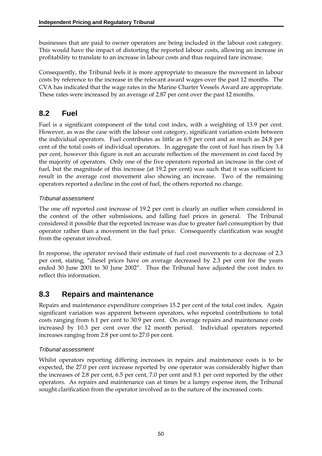businesses that are paid to owner operators are being included in the labour cost category. This would have the impact of distorting the reported labour costs, allowing an increase in profitability to translate to an increase in labour costs and thus required fare increase.

Consequently, the Tribunal feels it is more appropriate to measure the movement in labour costs by reference to the increase in the relevant award wages over the past 12 months. The CVA has indicated that the wage rates in the Marine Charter Vessels Award are appropriate. These rates were increased by an average of 2.87 per cent over the past 12 months.

## **8.2 Fuel**

Fuel is a significant component of the total cost index, with a weighting of 13.9 per cent. However, as was the case with the labour cost category, significant variation exists between the individual operators. Fuel contributes as little as 6.9 per cent and as much as 24.8 per cent of the total costs of individual operators. In aggregate the cost of fuel has risen by 3.4 per cent, however this figure is not an accurate reflection of the movement in cost faced by the majority of operators. Only one of the five operators reported an increase in the cost of fuel, but the magnitude of this increase (at 19.2 per cent) was such that it was sufficient to result in the average cost movement also showing an increase. Two of the remaining operators reported a decline in the cost of fuel, the others reported no change.

### *Tribunal assessment*

The one off reported cost increase of 19.2 per cent is clearly an outlier when considered in the context of the other submissions, and falling fuel prices in general. The Tribunal considered it possible that the reported increase was due to greater fuel consumption by that operator rather than a movement in the fuel price. Consequently clarification was sought from the operator involved.

In response, the operator revised their estimate of fuel cost movements to a decrease of 2.3 per cent, stating, "diesel prices have on average decreased by 2.3 per cent for the years ended 30 June 2001 to 30 June 2002". Thus the Tribunal have adjusted the cost index to reflect this information.

## **8.3 Repairs and maintenance**

Repairs and maintenance expenditure comprises 15.2 per cent of the total cost index. Again significant variation was apparent between operators, who reported contributions to total costs ranging from 6.1 per cent to 30.9 per cent. On average repairs and maintenance costs increased by 10.3 per cent over the 12 month period. Individual operators reported increases ranging from 2.8 per cent to 27.0 per cent.

### *Tribunal assessment*

Whilst operators reporting differing increases in repairs and maintenance costs is to be expected, the 27.0 per cent increase reported by one operator was considerably higher than the increases of 2.8 per cent, 6.5 per cent, 7.0 per cent and 8.1 per cent reported by the other operators. As repairs and maintenance can at times be a lumpy expense item, the Tribunal sought clarification from the operator involved as to the nature of the increased costs.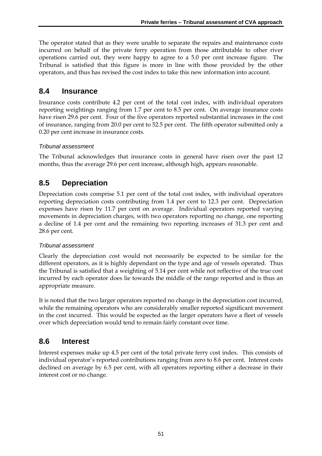The operator stated that as they were unable to separate the repairs and maintenance costs incurred on behalf of the private ferry operation from those attributable to other river operations carried out, they were happy to agree to a 5.0 per cent increase figure. The Tribunal is satisfied that this figure is more in line with those provided by the other operators, and thus has revised the cost index to take this new information into account.

## **8.4 Insurance**

Insurance costs contribute 4.2 per cent of the total cost index, with individual operators reporting weightings ranging from 1.7 per cent to 8.5 per cent. On average insurance costs have risen 29.6 per cent. Four of the five operators reported substantial increases in the cost of insurance, ranging from 20.0 per cent to 52.5 per cent. The fifth operator submitted only a 0.20 per cent increase in insurance costs.

## *Tribunal assessment*

The Tribunal acknowledges that insurance costs in general have risen over the past 12 months, thus the average 29.6 per cent increase, although high, appears reasonable.

# **8.5 Depreciation**

Depreciation costs comprise 5.1 per cent of the total cost index, with individual operators reporting depreciation costs contributing from 1.4 per cent to 12.3 per cent. Depreciation expenses have risen by 11.7 per cent on average. Individual operators reported varying movements in depreciation charges, with two operators reporting no change, one reporting a decline of 1.4 per cent and the remaining two reporting increases of 31.3 per cent and 28.6 per cent.

### *Tribunal assessment*

Clearly the depreciation cost would not necessarily be expected to be similar for the different operators, as it is highly dependant on the type and age of vessels operated. Thus the Tribunal is satisfied that a weighting of 5.14 per cent while not reflective of the true cost incurred by each operator does lie towards the middle of the range reported and is thus an appropriate measure.

It is noted that the two larger operators reported no change in the depreciation cost incurred, while the remaining operators who are considerably smaller reported significant movement in the cost incurred. This would be expected as the larger operators have a fleet of vessels over which depreciation would tend to remain fairly constant over time.

## **8.6 Interest**

Interest expenses make up 4.5 per cent of the total private ferry cost index. This consists of individual operator's reported contributions ranging from zero to 8.6 per cent. Interest costs declined on average by 6.5 per cent, with all operators reporting either a decrease in their interest cost or no change.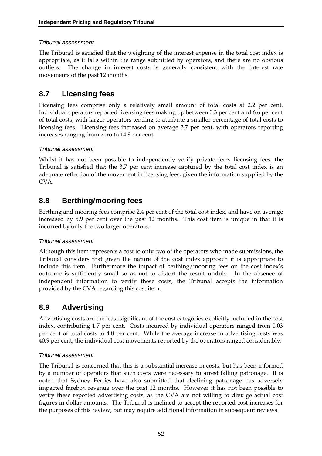### *Tribunal assessment*

The Tribunal is satisfied that the weighting of the interest expense in the total cost index is appropriate, as it falls within the range submitted by operators, and there are no obvious outliers. The change in interest costs is generally consistent with the interest rate movements of the past 12 months.

# **8.7 Licensing fees**

Licensing fees comprise only a relatively small amount of total costs at 2.2 per cent. Individual operators reported licensing fees making up between 0.3 per cent and 6.6 per cent of total costs, with larger operators tending to attribute a smaller percentage of total costs to licensing fees. Licensing fees increased on average 3.7 per cent, with operators reporting increases ranging from zero to 14.9 per cent.

## *Tribunal assessment*

Whilst it has not been possible to independently verify private ferry licensing fees, the Tribunal is satisfied that the 3.7 per cent increase captured by the total cost index is an adequate reflection of the movement in licensing fees, given the information supplied by the CVA.

# **8.8 Berthing/mooring fees**

Berthing and mooring fees comprise 2.4 per cent of the total cost index, and have on average increased by 5.9 per cent over the past 12 months. This cost item is unique in that it is incurred by only the two larger operators.

### *Tribunal assessment*

Although this item represents a cost to only two of the operators who made submissions, the Tribunal considers that given the nature of the cost index approach it is appropriate to include this item. Furthermore the impact of berthing/mooring fees on the cost index's outcome is sufficiently small so as not to distort the result unduly. In the absence of independent information to verify these costs, the Tribunal accepts the information provided by the CVA regarding this cost item.

# **8.9 Advertising**

Advertising costs are the least significant of the cost categories explicitly included in the cost index, contributing 1.7 per cent. Costs incurred by individual operators ranged from 0.03 per cent of total costs to 4.8 per cent. While the average increase in advertising costs was 40.9 per cent, the individual cost movements reported by the operators ranged considerably.

## *Tribunal assessment*

The Tribunal is concerned that this is a substantial increase in costs, but has been informed by a number of operators that such costs were necessary to arrest falling patronage. It is noted that Sydney Ferries have also submitted that declining patronage has adversely impacted farebox revenue over the past 12 months. However it has not been possible to verify these reported advertising costs, as the CVA are not willing to divulge actual cost figures in dollar amounts. The Tribunal is inclined to accept the reported cost increases for the purposes of this review, but may require additional information in subsequent reviews.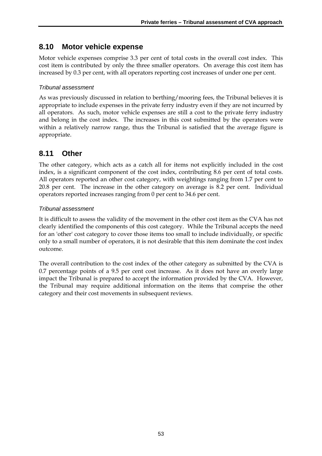## **8.10 Motor vehicle expense**

Motor vehicle expenses comprise 3.3 per cent of total costs in the overall cost index. This cost item is contributed by only the three smaller operators. On average this cost item has increased by 0.3 per cent, with all operators reporting cost increases of under one per cent.

### *Tribunal assessment*

As was previously discussed in relation to berthing/mooring fees, the Tribunal believes it is appropriate to include expenses in the private ferry industry even if they are not incurred by all operators. As such, motor vehicle expenses are still a cost to the private ferry industry and belong in the cost index. The increases in this cost submitted by the operators were within a relatively narrow range, thus the Tribunal is satisfied that the average figure is appropriate.

## **8.11 Other**

The other category, which acts as a catch all for items not explicitly included in the cost index, is a significant component of the cost index, contributing 8.6 per cent of total costs. All operators reported an other cost category, with weightings ranging from 1.7 per cent to 20.8 per cent. The increase in the other category on average is 8.2 per cent. Individual operators reported increases ranging from 0 per cent to 34.6 per cent.

### *Tribunal assessment*

It is difficult to assess the validity of the movement in the other cost item as the CVA has not clearly identified the components of this cost category. While the Tribunal accepts the need for an 'other' cost category to cover those items too small to include individually, or specific only to a small number of operators, it is not desirable that this item dominate the cost index outcome.

The overall contribution to the cost index of the other category as submitted by the CVA is 0.7 percentage points of a 9.5 per cent cost increase. As it does not have an overly large impact the Tribunal is prepared to accept the information provided by the CVA. However, the Tribunal may require additional information on the items that comprise the other category and their cost movements in subsequent reviews.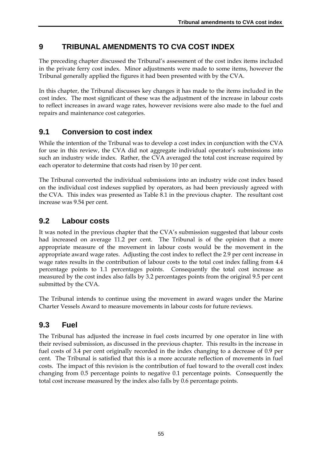# **9 TRIBUNAL AMENDMENTS TO CVA COST INDEX**

The preceding chapter discussed the Tribunal's assessment of the cost index items included in the private ferry cost index. Minor adjustments were made to some items, however the Tribunal generally applied the figures it had been presented with by the CVA.

In this chapter, the Tribunal discusses key changes it has made to the items included in the cost index. The most significant of these was the adjustment of the increase in labour costs to reflect increases in award wage rates, however revisions were also made to the fuel and repairs and maintenance cost categories.

# **9.1 Conversion to cost index**

While the intention of the Tribunal was to develop a cost index in conjunction with the CVA for use in this review, the CVA did not aggregate individual operator's submissions into such an industry wide index. Rather, the CVA averaged the total cost increase required by each operator to determine that costs had risen by 10 per cent.

The Tribunal converted the individual submissions into an industry wide cost index based on the individual cost indexes supplied by operators, as had been previously agreed with the CVA. This index was presented as Table 8.1 in the previous chapter. The resultant cost increase was 9.54 per cent.

# **9.2 Labour costs**

It was noted in the previous chapter that the CVA's submission suggested that labour costs had increased on average 11.2 per cent. The Tribunal is of the opinion that a more appropriate measure of the movement in labour costs would be the movement in the appropriate award wage rates. Adjusting the cost index to reflect the 2.9 per cent increase in wage rates results in the contribution of labour costs to the total cost index falling from 4.4 percentage points to 1.1 percentages points. Consequently the total cost increase as measured by the cost index also falls by 3.2 percentages points from the original 9.5 per cent submitted by the CVA.

The Tribunal intends to continue using the movement in award wages under the Marine Charter Vessels Award to measure movements in labour costs for future reviews.

## **9.3 Fuel**

The Tribunal has adjusted the increase in fuel costs incurred by one operator in line with their revised submission, as discussed in the previous chapter. This results in the increase in fuel costs of 3.4 per cent originally recorded in the index changing to a decrease of 0.9 per cent. The Tribunal is satisfied that this is a more accurate reflection of movements in fuel costs. The impact of this revision is the contribution of fuel toward to the overall cost index changing from 0.5 percentage points to negative 0.1 percentage points. Consequently the total cost increase measured by the index also falls by 0.6 percentage points.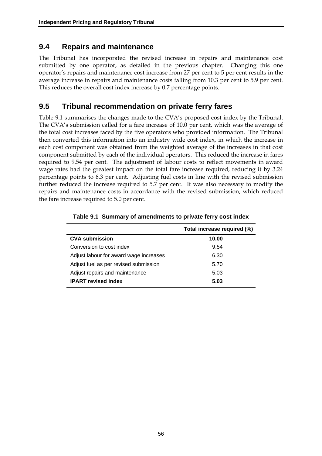## **9.4 Repairs and maintenance**

The Tribunal has incorporated the revised increase in repairs and maintenance cost submitted by one operator, as detailed in the previous chapter. Changing this one operator's repairs and maintenance cost increase from 27 per cent to 5 per cent results in the average increase in repairs and maintenance costs falling from 10.3 per cent to 5.9 per cent. This reduces the overall cost index increase by 0.7 percentage points.

## **9.5 Tribunal recommendation on private ferry fares**

Table 9.1 summarises the changes made to the CVA's proposed cost index by the Tribunal. The CVA's submission called for a fare increase of 10.0 per cent, which was the average of the total cost increases faced by the five operators who provided information. The Tribunal then converted this information into an industry wide cost index, in which the increase in each cost component was obtained from the weighted average of the increases in that cost component submitted by each of the individual operators. This reduced the increase in fares required to 9.54 per cent. The adjustment of labour costs to reflect movements in award wage rates had the greatest impact on the total fare increase required, reducing it by 3.24 percentage points to 6.3 per cent. Adjusting fuel costs in line with the revised submission further reduced the increase required to 5.7 per cent. It was also necessary to modify the repairs and maintenance costs in accordance with the revised submission, which reduced the fare increase required to 5.0 per cent.

|                                        | Total increase required (%) |
|----------------------------------------|-----------------------------|
| <b>CVA submission</b>                  | 10.00                       |
| Conversion to cost index               | 9.54                        |
| Adjust labour for award wage increases | 6.30                        |
| Adjust fuel as per revised submission  | 5.70                        |
| Adjust repairs and maintenance         | 5.03                        |
| <b>IPART</b> revised index             | 5.03                        |

|  |  |  |  | Table 9.1 Summary of amendments to private ferry cost index |
|--|--|--|--|-------------------------------------------------------------|
|--|--|--|--|-------------------------------------------------------------|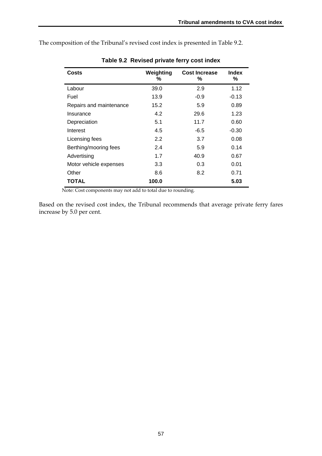The composition of the Tribunal's revised cost index is presented in Table 9.2.

| Costs                   | Weighting<br>℅ | <b>Cost Increase</b><br>% | <b>Index</b><br>% |
|-------------------------|----------------|---------------------------|-------------------|
| Labour                  | 39.0           | 2.9                       | 1.12              |
| Fuel                    | 13.9           | $-0.9$                    | -0.13             |
| Repairs and maintenance | 15.2           | 5.9                       | 0.89              |
| Insurance               | 4.2            | 29.6                      | 1.23              |
| Depreciation            | 5.1            | 11.7                      | 0.60              |
| Interest                | 4.5            | -6.5                      | $-0.30$           |
| Licensing fees          | 2.2            | 3.7                       | 0.08              |
| Berthing/mooring fees   | 2.4            | 5.9                       | 0.14              |
| Advertising             | 1.7            | 40.9                      | 0.67              |
| Motor vehicle expenses  | 3.3            | 0.3                       | 0.01              |
| Other                   | 8.6            | 8.2                       | 0.71              |
| TOTAL                   | 100.0          |                           | 5.03              |

**Table 9.2 Revised private ferry cost index** 

Note: Cost components may not add to total due to rounding.

Based on the revised cost index, the Tribunal recommends that average private ferry fares increase by 5.0 per cent.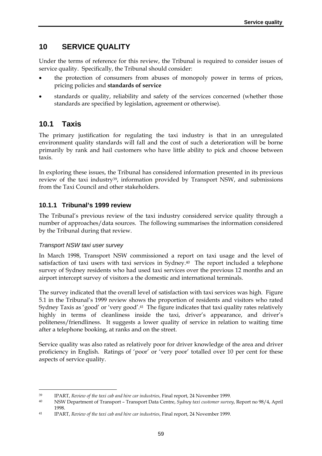# **10 SERVICE QUALITY**

Under the terms of reference for this review, the Tribunal is required to consider issues of service quality. Specifically, the Tribunal should consider:

- the protection of consumers from abuses of monopoly power in terms of prices, pricing policies and **standards of service**
- standards or quality, reliability and safety of the services concerned (whether those standards are specified by legislation, agreement or otherwise).

# **10.1 Taxis**

The primary justification for regulating the taxi industry is that in an unregulated environment quality standards will fall and the cost of such a deterioration will be borne primarily by rank and hail customers who have little ability to pick and choose between taxis.

In exploring these issues, the Tribunal has considered information presented in its previous review of the taxi industry<sup>39</sup>, information provided by Transport NSW, and submissions from the Taxi Council and other stakeholders.

## **10.1.1 Tribunal's 1999 review**

The Tribunal's previous review of the taxi industry considered service quality through a number of approaches/data sources. The following summarises the information considered by the Tribunal during that review.

### *Transport NSW taxi user survey*

-

In March 1998, Transport NSW commissioned a report on taxi usage and the level of satisfaction of taxi users with taxi services in Sydney.40 The report included a telephone survey of Sydney residents who had used taxi services over the previous 12 months and an airport intercept survey of visitors a the domestic and international terminals.

The survey indicated that the overall level of satisfaction with taxi services was high. Figure 5.1 in the Tribunal's 1999 review shows the proportion of residents and visitors who rated Sydney Taxis as 'good' or 'very good'.41 The figure indicates that taxi quality rates relatively highly in terms of cleanliness inside the taxi, driver's appearance, and driver's politeness/friendliness. It suggests a lower quality of service in relation to waiting time after a telephone booking, at ranks and on the street.

Service quality was also rated as relatively poor for driver knowledge of the area and driver proficiency in English. Ratings of 'poor' or 'very poor' totalled over 10 per cent for these aspects of service quality.

<sup>39</sup> IPART, *Review of the taxi cab and hire car industries*, Final report, 24 November 1999.

<sup>40</sup> NSW Department of Transport – Transport Data Centre, *Sydney taxi customer survey*, Report no 98/4, April 1998.

<sup>41</sup> IPART, *Review of the taxi cab and hire car industries*, Final report, 24 November 1999.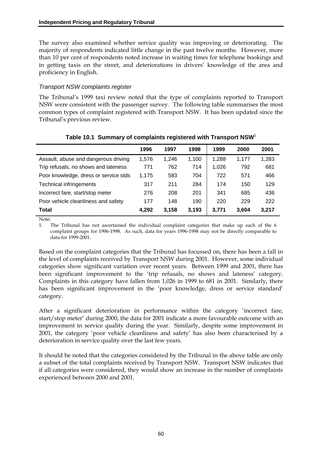The survey also examined whether service quality was improving or deteriorating. The majority of respondents indicated little change in the past twelve months. However, more than 10 per cent of respondents noted increase in waiting times for telephone bookings and in getting taxis on the street, and deteriorations in drivers' knowledge of the area and proficiency in English.

### *Transport NSW complaints register*

The Tribunal's 1999 taxi review noted that the type of complaints reported to Transport NSW were consistent with the passenger survey. The following table summarises the most common types of complaint registered with Transport NSW. It has been updated since the Tribunal's previous review.

|                                       | 1996  | 1997  | 1998  | 1999  | 2000  | 2001  |
|---------------------------------------|-------|-------|-------|-------|-------|-------|
| Assault, abuse and dangerous driving  | 1,576 | 1.246 | 1.100 | 1,288 | 1.177 | 1,283 |
| Trip refusals, no shows and lateness  | 771   | 762   | 714   | 1,026 | 792   | 681   |
| Poor knowledge, dress or service stds | 1.175 | 583   | 704   | 722   | 571   | 466   |
| Technical infringements               | 317   | 211   | 284   | 174   | 150   | 129   |
| Incorrect fare, start/stop meter      | 276   | 208   | 201   | 341   | 685   | 436   |
| Poor vehicle cleanliness and safety   | 177   | 148   | 190   | 220   | 229   | 222   |
| <b>Total</b>                          | 4,292 | 3,158 | 3.193 | 3.771 | 3,604 | 3.217 |

## **Table 10.1 Summary of complaints registered with Transport NSW**<sup>1</sup>

Note:

1. The Tribunal has not ascertained the individual complaint categories that make up each of the 6 complaint groups for 1996-1998. As such, data for years 1996-1998 may not be directly comparable to data for 1999-2001.

Based on the complaint categories that the Tribunal has focussed on, there has been a fall in the level of complaints received by Transport NSW during 2001. However, some individual categories show significant variation over recent years. Between 1999 and 2001, there has been significant improvement to the 'trip refusals, no shows and lateness' category. Complaints in this category have fallen from 1,026 in 1999 to 681 in 2001. Similarly, there has been significant improvement in the 'poor knowledge, dress or service standard' category.

After a significant deterioration in performance within the category 'incorrect fare, start/stop meter' during 2000, the data for 2001 indicate a more favourable outcome with an improvement in service quality during the year. Similarly, despite some improvement in 2001, the category 'poor vehicle cleanliness and safety' has also been characterised by a deterioration in service quality over the last few years.

It should be noted that the categories considered by the Tribunal in the above table are only a subset of the total complaints received by Transport NSW. Transport NSW indicates that if all categories were considered, they would show an increase in the number of complaints experienced between 2000 and 2001.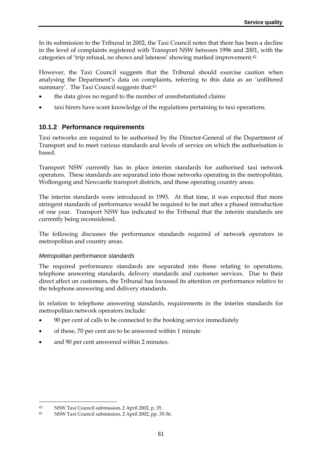In its submission to the Tribunal in 2002, the Taxi Council notes that there has been a decline in the level of complaints registered with Transport NSW between 1996 and 2001, with the categories of 'trip refusal, no shows and lateness' showing marked improvement.42

However, the Taxi Council suggests that the Tribunal should exercise caution when analysing the Department's data on complaints, referring to this data as an 'unfiltered summary'. The Taxi Council suggests that:43

- the data gives no regard to the number of unsubstantiated claims
- taxi hirers have scant knowledge of the regulations pertaining to taxi operations.

### **10.1.2 Performance requirements**

Taxi networks are required to be authorised by the Director-General of the Department of Transport and to meet various standards and levels of service on which the authorisation is based.

Transport NSW currently has in place interim standards for authorised taxi network operators. These standards are separated into those networks operating in the metropolitan, Wollongong and Newcastle transport districts, and those operating country areas.

The interim standards were introduced in 1993. At that time, it was expected that more stringent standards of performance would be required to be met after a phased introduction of one year. Transport NSW has indicated to the Tribunal that the interim standards are currently being reconsidered.

The following discusses the performance standards required of network operators in metropolitan and country areas.

#### *Metropolitan performance standards*

The required performance standards are separated into those relating to operations, telephone answering standards, delivery standards and customer services. Due to their direct affect on customers, the Tribunal has focussed its attention on performance relative to the telephone answering and delivery standards.

In relation to telephone answering standards, requirements in the interim standards for metropolitan network operators include:

- 90 per cent of calls to be connected to the booking service immediately
- of these, 70 per cent are to be answered within 1 minute
- and 90 per cent answered within 2 minutes.

<sup>42</sup> NSW Taxi Council submission, 2 April 2002, p. 35.

<sup>43</sup> NSW Taxi Council submission, 2 April 2002, pp. 35-36.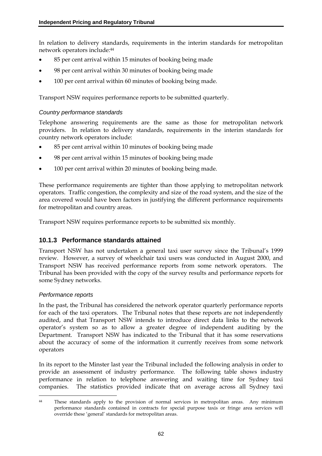In relation to delivery standards, requirements in the interim standards for metropolitan network operators include:44

- 85 per cent arrival within 15 minutes of booking being made
- 98 per cent arrival within 30 minutes of booking being made
- 100 per cent arrival within 60 minutes of booking being made.

Transport NSW requires performance reports to be submitted quarterly.

#### *Country performance standards*

Telephone answering requirements are the same as those for metropolitan network providers. In relation to delivery standards, requirements in the interim standards for country network operators include:

- 85 per cent arrival within 10 minutes of booking being made
- 98 per cent arrival within 15 minutes of booking being made
- 100 per cent arrival within 20 minutes of booking being made.

These performance requirements are tighter than those applying to metropolitan network operators. Traffic congestion, the complexity and size of the road system, and the size of the area covered would have been factors in justifying the different performance requirements for metropolitan and country areas.

Transport NSW requires performance reports to be submitted six monthly.

### **10.1.3 Performance standards attained**

Transport NSW has not undertaken a general taxi user survey since the Tribunal's 1999 review. However, a survey of wheelchair taxi users was conducted in August 2000, and Transport NSW has received performance reports from some network operators. The Tribunal has been provided with the copy of the survey results and performance reports for some Sydney networks.

#### *Performance reports*

<u>.</u>

In the past, the Tribunal has considered the network operator quarterly performance reports for each of the taxi operators. The Tribunal notes that these reports are not independently audited, and that Transport NSW intends to introduce direct data links to the network operator's system so as to allow a greater degree of independent auditing by the Department. Transport NSW has indicated to the Tribunal that it has some reservations about the accuracy of some of the information it currently receives from some network operators

In its report to the Minster last year the Tribunal included the following analysis in order to provide an assessment of industry performance. The following table shows industry performance in relation to telephone answering and waiting time for Sydney taxi companies. The statistics provided indicate that on average across all Sydney taxi

<sup>&</sup>lt;sup>44</sup> These standards apply to the provision of normal services in metropolitan areas. Any minimum performance standards contained in contracts for special purpose taxis or fringe area services will override these 'general' standards for metropolitan areas.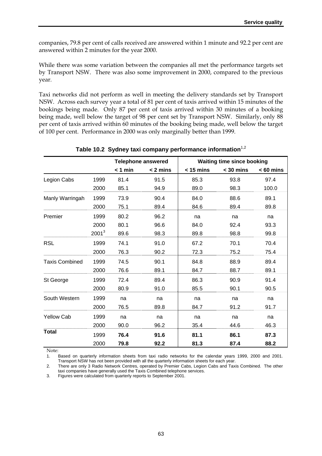companies, 79.8 per cent of calls received are answered within 1 minute and 92.2 per cent are answered within 2 minutes for the year 2000.

While there was some variation between the companies all met the performance targets set by Transport NSW. There was also some improvement in 2000, compared to the previous year*.* 

Taxi networks did not perform as well in meeting the delivery standards set by Transport NSW. Across each survey year a total of 81 per cent of taxis arrived within 15 minutes of the bookings being made. Only 87 per cent of taxis arrived within 30 minutes of a booking being made, well below the target of 98 per cent set by Transport NSW. Similarly, only 88 per cent of taxis arrived within 60 minutes of the booking being made, well below the target of 100 per cent. Performance in 2000 was only marginally better than 1999.

|                       |          | <b>Telephone answered</b> |            | <b>Waiting time since booking</b> |             |             |
|-----------------------|----------|---------------------------|------------|-----------------------------------|-------------|-------------|
|                       |          | $< 1$ min                 | $< 2$ mins | $<$ 15 mins                       | $<$ 30 mins | $< 60$ mins |
| Legion Cabs           | 1999     | 81.4                      | 91.5       | 85.3                              | 93.8        | 97.4        |
|                       | 2000     | 85.1                      | 94.9       | 89.0                              | 98.3        | 100.0       |
| Manly Warringah       | 1999     | 73.9                      | 90.4       | 84.0                              | 88.6        | 89.1        |
|                       | 2000     | 75.1                      | 89.4       | 84.6                              | 89.4        | 89.8        |
| Premier               | 1999     | 80.2                      | 96.2       | na                                | na          | na          |
|                       | 2000     | 80.1                      | 96.6       | 84.0                              | 92.4        | 93.3        |
|                       | $2001^3$ | 89.6                      | 98.3       | 89.8                              | 98.8        | 99.8        |
| <b>RSL</b>            | 1999     | 74.1                      | 91.0       | 67.2                              | 70.1        | 70.4        |
|                       | 2000     | 76.3                      | 90.2       | 72.3                              | 75.2        | 75.4        |
| <b>Taxis Combined</b> | 1999     | 74.5                      | 90.1       | 84.8                              | 88.9        | 89.4        |
|                       | 2000     | 76.6                      | 89.1       | 84.7                              | 88.7        | 89.1        |
| St George             | 1999     | 72.4                      | 89.4       | 86.3                              | 90.9        | 91.4        |
|                       | 2000     | 80.9                      | 91.0       | 85.5                              | 90.1        | 90.5        |
| South Western         | 1999     | na                        | na         | na                                | na          | na          |
|                       | 2000     | 76.5                      | 89.8       | 84.7                              | 91.2        | 91.7        |
| <b>Yellow Cab</b>     | 1999     | na                        | na         | na                                | na          | na          |
|                       | 2000     | 90.0                      | 96.2       | 35.4                              | 44.6        | 46.3        |
| <b>Total</b>          | 1999     | 76.4                      | 91.6       | 81.1                              | 86.1        | 87.3        |
|                       | 2000     | 79.8                      | 92.2       | 81.3                              | 87.4        | 88.2        |

#### **Table 10.2 Sydney taxi company performance information**1,2

Note:

1. Based on quarterly information sheets from taxi radio networks for the calendar years 1999, 2000 and 2001. Transport NSW has not been provided with all the quarterly information sheets for each year.

2. There are only 3 Radio Network Centres, operated by Premier Cabs, Legion Cabs and Taxis Combined. The other taxi companies have generally used the Taxis Combined telephone services.

3. Figures were calculated from quarterly reports to September 2001.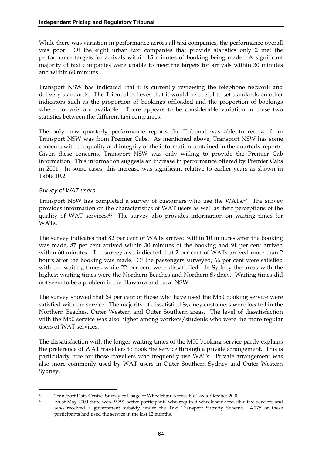While there was variation in performance across all taxi companies, the performance overall was poor. Of the eight urban taxi companies that provide statistics only 2 met the performance targets for arrivals within 15 minutes of booking being made. A significant majority of taxi companies were unable to meet the targets for arrivals within 30 minutes and within 60 minutes.

Transport NSW has indicated that it is currently reviewing the telephone network and delivery standards. The Tribunal believes that it would be useful to set standards on other indicators such as the proportion of bookings offloaded and the proportion of bookings where no taxis are available. There appears to be considerable variation in these two statistics between the different taxi companies.

The only new quarterly performance reports the Tribunal was able to receive from Transport NSW was from Premier Cabs. As mentioned above, Transport NSW has some concerns with the quality and integrity of the information contained in the quarterly reports. Given these concerns, Transport NSW was only willing to provide the Premier Cab information. This information suggests an increase in performance offered by Premier Cabs in 2001. In some cases, this increase was significant relative to earlier years as shown in Table 10.2.

#### *Survey of WAT users*

Transport NSW has completed a survey of customers who use the WATs.45 The survey provides information on the characteristics of WAT users as well as their perceptions of the quality of WAT services.46 The survey also provides information on waiting times for WATs.

The survey indicates that 82 per cent of WATs arrived within 10 minutes after the booking was made, 87 per cent arrived within 30 minutes of the booking and 91 per cent arrived within 60 minutes. The survey also indicated that 2 per cent of WATs arrived more than 2 hours after the booking was made. Of the passengers surveyed, 66 per cent were satisfied with the waiting times, while 22 per cent were dissatisfied. In Sydney the areas with the highest waiting times were the Northern Beaches and Northern Sydney. Waiting times did not seem to be a problem in the Illawarra and rural NSW.

The survey showed that 64 per cent of those who have used the M50 booking service were satisfied with the service. The majority of dissatisfied Sydney customers were located in the Northern Beaches, Outer Western and Outer Southern areas. The level of dissatisfaction with the M50 service was also higher among workers/students who were the more regular users of WAT services.

The dissatisfaction with the longer waiting times of the M50 booking service partly explains the preference of WAT travellers to book the service through a private arrangement. This is particularly true for those travellers who frequently use WATs. Private arrangement was also more commonly used by WAT users in Outer Southern Sydney and Outer Western Sydney.

 $45\,$ 45 Transport Data Centre, Survey of Usage of Wheelchair Accessible Taxis, October 2000.

<sup>46</sup> As at May 2000 there were 9,791 active participants who required wheelchair accessible taxi services and who received a government subsidy under the Taxi Transport Subsidy Scheme. 4,775 of these participants had used the service in the last 12 months.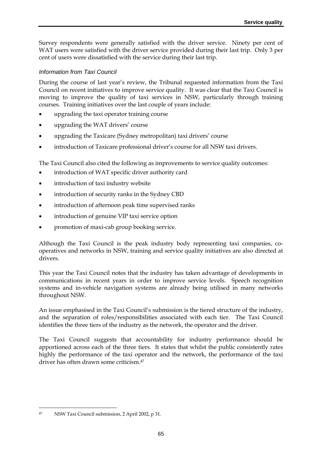Survey respondents were generally satisfied with the driver service. Ninety per cent of WAT users were satisfied with the driver service provided during their last trip. Only 3 per cent of users were dissatisfied with the service during their last trip.

## *Information from Taxi Council*

During the course of last year's review, the Tribunal requested information from the Taxi Council on recent initiatives to improve service quality. It was clear that the Taxi Council is moving to improve the quality of taxi services in NSW, particularly through training courses. Training initiatives over the last couple of years include:

- upgrading the taxi operator training course
- upgrading the WAT drivers' course
- upgrading the Taxicare (Sydney metropolitan) taxi drivers' course
- introduction of Taxicare professional driver's course for all NSW taxi drivers.

The Taxi Council also cited the following as improvements to service quality outcomes:

- introduction of WAT specific driver authority card
- introduction of taxi industry website
- introduction of security ranks in the Sydney CBD
- introduction of afternoon peak time supervised ranks
- introduction of genuine VIP taxi service option
- promotion of maxi-cab group booking service.

Although the Taxi Council is the peak industry body representing taxi companies, cooperatives and networks in NSW, training and service quality initiatives are also directed at drivers.

This year the Taxi Council notes that the industry has taken advantage of developments in communications in recent years in order to improve service levels. Speech recognition systems and in-vehicle navigation systems are already being utilised in many networks throughout NSW.

An issue emphasised in the Taxi Council's submission is the tiered structure of the industry, and the separation of roles/responsibilities associated with each tier. The Taxi Council identifies the three tiers of the industry as the network, the operator and the driver.

The Taxi Council suggests that accountability for industry performance should be apportioned across each of the three tiers. It states that whilst the public consistently rates highly the performance of the taxi operator and the network, the performance of the taxi driver has often drawn some criticism.47

<sup>47</sup> NSW Taxi Council submission, 2 April 2002, p 31.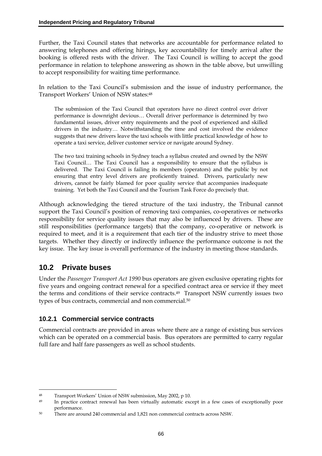Further, the Taxi Council states that networks are accountable for performance related to answering telephones and offering hirings, key accountability for timely arrival after the booking is offered rests with the driver. The Taxi Council is willing to accept the good performance in relation to telephone answering as shown in the table above, but unwilling to accept responsibility for waiting time performance.

In relation to the Taxi Council's submission and the issue of industry performance, the Transport Workers' Union of NSW states:48

The submission of the Taxi Council that operators have no direct control over driver performance is downright devious… Overall driver performance is determined by two fundamental issues, driver entry requirements and the pool of experienced and skilled drivers in the industry… Notwithstanding the time and cost involved the evidence suggests that new drivers leave the taxi schools with little practical knowledge of how to operate a taxi service, deliver customer service or navigate around Sydney.

The two taxi training schools in Sydney teach a syllabus created and owned by the NSW Taxi Council… The Taxi Council has a responsibility to ensure that the syllabus is delivered. The Taxi Council is failing its members (operators) and the public by not ensuring that entry level drivers are proficiently trained. Drivers, particularly new drivers, cannot be fairly blamed for poor quality service that accompanies inadequate training. Yet both the Taxi Council and the Tourism Task Force do precisely that.

Although acknowledging the tiered structure of the taxi industry, the Tribunal cannot support the Taxi Council's position of removing taxi companies, co-operatives or networks responsibility for service quality issues that may also be influenced by drivers. These are still responsibilities (performance targets) that the company, co-operative or network is required to meet, and it is a requirement that each tier of the industry strive to meet those targets. Whether they directly or indirectly influence the performance outcome is not the key issue. The key issue is overall performance of the industry in meeting those standards.

## **10.2 Private buses**

-

Under the *Passenger Transport Act 1990* bus operators are given exclusive operating rights for five years and ongoing contract renewal for a specified contract area or service if they meet the terms and conditions of their service contracts.49 Transport NSW currently issues two types of bus contracts, commercial and non commercial.50

## **10.2.1 Commercial service contracts**

Commercial contracts are provided in areas where there are a range of existing bus services which can be operated on a commercial basis. Bus operators are permitted to carry regular full fare and half fare passengers as well as school students.

<sup>48</sup> Transport Workers' Union of NSW submission, May 2002, p 10.

<sup>49</sup> In practice contract renewal has been virtually automatic except in a few cases of exceptionally poor performance.

<sup>50</sup> There are around 240 commercial and 1,821 non commercial contracts across NSW.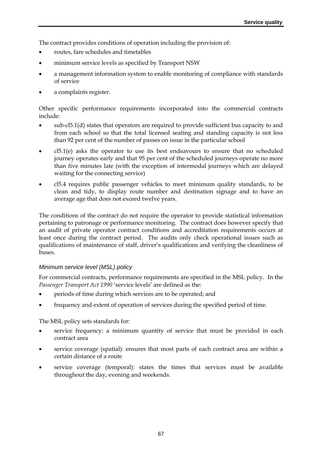The contract provides conditions of operation including the provision of:

- routes, fare schedules and timetables
- minimum service levels as specified by Transport NSW
- a management information system to enable monitoring of compliance with standards of service
- a complaints register.

Other specific performance requirements incorporated into the commercial contracts include:

- sub-cl5.1(d) states that operators are required to provide sufficient bus capacity to and from each school so that the total licensed seating and standing capacity is not less than 92 per cent of the number of passes on issue in the particular school
- cl5.1(e) asks the operator to use its best endeavours to ensure that no scheduled journey operates early and that 95 per cent of the scheduled journeys operate no more than five minutes late (with the exception of intermodal journeys which are delayed waiting for the connecting service)
- cl5.4 requires public passenger vehicles to meet minimum quality standards, to be clean and tidy, to display route number and destination signage and to have an average age that does not exceed twelve years.

The conditions of the contract do not require the operator to provide statistical information pertaining to patronage or performance monitoring. The contract does however specify that an audit of private operator contract conditions and accreditation requirements occurs at least once during the contract period. The audits only check operational issues such as qualifications of maintenance of staff, driver's qualifications and verifying the cleanliness of buses.

### *Minimum service level (MSL) policy*

For commercial contracts, performance requirements are specified in the MSL policy. In the Passenger Transport Act 1990 'service levels' are defined as the:

- periods of time during which services are to be operated; and
- frequency and extent of operation of services during the specified period of time.

The MSL policy sets standards for:

- service frequency: a minimum quantity of service that must be provided in each contract area
- service coverage (spatial): ensures that most parts of each contract area are within a certain distance of a route
- service coverage (temporal): states the times that services must be available throughout the day, evening and weekends.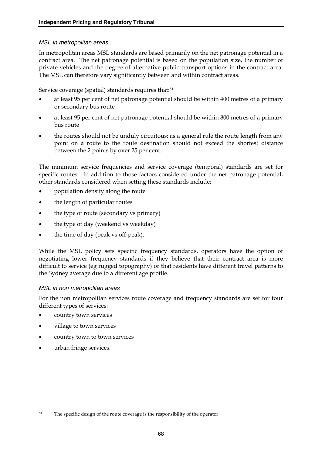#### *MSL in metropolitan areas*

In metropolitan areas MSL standards are based primarily on the net patronage potential in a contract area. The net patronage potential is based on the population size, the number of private vehicles and the degree of alternative public transport options in the contract area. The MSL can therefore vary significantly between and within contract areas.

Service coverage (spatial) standards requires that:<sup>51</sup>

- at least 95 per cent of net patronage potential should be within 400 metres of a primary or secondary bus route
- at least 95 per cent of net patronage potential should be within 800 metres of a primary bus route
- the routes should not be unduly circuitous: as a general rule the route length from any point on a route to the route destination should not exceed the shortest distance between the 2 points by over 25 per cent.

The minimum service frequencies and service coverage (temporal) standards are set for specific routes. In addition to those factors considered under the net patronage potential, other standards considered when setting these standards include:

- population density along the route
- the length of particular routes
- the type of route (secondary vs primary)
- the type of day (weekend vs weekday)
- the time of day (peak vs off-peak).

While the MSL policy sets specific frequency standards, operators have the option of negotiating lower frequency standards if they believe that their contract area is more difficult to service (eg rugged topography) or that residents have different travel patterns to the Sydney average due to a different age profile.

### *MSL in non metropolitan areas*

For the non metropolitan services route coverage and frequency standards are set for four different types of services:

- country town services
- village to town services
- country town to town services
- urban fringe services.

<sup>&</sup>lt;sup>51</sup> The specific design of the route coverage is the responsibility of the operator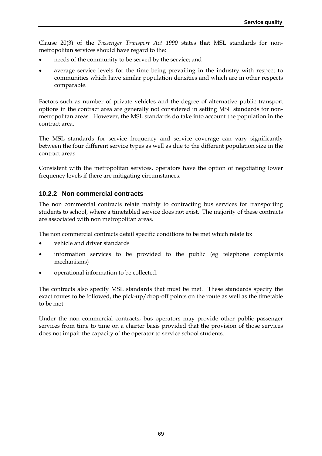Clause 20(3) of the *Passenger Transport Act 1990* states that MSL standards for nonmetropolitan services should have regard to the:

- needs of the community to be served by the service; and
- average service levels for the time being prevailing in the industry with respect to communities which have similar population densities and which are in other respects comparable.

Factors such as number of private vehicles and the degree of alternative public transport options in the contract area are generally not considered in setting MSL standards for nonmetropolitan areas. However, the MSL standards do take into account the population in the contract area.

The MSL standards for service frequency and service coverage can vary significantly between the four different service types as well as due to the different population size in the contract areas.

Consistent with the metropolitan services, operators have the option of negotiating lower frequency levels if there are mitigating circumstances.

## **10.2.2 Non commercial contracts**

The non commercial contracts relate mainly to contracting bus services for transporting students to school, where a timetabled service does not exist. The majority of these contracts are associated with non metropolitan areas.

The non commercial contracts detail specific conditions to be met which relate to:

- vehicle and driver standards
- information services to be provided to the public (eg telephone complaints mechanisms)
- operational information to be collected.

The contracts also specify MSL standards that must be met. These standards specify the exact routes to be followed, the pick-up/drop-off points on the route as well as the timetable to be met.

Under the non commercial contracts, bus operators may provide other public passenger services from time to time on a charter basis provided that the provision of those services does not impair the capacity of the operator to service school students.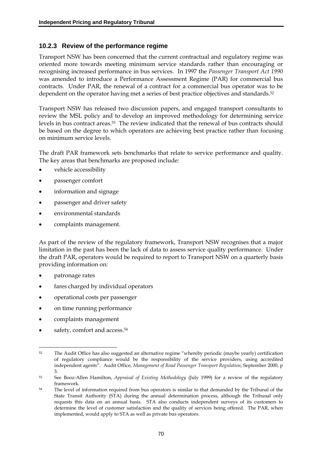### **10.2.3 Review of the performance regime**

Transport NSW has been concerned that the current contractual and regulatory regime was oriented more towards meeting minimum service standards rather than encouraging or recognising increased performance in bus services. In 1997 the *Passenger Transport Act 1990* was amended to introduce a Performance Assessment Regime (PAR) for commercial bus contracts. Under PAR, the renewal of a contract for a commercial bus operator was to be dependent on the operator having met a series of best practice objectives and standards.52

Transport NSW has released two discussion papers, and engaged transport consultants to review the MSL policy and to develop an improved methodology for determining service levels in bus contract areas.53 The review indicated that the renewal of bus contracts should be based on the degree to which operators are achieving best practice rather than focusing on minimum service levels.

The draft PAR framework sets benchmarks that relate to service performance and quality. The key areas that benchmarks are proposed include:

- vehicle accessibility
- passenger comfort
- information and signage
- passenger and driver safety
- environmental standards
- complaints management.

As part of the review of the regulatory framework, Transport NSW recognises that a major limitation in the past has been the lack of data to assess service quality performance. Under the draft PAR, operators would be required to report to Transport NSW on a quarterly basis providing information on:

- patronage rates
- fares charged by individual operators
- operational costs per passenger
- on time running performance
- complaints management
- safety, comfort and access.54

<sup>&</sup>lt;u>.</u> 52 The Audit Office has also suggested an alternative regime "whereby periodic (maybe yearly) certification of regulatory compliance would be the responsibility of the service providers, using accredited independent agents". Audit Office, *Management of Road Passenger Transport Regulation*, September 2000, p 3.

<sup>53</sup> See Booz-Allen Hamilton, *Appraisal of Existing Methodology* (July 1999) for a review of the regulatory framework.

<sup>&</sup>lt;sup>54</sup> The level of information required from bus operators is similar to that demanded by the Tribunal of the State Transit Authority (STA) during the annual determination process, although the Tribunal only requests this data on an annual basis. STA also conducts independent surveys of its customers to determine the level of customer satisfaction and the quality of services being offered. The PAR, when implemented, would apply to STA as well as private bus operators.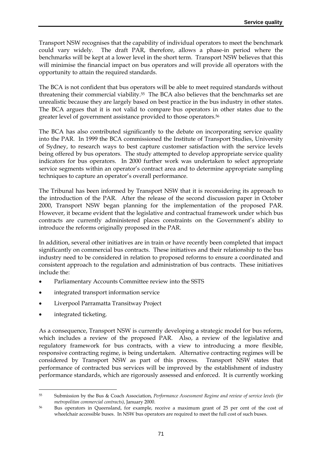Transport NSW recognises that the capability of individual operators to meet the benchmark could vary widely. The draft PAR, therefore, allows a phase-in period where the benchmarks will be kept at a lower level in the short term. Transport NSW believes that this will minimise the financial impact on bus operators and will provide all operators with the opportunity to attain the required standards.

The BCA is not confident that bus operators will be able to meet required standards without threatening their commercial viability.55 The BCA also believes that the benchmarks set are unrealistic because they are largely based on best practice in the bus industry in other states. The BCA argues that it is not valid to compare bus operators in other states due to the greater level of government assistance provided to those operators.56

The BCA has also contributed significantly to the debate on incorporating service quality into the PAR. In 1999 the BCA commissioned the Institute of Transport Studies, University of Sydney, to research ways to best capture customer satisfaction with the service levels being offered by bus operators. The study attempted to develop appropriate service quality indicators for bus operators. In 2000 further work was undertaken to select appropriate service segments within an operator's contract area and to determine appropriate sampling techniques to capture an operator's overall performance.

The Tribunal has been informed by Transport NSW that it is reconsidering its approach to the introduction of the PAR. After the release of the second discussion paper in October 2000, Transport NSW began planning for the implementation of the proposed PAR. However, it became evident that the legislative and contractual framework under which bus contracts are currently administered places constraints on the Government's ability to introduce the reforms originally proposed in the PAR.

In addition, several other initiatives are in train or have recently been completed that impact significantly on commercial bus contracts. These initiatives and their relationship to the bus industry need to be considered in relation to proposed reforms to ensure a coordinated and consistent approach to the regulation and administration of bus contracts. These initiatives include the:

- Parliamentary Accounts Committee review into the SSTS
- integrated transport information service
- Liverpool Parramatta Transitway Project
- integrated ticketing.

-

As a consequence, Transport NSW is currently developing a strategic model for bus reform, which includes a review of the proposed PAR. Also, a review of the legislative and regulatory framework for bus contracts, with a view to introducing a more flexible, responsive contracting regime, is being undertaken. Alternative contracting regimes will be considered by Transport NSW as part of this process. Transport NSW states that performance of contracted bus services will be improved by the establishment of industry performance standards, which are rigorously assessed and enforced. It is currently working

<sup>55</sup> Submission by the Bus & Coach Association, *Performance Assessment Regime and review of service levels (for metropolitan commercial contracts)*, January 2000.

<sup>56</sup> Bus operators in Queensland, for example, receive a maximum grant of 25 per cent of the cost of wheelchair accessible buses. In NSW bus operators are required to meet the full cost of such buses.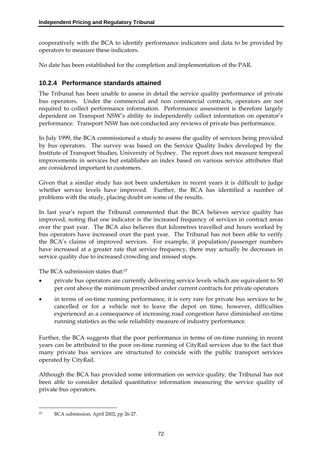cooperatively with the BCA to identify performance indicators and data to be provided by operators to measure these indicators.

No date has been established for the completion and implementation of the PAR.

## **10.2.4 Performance standards attained**

The Tribunal has been unable to assess in detail the service quality performance of private bus operators. Under the commercial and non commercial contracts, operators are not required to collect performance information. Performance assessment is therefore largely dependent on Transport NSW's ability to independently collect information on operator's performance. Transport NSW has not conducted any reviews of private bus performance.

In July 1999, the BCA commissioned a study to assess the quality of services being provided by bus operators. The survey was based on the Service Quality Index developed by the Institute of Transport Studies, University of Sydney. The report does not measure temporal improvements in services but establishes an index based on various service attributes that are considered important to customers.

Given that a similar study has not been undertaken in recent years it is difficult to judge whether service levels have improved. Further, the BCA has identified a number of problems with the study, placing doubt on some of the results.

In last year's report the Tribunal commented that the BCA believes service quality has improved, noting that one indicator is the increased frequency of services in contract areas over the past year. The BCA also believes that kilometres travelled and hours worked by bus operators have increased over the past year. The Tribunal has not been able to verify the BCA's claims of improved services. For example, if population/passenger numbers have increased at a greater rate that service frequency, there may actually be decreases in service quality due to increased crowding and missed stops.

The BCA submission states that:57

- private bus operators are currently delivering service levels which are equivalent to 50 per cent above the minimum prescribed under current contracts for private operators
- in terms of on-time running performance, it is very rare for private bus services to be cancelled or for a vehicle not to leave the depot on time, however, difficulties experienced as a consequence of increasing road congestion have diminished on-time running statistics as the sole reliability measure of industry performance.

Further, the BCA suggests that the poor performance in terms of on-time running in recent years can be attributed to the poor on-time running of CityRail services due to the fact that many private bus services are structured to coincide with the public transport services operated by CityRail.

Although the BCA has provided some information on service quality, the Tribunal has not been able to consider detailed quantitative information measuring the service quality of private bus operators.

<sup>57</sup> BCA submission, April 2002, pp 26-27.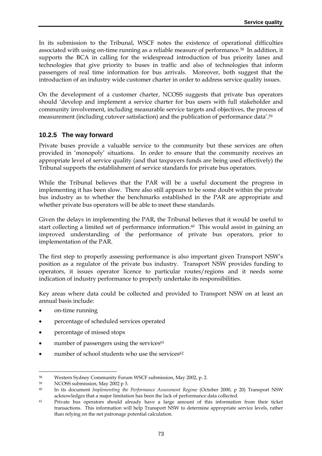In its submission to the Tribunal, WSCF notes the existence of operational difficulties associated with using on-time running as a reliable measure of performance.58 In addition, it supports the BCA in calling for the widespread introduction of bus priority lanes and technologies that give priority to buses in traffic and also of technologies that inform passengers of real time information for bus arrivals. Moreover, both suggest that the introduction of an industry wide customer charter in order to address service quality issues.

On the development of a customer charter, NCOSS suggests that private bus operators should 'develop and implement a service charter for bus users with full stakeholder and community involvement, including measurable service targets and objectives, the process of measurement (including cutover satisfaction) and the publication of performance data'.59

### **10.2.5 The way forward**

Private buses provide a valuable service to the community but these services are often provided in 'monopoly' situations. In order to ensure that the community receives an appropriate level of service quality (and that taxpayers funds are being used effectively) the Tribunal supports the establishment of service standards for private bus operators.

While the Tribunal believes that the PAR will be a useful document the progress in implementing it has been slow. There also still appears to be some doubt within the private bus industry as to whether the benchmarks established in the PAR are appropriate and whether private bus operators will be able to meet these standards.

Given the delays in implementing the PAR, the Tribunal believes that it would be useful to start collecting a limited set of performance information.<sup>60</sup> This would assist in gaining an improved understanding of the performance of private bus operators, prior to implementation of the PAR.

The first step to properly assessing performance is also important given Transport NSW's position as a regulator of the private bus industry. Transport NSW provides funding to operators, it issues operator licence to particular routes/regions and it needs some indication of industry performance to properly undertake its responsibilities.

Key areas where data could be collected and provided to Transport NSW on at least an annual basis include:

- on-time running
- percentage of scheduled services operated
- percentage of missed stops
- number of passengers using the services<sup>61</sup>
- number of school students who use the services<sup>62</sup>

<sup>&</sup>lt;u>.</u> 58 Western Sydney Community Forum WSCF submission, May 2002, p. 2.

<sup>59</sup> NCOSS submission, May 2002 p 3.

<sup>60</sup> In its document *Implementing the Performance Assessment Regime* (October 2000, p 20) Transport NSW acknowledges that a major limitation has been the lack of performance data collected.

<sup>61</sup> Private bus operators should already have a large amount of this information from their ticket transactions. This information will help Transport NSW to determine appropriate service levels, rather than relying on the net patronage potential calculation.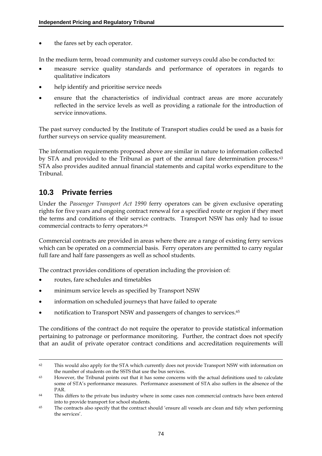the fares set by each operator.

In the medium term, broad community and customer surveys could also be conducted to:

- measure service quality standards and performance of operators in regards to qualitative indicators
- help identify and prioritise service needs
- ensure that the characteristics of individual contract areas are more accurately reflected in the service levels as well as providing a rationale for the introduction of service innovations.

The past survey conducted by the Institute of Transport studies could be used as a basis for further surveys on service quality measurement.

The information requirements proposed above are similar in nature to information collected by STA and provided to the Tribunal as part of the annual fare determination process.<sup>63</sup> STA also provides audited annual financial statements and capital works expenditure to the Tribunal.

## **10.3 Private ferries**

Under the *Passenger Transport Act 1990* ferry operators can be given exclusive operating rights for five years and ongoing contract renewal for a specified route or region if they meet the terms and conditions of their service contracts. Transport NSW has only had to issue commercial contracts to ferry operators.64

Commercial contracts are provided in areas where there are a range of existing ferry services which can be operated on a commercial basis. Ferry operators are permitted to carry regular full fare and half fare passengers as well as school students.

The contract provides conditions of operation including the provision of:

- routes, fare schedules and timetables
- minimum service levels as specified by Transport NSW
- information on scheduled journeys that have failed to operate
- notification to Transport NSW and passengers of changes to services.65

The conditions of the contract do not require the operator to provide statistical information pertaining to patronage or performance monitoring. Further, the contract does not specify that an audit of private operator contract conditions and accreditation requirements will

 $62$  This would also apply for the STA which currently does not provide Transport NSW with information on the number of students on the SSTS that use the bus services.

<sup>63</sup> However, the Tribunal points out that it has some concerns with the actual definitions used to calculate some of STA's performance measures. Performance assessment of STA also suffers in the absence of the PAR.

<sup>64</sup> This differs to the private bus industry where in some cases non commercial contracts have been entered into to provide transport for school students.

<sup>65</sup> The contracts also specify that the contract should 'ensure all vessels are clean and tidy when performing the services'.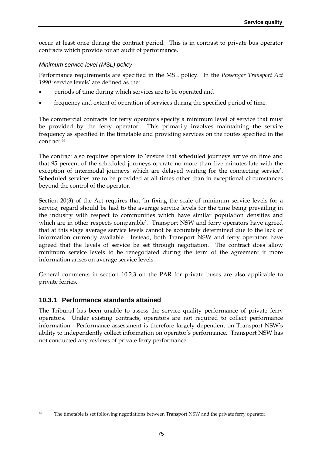occur at least once during the contract period. This is in contrast to private bus operator contracts which provide for an audit of performance.

#### *Minimum service level (MSL) policy*

Performance requirements are specified in the MSL policy. In the *Passenger Transport Act 1990* 'service levels' are defined as the:

- periods of time during which services are to be operated and
- frequency and extent of operation of services during the specified period of time.

The commercial contracts for ferry operators specify a minimum level of service that must be provided by the ferry operator. This primarily involves maintaining the service frequency as specified in the timetable and providing services on the routes specified in the contract.66

The contract also requires operators to 'ensure that scheduled journeys arrive on time and that 95 percent of the scheduled journeys operate no more than five minutes late with the exception of intermodal journeys which are delayed waiting for the connecting service'. Scheduled services are to be provided at all times other than in exceptional circumstances beyond the control of the operator.

Section 20(3) of the Act requires that 'in fixing the scale of minimum service levels for a service, regard should be had to the average service levels for the time being prevailing in the industry with respect to communities which have similar population densities and which are in other respects comparable'. Transport NSW and ferry operators have agreed that at this stage average service levels cannot be accurately determined due to the lack of information currently available. Instead, both Transport NSW and ferry operators have agreed that the levels of service be set through negotiation. The contract does allow minimum service levels to be renegotiated during the term of the agreement if more information arises on average service levels.

General comments in section 10.2.3 on the PAR for private buses are also applicable to private ferries.

### **10.3.1 Performance standards attained**

<u>.</u>

The Tribunal has been unable to assess the service quality performance of private ferry operators. Under existing contracts, operators are not required to collect performance information. Performance assessment is therefore largely dependent on Transport NSW's ability to independently collect information on operator's performance. Transport NSW has not conducted any reviews of private ferry performance.

<sup>66</sup> The timetable is set following negotiations between Transport NSW and the private ferry operator.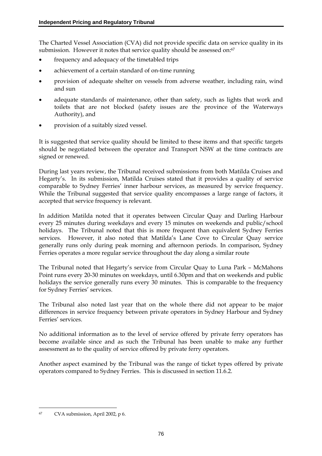The Charted Vessel Association (CVA) did not provide specific data on service quality in its submission. However it notes that service quality should be assessed on:<sup>67</sup>

- frequency and adequacy of the timetabled trips
- achievement of a certain standard of on-time running
- provision of adequate shelter on vessels from adverse weather, including rain, wind and sun
- adequate standards of maintenance, other than safety, such as lights that work and toilets that are not blocked (safety issues are the province of the Waterways Authority), and
- provision of a suitably sized vessel.

It is suggested that service quality should be limited to these items and that specific targets should be negotiated between the operator and Transport NSW at the time contracts are signed or renewed.

During last years review, the Tribunal received submissions from both Matilda Cruises and Hegarty's. In its submission, Matilda Cruises stated that it provides a quality of service comparable to Sydney Ferries' inner harbour services, as measured by service frequency. While the Tribunal suggested that service quality encompasses a large range of factors, it accepted that service frequency is relevant.

In addition Matilda noted that it operates between Circular Quay and Darling Harbour every 25 minutes during weekdays and every 15 minutes on weekends and public/school holidays. The Tribunal noted that this is more frequent than equivalent Sydney Ferries services. However, it also noted that Matilda's Lane Cove to Circular Quay service generally runs only during peak morning and afternoon periods. In comparison, Sydney Ferries operates a more regular service throughout the day along a similar route

The Tribunal noted that Hegarty's service from Circular Quay to Luna Park – McMahons Point runs every 20-30 minutes on weekdays, until 6.30pm and that on weekends and public holidays the service generally runs every 30 minutes. This is comparable to the frequency for Sydney Ferries' services.

The Tribunal also noted last year that on the whole there did not appear to be major differences in service frequency between private operators in Sydney Harbour and Sydney Ferries' services.

No additional information as to the level of service offered by private ferry operators has become available since and as such the Tribunal has been unable to make any further assessment as to the quality of service offered by private ferry operators.

Another aspect examined by the Tribunal was the range of ticket types offered by private operators compared to Sydney Ferries. This is discussed in section 11.6.2.

<sup>67</sup> CVA submission, April 2002, p 6.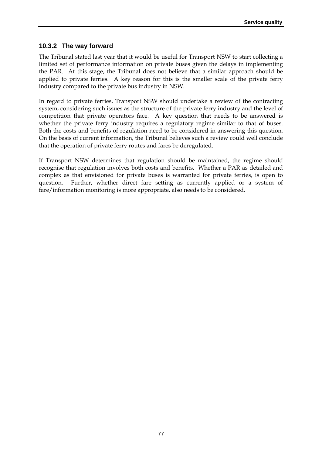## **10.3.2 The way forward**

The Tribunal stated last year that it would be useful for Transport NSW to start collecting a limited set of performance information on private buses given the delays in implementing the PAR. At this stage, the Tribunal does not believe that a similar approach should be applied to private ferries. A key reason for this is the smaller scale of the private ferry industry compared to the private bus industry in NSW.

In regard to private ferries, Transport NSW should undertake a review of the contracting system, considering such issues as the structure of the private ferry industry and the level of competition that private operators face. A key question that needs to be answered is whether the private ferry industry requires a regulatory regime similar to that of buses. Both the costs and benefits of regulation need to be considered in answering this question. On the basis of current information, the Tribunal believes such a review could well conclude that the operation of private ferry routes and fares be deregulated.

If Transport NSW determines that regulation should be maintained, the regime should recognise that regulation involves both costs and benefits. Whether a PAR as detailed and complex as that envisioned for private buses is warranted for private ferries, is open to question. Further, whether direct fare setting as currently applied or a system of fare/information monitoring is more appropriate, also needs to be considered.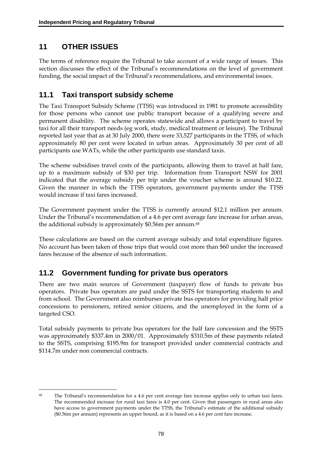# **11 OTHER ISSUES**

The terms of reference require the Tribunal to take account of a wide range of issues. This section discusses the effect of the Tribunal's recommendations on the level of government funding, the social impact of the Tribunal's recommendations, and environmental issues.

## **11.1 Taxi transport subsidy scheme**

The Taxi Transport Subsidy Scheme (TTSS) was introduced in 1981 to promote accessibility for those persons who cannot use public transport because of a qualifying severe and permanent disability. The scheme operates statewide and allows a participant to travel by taxi for all their transport needs (eg work, study, medical treatment or leisure). The Tribunal reported last year that as at 30 July 2000, there were 33,527 participants in the TTSS, of which approximately 80 per cent were located in urban areas. Approximately 30 per cent of all participants use WATs, while the other participants use standard taxis.

The scheme subsidises travel costs of the participants, allowing them to travel at half fare, up to a maximum subsidy of \$30 per trip. Information from Transport NSW for 2001 indicated that the average subsidy per trip under the voucher scheme is around \$10.22. Given the manner in which the TTSS operators, government payments under the TTSS would increase if taxi fares increased.

The Government payment under the TTSS is currently around \$12.1 million per annum. Under the Tribunal's recommendation of a 4.6 per cent average fare increase for urban areas, the additional subsidy is approximately \$0.56m per annum.<sup>68</sup>

These calculations are based on the current average subsidy and total expenditure figures. No account has been taken of those trips that would cost more than \$60 under the increased fares because of the absence of such information.

## **11.2 Government funding for private bus operators**

There are two main sources of Government (taxpayer) flow of funds to private bus operators. Private bus operators are paid under the SSTS for transporting students to and from school. The Government also reimburses private bus operators for providing half price concessions to pensioners, retired senior citizens, and the unemployed in the form of a targeted CSO.

Total subsidy payments to private bus operators for the half fare concession and the SSTS was approximately \$337.4m in 2000/01. Approximately \$310.5m of these payments related to the SSTS, comprising \$195.9m for transport provided under commercial contracts and \$114.7m under non commercial contracts.

<sup>-</sup><sup>68</sup> The Tribunal's recommendation for a 4.6 per cent average fare increase applies only to urban taxi fares. The recommended increase for rural taxi fares is 4.0 per cent. Given that passengers in rural areas also have access to government payments under the TTSS, the Tribunal's estimate of the additional subsidy (\$0.56m per annum) represents an upper bound, as it is based on a 4.6 per cent fare increase.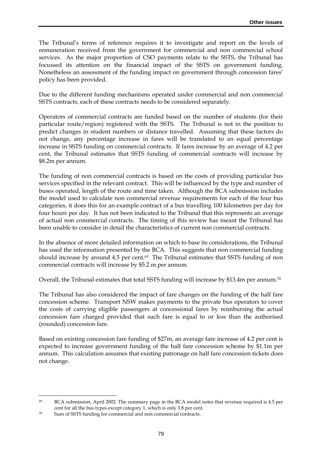The Tribunal's terms of reference requires it to investigate and report on the levels of remuneration received from the government for commercial and non commercial school services. As the major proportion of CSO payments relate to the SSTS, the Tribunal has focussed its attention on the financial impact of the SSTS on government funding. Nonetheless an assessment of the funding impact on government through concession fares' policy has been provided.

Due to the different funding mechanisms operated under commercial and non commercial SSTS contracts, each of these contracts needs to be considered separately.

Operators of commercial contracts are funded based on the number of students (for their particular route/region) registered with the SSTS. The Tribunal is not in the position to predict changes in student numbers or distance travelled. Assuming that these factors do not change, any percentage increase in fares will be translated to an equal percentage increase in SSTS funding on commercial contracts. If fares increase by an average of 4.2 per cent, the Tribunal estimates that SSTS funding of commercial contracts will increase by \$8.2m per annum.

The funding of non commercial contracts is based on the costs of providing particular bus services specified in the relevant contract. This will be influenced by the type and number of buses operated, length of the route and time taken. Although the BCA submission includes the model used to calculate non commercial revenue requirements for each of the four bus categories, it does this for an example contract of a bus travelling 100 kilometres per day for four hours per day. It has not been indicated to the Tribunal that this represents an average of actual non commercial contracts. The timing of this review has meant the Tribunal has been unable to consider in detail the characteristics of current non commercial contracts.

In the absence of more detailed information on which to base its considerations, the Tribunal has used the information presented by the BCA. This suggests that non commercial funding should increase by around 4.5 per cent.*69* The Tribunal estimates that SSTS funding of non commercial contracts will increase by \$5.2 m per annum*.*

Overall, the Tribunal estimates that total SSTS funding will increase by \$13.4m per annum.<sup>70</sup>

The Tribunal has also considered the impact of fare changes on the funding of the half fare concession scheme. Transport NSW makes payments to the private bus operators to cover the costs of carrying eligible passengers at concessional fares by reimbursing the actual concession fare charged provided that such fare is equal to or less than the authorised (rounded) concession fare.

Based on existing concession fare funding of \$27m, an average fare increase of 4.2 per cent is expected to increase government funding of the half fare concession scheme by \$1.1m per annum. This calculation assumes that existing patronage on half fare concession tickets does not change.

<sup>69</sup> BCA submission, April 2002. The summary page in the BCA model notes that revenue required is 4.5 per cent for all the bus types except category 1, which is only 3.8 per cent.

<sup>70</sup> Sum of SSTS funding for commercial and non commercial contracts.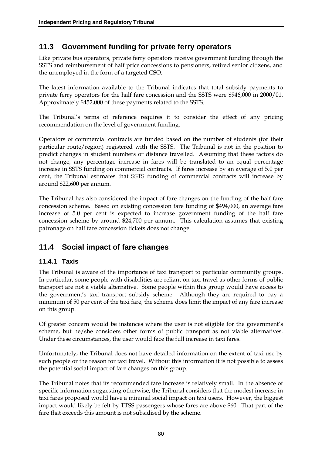## **11.3 Government funding for private ferry operators**

Like private bus operators, private ferry operators receive government funding through the SSTS and reimbursement of half price concessions to pensioners, retired senior citizens, and the unemployed in the form of a targeted CSO.

The latest information available to the Tribunal indicates that total subsidy payments to private ferry operators for the half fare concession and the SSTS were \$946,000 in 2000/01. Approximately \$452,000 of these payments related to the SSTS.

The Tribunal's terms of reference requires it to consider the effect of any pricing recommendation on the level of government funding.

Operators of commercial contracts are funded based on the number of students (for their particular route/region) registered with the SSTS. The Tribunal is not in the position to predict changes in student numbers or distance travelled. Assuming that these factors do not change, any percentage increase in fares will be translated to an equal percentage increase in SSTS funding on commercial contracts. If fares increase by an average of 5.0 per cent, the Tribunal estimates that SSTS funding of commercial contracts will increase by around \$22,600 per annum.

The Tribunal has also considered the impact of fare changes on the funding of the half fare concession scheme. Based on existing concession fare funding of \$494,000, an average fare increase of 5.0 per cent is expected to increase government funding of the half fare concession scheme by around \$24,700 per annum. This calculation assumes that existing patronage on half fare concession tickets does not change.

## **11.4 Social impact of fare changes**

## **11.4.1 Taxis**

The Tribunal is aware of the importance of taxi transport to particular community groups. In particular, some people with disabilities are reliant on taxi travel as other forms of public transport are not a viable alternative. Some people within this group would have access to the government's taxi transport subsidy scheme. Although they are required to pay a minimum of 50 per cent of the taxi fare, the scheme does limit the impact of any fare increase on this group.

Of greater concern would be instances where the user is not eligible for the government's scheme, but he/she considers other forms of public transport as not viable alternatives. Under these circumstances, the user would face the full increase in taxi fares.

Unfortunately, the Tribunal does not have detailed information on the extent of taxi use by such people or the reason for taxi travel. Without this information it is not possible to assess the potential social impact of fare changes on this group.

The Tribunal notes that its recommended fare increase is relatively small. In the absence of specific information suggesting otherwise, the Tribunal considers that the modest increase in taxi fares proposed would have a minimal social impact on taxi users. However, the biggest impact would likely be felt by TTSS passengers whose fares are above \$60. That part of the fare that exceeds this amount is not subsidised by the scheme.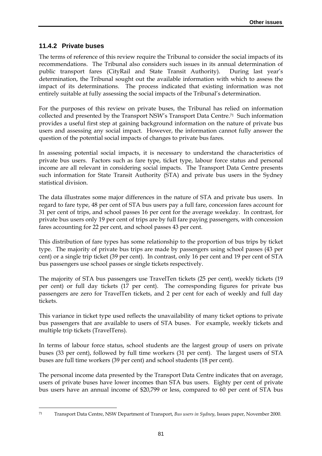## **11.4.2 Private buses**

<u>.</u>

The terms of reference of this review require the Tribunal to consider the social impacts of its recommendations. The Tribunal also considers such issues in its annual determination of public transport fares (CityRail and State Transit Authority). During last year's determination, the Tribunal sought out the available information with which to assess the impact of its determinations. The process indicated that existing information was not entirely suitable at fully assessing the social impacts of the Tribunal's determination.

For the purposes of this review on private buses, the Tribunal has relied on information collected and presented by the Transport NSW's Transport Data Centre.71 Such information provides a useful first step at gaining background information on the nature of private bus users and assessing any social impact. However, the information cannot fully answer the question of the potential social impacts of changes to private bus fares.

In assessing potential social impacts, it is necessary to understand the characteristics of private bus users. Factors such as fare type, ticket type, labour force status and personal income are all relevant in considering social impacts. The Transport Data Centre presents such information for State Transit Authority (STA) and private bus users in the Sydney statistical division.

The data illustrates some major differences in the nature of STA and private bus users. In regard to fare type, 48 per cent of STA bus users pay a full fare, concession fares account for 31 per cent of trips, and school passes 16 per cent for the average weekday. In contrast, for private bus users only 19 per cent of trips are by full fare paying passengers, with concession fares accounting for 22 per cent, and school passes 43 per cent.

This distribution of fare types has some relationship to the proportion of bus trips by ticket type. The majority of private bus trips are made by passengers using school passes (43 per cent) or a single trip ticket (39 per cent). In contrast, only 16 per cent and 19 per cent of STA bus passengers use school passes or single tickets respectively.

The majority of STA bus passengers use TravelTen tickets (25 per cent), weekly tickets (19 per cent) or full day tickets (17 per cent). The corresponding figures for private bus passengers are zero for TravelTen tickets, and 2 per cent for each of weekly and full day tickets.

This variance in ticket type used reflects the unavailability of many ticket options to private bus passengers that are available to users of STA buses. For example, weekly tickets and multiple trip tickets (TravelTens).

In terms of labour force status, school students are the largest group of users on private buses (33 per cent), followed by full time workers (31 per cent). The largest users of STA buses are full time workers (39 per cent) and school students (18 per cent).

The personal income data presented by the Transport Data Centre indicates that on average, users of private buses have lower incomes than STA bus users. Eighty per cent of private bus users have an annual income of \$20,799 or less, compared to 60 per cent of STA bus

<sup>71</sup> Transport Data Centre, NSW Department of Transport, *Bus users in Sydney*, Issues paper, November 2000.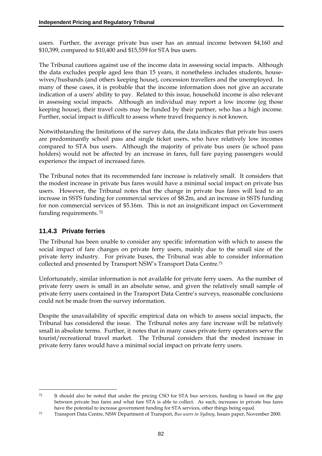users. Further, the average private bus user has an annual income between \$4,160 and \$10,399, compared to \$10,400 and \$15,559 for STA bus users.

The Tribunal cautions against use of the income data in assessing social impacts. Although the data excludes people aged less than 15 years, it nonetheless includes students, housewives/husbands (and others keeping house), concession travellers and the unemployed. In many of these cases, it is probable that the income information does not give an accurate indication of a users' ability to pay. Related to this issue, household income is also relevant in assessing social impacts. Although an individual may report a low income (eg those keeping house), their travel costs may be funded by their partner, who has a high income. Further, social impact is difficult to assess where travel frequency is not known.

Notwithstanding the limitations of the survey data, the data indicates that private bus users are predominantly school pass and single ticket users, who have relatively low incomes compared to STA bus users. Although the majority of private bus users (ie school pass holders) would not be affected by an increase in fares, full fare paying passengers would experience the impact of increased fares.

The Tribunal notes that its recommended fare increase is relatively small. It considers that the modest increase in private bus fares would have a minimal social impact on private bus users. However, the Tribunal notes that the change in private bus fares will lead to an increase in SSTS funding for commercial services of \$8.2m, and an increase in SSTS funding for non commercial services of \$5.16m. This is not an insignificant impact on Government funding requirements. 72

## **11.4.3 Private ferries**

-

The Tribunal has been unable to consider any specific information with which to assess the social impact of fare changes on private ferry users, mainly due to the small size of the private ferry industry. For private buses, the Tribunal was able to consider information collected and presented by Transport NSW's Transport Data Centre.73

Unfortunately, similar information is not available for private ferry users. As the number of private ferry users is small in an absolute sense, and given the relatively small sample of private ferry users contained in the Transport Data Centre's surveys, reasonable conclusions could not be made from the survey information.

Despite the unavailability of specific empirical data on which to assess social impacts, the Tribunal has considered the issue. The Tribunal notes any fare increase will be relatively small in absolute terms. Further, it notes that in many cases private ferry operators serve the tourist/recreational travel market. The Tribunal considers that the modest increase in private ferry fares would have a minimal social impact on private ferry users.

<sup>72</sup> It should also be noted that under the pricing CSO for STA bus services, funding is based on the gap between private bus fares and what fare STA is able to collect. As such, increases in private bus fares have the potential to increase government funding for STA services, other things being equal.

<sup>73</sup> Transport Data Centre, NSW Department of Transport, *Bus users in Sydney*, Issues paper, November 2000.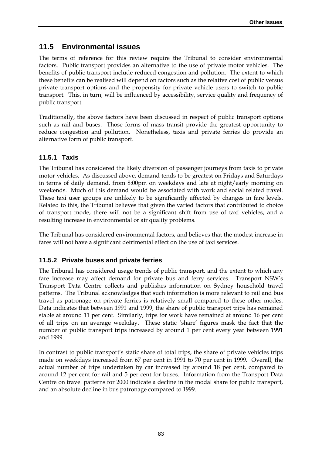## **11.5 Environmental issues**

The terms of reference for this review require the Tribunal to consider environmental factors. Public transport provides an alternative to the use of private motor vehicles. The benefits of public transport include reduced congestion and pollution. The extent to which these benefits can be realised will depend on factors such as the relative cost of public versus private transport options and the propensity for private vehicle users to switch to public transport. This, in turn, will be influenced by accessibility, service quality and frequency of public transport.

Traditionally, the above factors have been discussed in respect of public transport options such as rail and buses. Those forms of mass transit provide the greatest opportunity to reduce congestion and pollution. Nonetheless, taxis and private ferries do provide an alternative form of public transport.

## **11.5.1 Taxis**

The Tribunal has considered the likely diversion of passenger journeys from taxis to private motor vehicles. As discussed above, demand tends to be greatest on Fridays and Saturdays in terms of daily demand, from 8:00pm on weekdays and late at night/early morning on weekends. Much of this demand would be associated with work and social related travel. These taxi user groups are unlikely to be significantly affected by changes in fare levels. Related to this, the Tribunal believes that given the varied factors that contributed to choice of transport mode, there will not be a significant shift from use of taxi vehicles, and a resulting increase in environmental or air quality problems.

The Tribunal has considered environmental factors, and believes that the modest increase in fares will not have a significant detrimental effect on the use of taxi services.

## **11.5.2 Private buses and private ferries**

The Tribunal has considered usage trends of public transport, and the extent to which any fare increase may affect demand for private bus and ferry services. Transport NSW's Transport Data Centre collects and publishes information on Sydney household travel patterns. The Tribunal acknowledges that such information is more relevant to rail and bus travel as patronage on private ferries is relatively small compared to these other modes. Data indicates that between 1991 and 1999, the share of public transport trips has remained stable at around 11 per cent. Similarly, trips for work have remained at around 16 per cent of all trips on an average weekday. These static 'share' figures mask the fact that the number of public transport trips increased by around 1 per cent every year between 1991 and 1999.

In contrast to public transport's static share of total trips, the share of private vehicles trips made on weekdays increased from 67 per cent in 1991 to 70 per cent in 1999. Overall, the actual number of trips undertaken by car increased by around 18 per cent, compared to around 12 per cent for rail and 5 per cent for buses. Information from the Transport Data Centre on travel patterns for 2000 indicate a decline in the modal share for public transport, and an absolute decline in bus patronage compared to 1999.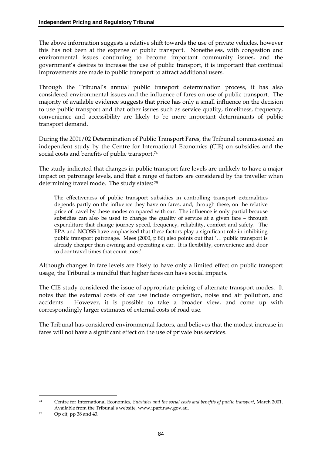The above information suggests a relative shift towards the use of private vehicles, however this has not been at the expense of public transport. Nonetheless, with congestion and environmental issues continuing to become important community issues, and the government's desires to increase the use of public transport, it is important that continual improvements are made to public transport to attract additional users.

Through the Tribunal's annual public transport determination process, it has also considered environmental issues and the influence of fares on use of public transport. The majority of available evidence suggests that price has only a small influence on the decision to use public transport and that other issues such as service quality, timeliness, frequency, convenience and accessibility are likely to be more important determinants of public transport demand.

During the 2001/02 Determination of Public Transport Fares, the Tribunal commissioned an independent study by the Centre for International Economics (CIE) on subsidies and the social costs and benefits of public transport.<sup>74</sup>

The study indicated that changes in public transport fare levels are unlikely to have a major impact on patronage levels, and that a range of factors are considered by the traveller when determining travel mode. The study states: 75

The effectiveness of public transport subsidies in controlling transport externalities depends partly on the influence they have on fares, and, through these, on the relative price of travel by these modes compared with car. The influence is only partial because subsidies can also be used to change the quality of service at a given fare – through expenditure that change journey speed, frequency, reliability, comfort and safety. The EPA and NCOSS have emphasised that these factors play a significant role in inhibiting public transport patronage. Mees (2000, p 86) also points out that '… public transport is already cheaper than owning and operating a car. It is flexibility, convenience and door to door travel times that count most'.

Although changes in fare levels are likely to have only a limited effect on public transport usage, the Tribunal is mindful that higher fares can have social impacts.

The CIE study considered the issue of appropriate pricing of alternate transport modes. It notes that the external costs of car use include congestion, noise and air pollution, and accidents. However, it is possible to take a broader view, and come up with correspondingly larger estimates of external costs of road use.

The Tribunal has considered environmental factors, and believes that the modest increase in fares will not have a significant effect on the use of private bus services.

<sup>74</sup> Centre for International Economics, *Subsidies and the social costs and benefits of public transport*, March 2001. Available from the Tribunal's website, www.ipart.nsw.gov.au.

 $75$  Op cit, pp 38 and 43.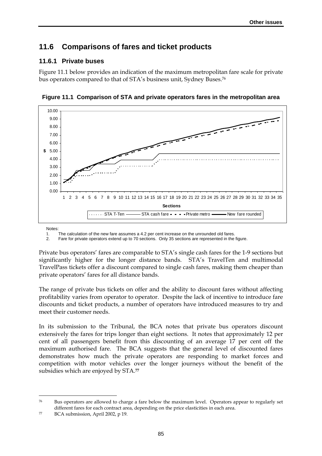## **11.6 Comparisons of fares and ticket products**

### **11.6.1 Private buses**

Figure 11.1 below provides an indication of the maximum metropolitan fare scale for private bus operators compared to that of STA's business unit, Sydney Buses.76



**Figure 11.1 Comparison of STA and private operators fares in the metropolitan area** 

Notes:

<u>.</u>

1. The calculation of the new fare assumes a 4.2 per cent increase on the unrounded old fares.<br>2. Eare for private operators extend up to 70 sections. Only 35 sections are represented in the

2. Fare for private operators extend up to 70 sections. Only 35 sections are represented in the figure.

Private bus operators' fares are comparable to STA's single cash fares for the 1-9 sections but significantly higher for the longer distance bands. STA's TravelTen and multimodal TravelPass tickets offer a discount compared to single cash fares, making them cheaper than private operators' fares for all distance bands.

The range of private bus tickets on offer and the ability to discount fares without affecting profitability varies from operator to operator. Despite the lack of incentive to introduce fare discounts and ticket products, a number of operators have introduced measures to try and meet their customer needs.

In its submission to the Tribunal, the BCA notes that private bus operators discount extensively the fares for trips longer than eight sections. It notes that approximately 12 per cent of all passengers benefit from this discounting of an average 17 per cent off the maximum authorised fare. The BCA suggests that the general level of discounted fares demonstrates how much the private operators are responding to market forces and competition with motor vehicles over the longer journeys without the benefit of the subsidies which are enjoyed by STA.**<sup>77</sup>**

<sup>76</sup> Bus operators are allowed to charge a fare below the maximum level. Operators appear to regularly set different fares for each contract area, depending on the price elasticities in each area.

<sup>77</sup> BCA submission, April 2002, p 19.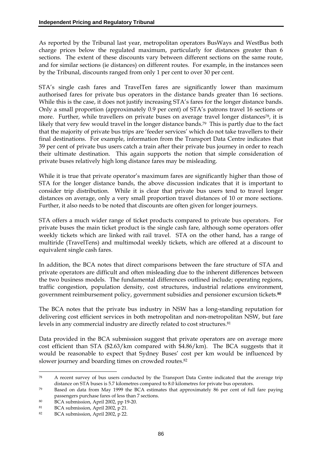As reported by the Tribunal last year, metropolitan operators BusWays and WestBus both charge prices below the regulated maximum, particularly for distances greater than 6 sections. The extent of these discounts vary between different sections on the same route, and for similar sections (ie distances) on different routes. For example, in the instances seen by the Tribunal, discounts ranged from only 1 per cent to over 30 per cent.

STA's single cash fares and TravelTen fares are significantly lower than maximum authorised fares for private bus operators in the distance bands greater than 16 sections. While this is the case, it does not justify increasing STA's fares for the longer distance bands. Only a small proportion (approximately 0.9 per cent) of STA's patrons travel 16 sections or more. Further, while travellers on private buses on average travel longer distances<sup>78</sup>, it is likely that very few would travel in the longer distance bands.<sup>79</sup> This is partly due to the fact that the majority of private bus trips are 'feeder services' which do not take travellers to their final destinations. For example, information from the Transport Data Centre indicates that 39 per cent of private bus users catch a train after their private bus journey in order to reach their ultimate destination. This again supports the notion that simple consideration of private buses relatively high long distance fares may be misleading.

While it is true that private operator's maximum fares are significantly higher than those of STA for the longer distance bands, the above discussion indicates that it is important to consider trip distribution. While it is clear that private bus users tend to travel longer distances on average, only a very small proportion travel distances of 10 or more sections. Further, it also needs to be noted that discounts are often given for longer journeys.

STA offers a much wider range of ticket products compared to private bus operators. For private buses the main ticket product is the single cash fare, although some operators offer weekly tickets which are linked with rail travel. STA on the other hand, has a range of multiride (TravelTens) and multimodal weekly tickets, which are offered at a discount to equivalent single cash fares.

In addition, the BCA notes that direct comparisons between the fare structure of STA and private operators are difficult and often misleading due to the inherent differences between the two business models. The fundamental differences outlined include; operating regions, traffic congestion, population density, cost structures, industrial relations environment, government reimbursement policy, government subsidies and pensioner excursion tickets.**<sup>80</sup>**

The BCA notes that the private bus industry in NSW has a long-standing reputation for delivering cost efficient services in both metropolitan and non-metropolitan NSW, but fare levels in any commercial industry are directly related to cost structures.<sup>81</sup>

Data provided in the BCA submission suggest that private operators are on average more cost efficient than STA (\$2.63/km compared with \$4.86/km). The BCA suggests that it would be reasonable to expect that Sydney Buses' cost per km would be influenced by slower journey and boarding times on crowded routes.<sup>82</sup>

<sup>78</sup> A recent survey of bus users conducted by the Transport Data Centre indicated that the average trip distance on STA buses is 5.7 kilometres compared to 8.0 kilometres for private bus operators.

<sup>79</sup> Based on data from May 1999 the BCA estimates that approximately 86 per cent of full fare paying passengers purchase fares of less than 7 sections.

<sup>80</sup> BCA submission, April 2002, pp 19-20.

<sup>81</sup> BCA submission, April 2002, p 21.

<sup>82</sup> BCA submission, April 2002, p 22.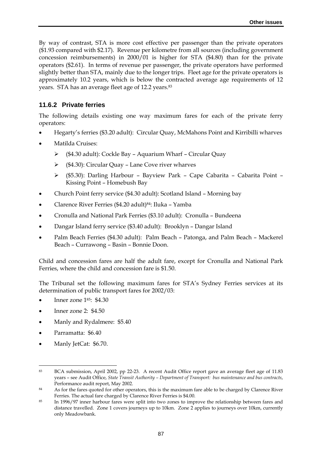By way of contrast, STA is more cost effective per passenger than the private operators (\$1.93 compared with \$2.17). Revenue per kilometre from all sources (including government concession reimbursements) in 2000/01 is higher for STA (\$4.80) than for the private operators (\$2.61). In terms of revenue per passenger, the private operators have performed slightly better than STA, mainly due to the longer trips. Fleet age for the private operators is approximately 10.2 years, which is below the contracted average age requirements of 12 years. STA has an average fleet age of 12.2 years.<sup>83</sup>

#### **11.6.2 Private ferries**

The following details existing one way maximum fares for each of the private ferry operators:

- Hegarty's ferries (\$3.20 adult): Circular Quay, McMahons Point and Kirribilli wharves
- Matilda Cruises:
	- (\$4.30 adult): Cockle Bay Aquarium Wharf Circular Quay
	- $\triangleright$  (\$4.30): Circular Quay Lane Cove river wharves
	- (\$5.30): Darling Harbour Bayview Park Cape Cabarita Cabarita Point Kissing Point – Homebush Bay
- Church Point ferry service (\$4.30 adult): Scotland Island Morning bay
- Clarence River Ferries (\$4.20 adult)84: Iluka Yamba
- Cronulla and National Park Ferries (\$3.10 adult): Cronulla Bundeena
- Dangar Island ferry service (\$3.40 adult): Brooklyn Dangar Island
- Palm Beach Ferries (\$4.30 adult): Palm Beach Patonga, and Palm Beach Mackerel Beach – Currawong – Basin – Bonnie Doon.

Child and concession fares are half the adult fare, except for Cronulla and National Park Ferries, where the child and concession fare is \$1.50.

The Tribunal set the following maximum fares for STA's Sydney Ferries services at its determination of public transport fares for 2002/03:

- Inner zone 185: \$4.30
- Inner zone 2: \$4.50
- Manly and Rydalmere: \$5.40
- Parramatta: \$6.40

<u>.</u>

• Manly JetCat: \$6.70.

<sup>83</sup> BCA submission, April 2002, pp 22-23. A recent Audit Office report gave an average fleet age of 11.83 years – see Audit Office, *State Transit Authority – Department of Transport: bus maintenance and bus contracts*, Performance audit report, May 2002.

<sup>84</sup> As for the fares quoted for other operators, this is the maximum fare able to be charged by Clarence River Ferries. The actual fare charged by Clarence River Ferries is \$4.00.

<sup>85</sup> In 1996/97 inner harbour fares were split into two zones to improve the relationship between fares and distance travelled. Zone 1 covers journeys up to 10km. Zone 2 applies to journeys over 10km, currently only Meadowbank.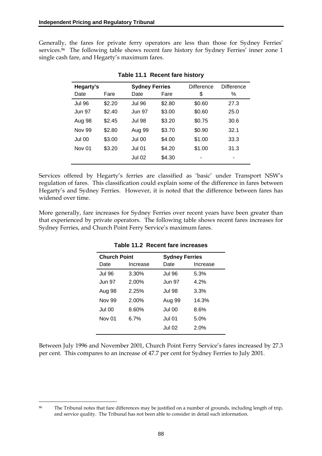Generally, the fares for private ferry operators are less than those for Sydney Ferries' services.<sup>86</sup> The following table shows recent fare history for Sydney Ferries' inner zone 1 single cash fare, and Hegarty's maximum fares.

| Hegarty's     |        |               | <b>Sydney Ferries</b> |        | <b>Difference</b> |
|---------------|--------|---------------|-----------------------|--------|-------------------|
| Date          | Fare   | Date          | Fare                  | \$     | ℅                 |
| <b>Jul 96</b> | \$2.20 | <b>Jul 96</b> | \$2.80                | \$0.60 | 27.3              |
| Jun 97        | \$2.40 | <b>Jun 97</b> | \$3.00                | \$0.60 | 25.0              |
| Aug 98        | \$2.45 | <b>Jul 98</b> | \$3.20                | \$0.75 | 30.6              |
| Nov 99        | \$2.80 | Aug 99        | \$3.70                | \$0.90 | 32.1              |
| Jul 00        | \$3.00 | Jul 00        | \$4.00                | \$1.00 | 33.3              |
| Nov 01        | \$3.20 | <b>Jul 01</b> | \$4.20                | \$1.00 | 31.3              |
|               |        | <b>Jul 02</b> | \$4.30                |        | -                 |

**Table 11.1 Recent fare history** 

Services offered by Hegarty's ferries are classified as 'basic' under Transport NSW's regulation of fares. This classification could explain some of the difference in fares between Hegarty's and Sydney Ferries. However, it is noted that the difference between fares has widened over time.

More generally, fare increases for Sydney Ferries over recent years have been greater than that experienced by private operators. The following table shows recent fares increases for Sydney Ferries, and Church Point Ferry Service's maximum fares.

| <b>Church Point</b> |          |               | <b>Sydney Ferries</b> |  |  |
|---------------------|----------|---------------|-----------------------|--|--|
| Date                | Increase | Date          | Increase              |  |  |
| <b>Jul 96</b>       | 3.30%    | <b>Jul 96</b> | 5.3%                  |  |  |
| Jun 97              | 2.00%    | Jun 97        | 4.2%                  |  |  |
| Aug 98              | 2.25%    | Jul 98        | 3.3%                  |  |  |
| Nov 99              | 2.00%    | Aug 99        | 14.3%                 |  |  |
| Jul 00              | 8.60%    | <b>Jul 00</b> | 8.6%                  |  |  |
| <b>Nov 01</b>       | $6.7\%$  | Jul 01        | 5.0%                  |  |  |
|                     |          | <b>Jul 02</b> | 2.0%                  |  |  |
|                     |          |               |                       |  |  |

**Table 11.2 Recent fare increases** 

Between July 1996 and November 2001, Church Point Ferry Service's fares increased by 27.3 per cent. This compares to an increase of 47.7 per cent for Sydney Ferries to July 2001.

<u>.</u>

<sup>&</sup>lt;sup>86</sup> The Tribunal notes that fare differences may be justified on a number of grounds, including length of trip, and service quality. The Tribunal has not been able to consider in detail such information.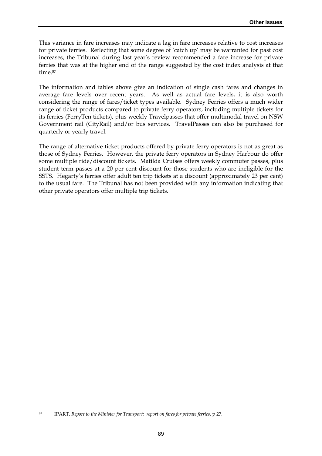This variance in fare increases may indicate a lag in fare increases relative to cost increases for private ferries. Reflecting that some degree of 'catch up' may be warranted for past cost increases, the Tribunal during last year's review recommended a fare increase for private ferries that was at the higher end of the range suggested by the cost index analysis at that time.87

The information and tables above give an indication of single cash fares and changes in average fare levels over recent years. As well as actual fare levels, it is also worth considering the range of fares/ticket types available. Sydney Ferries offers a much wider range of ticket products compared to private ferry operators, including multiple tickets for its ferries (FerryTen tickets), plus weekly Travelpasses that offer multimodal travel on NSW Government rail (CityRail) and/or bus services. TravelPasses can also be purchased for quarterly or yearly travel.

The range of alternative ticket products offered by private ferry operators is not as great as those of Sydney Ferries. However, the private ferry operators in Sydney Harbour do offer some multiple ride/discount tickets. Matilda Cruises offers weekly commuter passes, plus student term passes at a 20 per cent discount for those students who are ineligible for the SSTS. Hegarty's ferries offer adult ten trip tickets at a discount (approximately 23 per cent) to the usual fare. The Tribunal has not been provided with any information indicating that other private operators offer multiple trip tickets.

<u>.</u>

<sup>87</sup> IPART, *Report to the Minister for Transport: report on fares for private ferries*, p 27.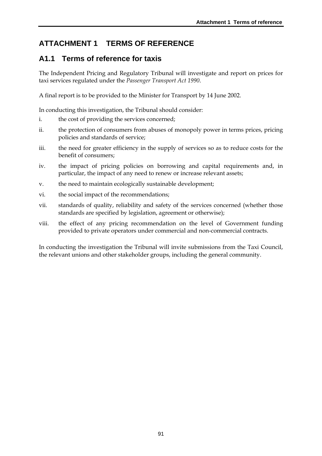## **ATTACHMENT 1 TERMS OF REFERENCE**

### **A1.1 Terms of reference for taxis**

The Independent Pricing and Regulatory Tribunal will investigate and report on prices for taxi services regulated under the *Passenger Transport Act 1990*.

A final report is to be provided to the Minister for Transport by 14 June 2002.

In conducting this investigation, the Tribunal should consider:

- i. the cost of providing the services concerned;
- ii. the protection of consumers from abuses of monopoly power in terms prices, pricing policies and standards of service;
- iii. the need for greater efficiency in the supply of services so as to reduce costs for the benefit of consumers;
- iv. the impact of pricing policies on borrowing and capital requirements and, in particular, the impact of any need to renew or increase relevant assets;
- v. the need to maintain ecologically sustainable development;
- vi. the social impact of the recommendations;
- vii. standards of quality, reliability and safety of the services concerned (whether those standards are specified by legislation, agreement or otherwise);
- viii. the effect of any pricing recommendation on the level of Government funding provided to private operators under commercial and non-commercial contracts.

In conducting the investigation the Tribunal will invite submissions from the Taxi Council, the relevant unions and other stakeholder groups, including the general community.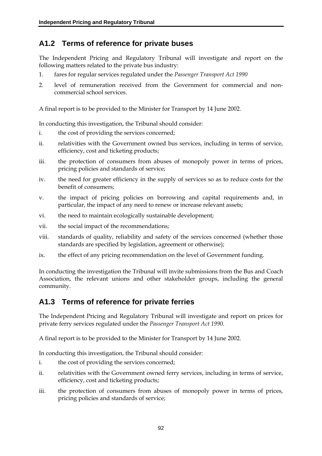# **A1.2 Terms of reference for private buses**

The Independent Pricing and Regulatory Tribunal will investigate and report on the following matters related to the private bus industry:

- 1. fares for regular services regulated under the *Passenger Transport Act 1990*
- 2. level of remuneration received from the Government for commercial and noncommercial school services.

A final report is to be provided to the Minister for Transport by 14 June 2002.

In conducting this investigation, the Tribunal should consider:

- i. the cost of providing the services concerned;
- ii. relativities with the Government owned bus services, including in terms of service, efficiency, cost and ticketing products;
- iii. the protection of consumers from abuses of monopoly power in terms of prices, pricing policies and standards of service;
- iv. the need for greater efficiency in the supply of services so as to reduce costs for the benefit of consumers;
- v. the impact of pricing policies on borrowing and capital requirements and, in particular, the impact of any need to renew or increase relevant assets;
- vi. the need to maintain ecologically sustainable development;
- vii. the social impact of the recommendations;
- viii. standards of quality, reliability and safety of the services concerned (whether those standards are specified by legislation, agreement or otherwise);
- ix. the effect of any pricing recommendation on the level of Government funding.

In conducting the investigation the Tribunal will invite submissions from the Bus and Coach Association, the relevant unions and other stakeholder groups, including the general community.

### **A1.3 Terms of reference for private ferries**

The Independent Pricing and Regulatory Tribunal will investigate and report on prices for private ferry services regulated under the *Passenger Transport Act 1990*.

A final report is to be provided to the Minister for Transport by 14 June 2002.

In conducting this investigation, the Tribunal should consider:

- i. the cost of providing the services concerned;
- ii. relativities with the Government owned ferry services, including in terms of service, efficiency, cost and ticketing products;
- iii. the protection of consumers from abuses of monopoly power in terms of prices, pricing policies and standards of service;